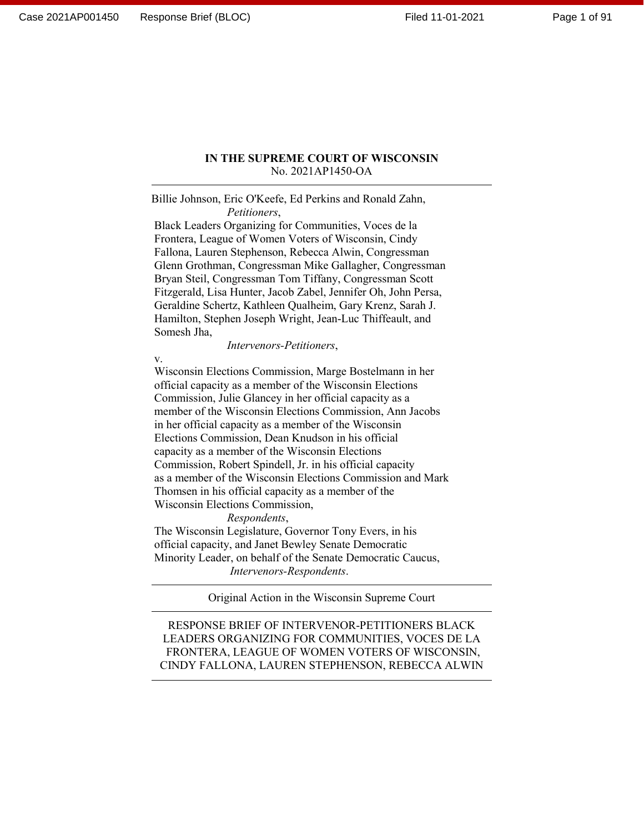#### **IN THE SUPREME COURT OF WISCONSIN** No. 2021AP1450-OA

Billie Johnson, Eric O'Keefe, Ed Perkins and Ronald Zahn, *Petitioners*,

Black Leaders Organizing for Communities, Voces de la Frontera, League of Women Voters of Wisconsin, Cindy Fallona, Lauren Stephenson, Rebecca Alwin, Congressman Glenn Grothman, Congressman Mike Gallagher, Congressman Bryan Steil, Congressman Tom Tiffany, Congressman Scott Fitzgerald, Lisa Hunter, Jacob Zabel, Jennifer Oh, John Persa, Geraldine Schertz, Kathleen Qualheim, Gary Krenz, Sarah J. Hamilton, Stephen Joseph Wright, Jean-Luc Thiffeault, and Somesh Jha,

*Intervenors-Petitioners*,

v.

Wisconsin Elections Commission, Marge Bostelmann in her official capacity as a member of the Wisconsin Elections Commission, Julie Glancey in her official capacity as a member of the Wisconsin Elections Commission, Ann Jacobs in her official capacity as a member of the Wisconsin Elections Commission, Dean Knudson in his official capacity as a member of the Wisconsin Elections Commission, Robert Spindell, Jr. in his official capacity as a member of the Wisconsin Elections Commission and Mark Thomsen in his official capacity as a member of the Wisconsin Elections Commission,

*Respondents*,

The Wisconsin Legislature, Governor Tony Evers, in his official capacity, and Janet Bewley Senate Democratic Minority Leader, on behalf of the Senate Democratic Caucus, *Intervenors-Respondents*.

Original Action in the Wisconsin Supreme Court

RESPONSE BRIEF OF INTERVENOR-PETITIONERS BLACK LEADERS ORGANIZING FOR COMMUNITIES, VOCES DE LA FRONTERA, LEAGUE OF WOMEN VOTERS OF WISCONSIN, CINDY FALLONA, LAUREN STEPHENSON, REBECCA ALWIN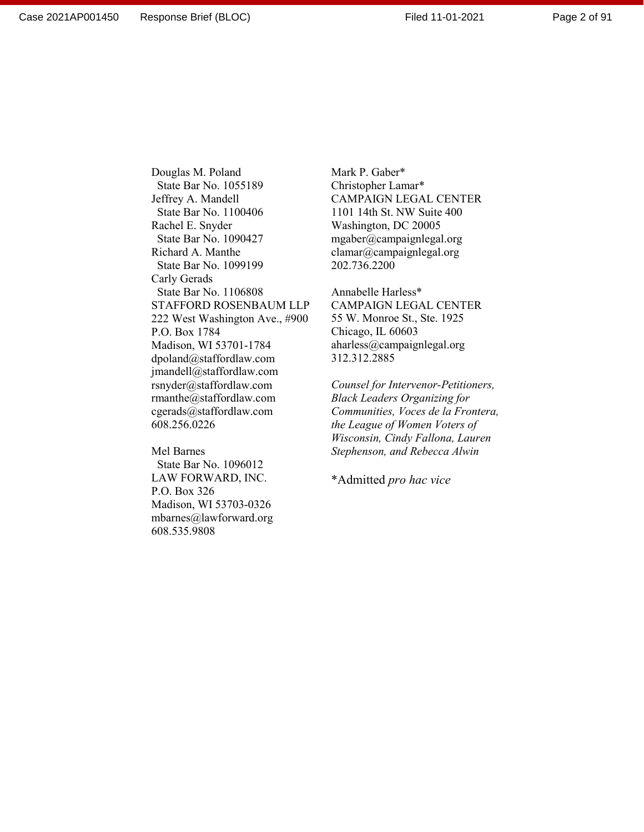Mark P. Gaber\* Christopher Lamar\* CAMPAIGN LEGAL CENTER 1101 14th St. NW Suite 400 Washington, DC 20005 mgaber@campaignlegal.org clamar@campaignlegal.org 202.736.2200

Annabelle Harless\* CAMPAIGN LEGAL CENTER 55 W. Monroe St., Ste. 1925 Chicago, IL 60603 aharless@campaignlegal.org 312.312.2885

*Counsel for Intervenor-Petitioners, Black Leaders Organizing for Communities, Voces de la Frontera, the League of Women Voters of Wisconsin, Cindy Fallona, Lauren Stephenson, and Rebecca Alwin* 

\*Admitted *pro hac vice*

 State Bar No. 1100406 Rachel E. Snyder State Bar No. 1090427 Richard A. Manthe State Bar No. 1099199 Carly Gerads State Bar No. 1106808 STAFFORD ROSENBAUM LLP 222 West Washington Ave., #900 P.O. Box 1784 Madison, WI 53701-1784 dpoland@staffordlaw.com jmandell@staffordlaw.com rsnyder@staffordlaw.com rmanthe@staffordlaw.com cgerads@staffordlaw.com 608.256.0226

Douglas M. Poland State Bar No. 1055189 Jeffrey A. Mandell

Mel Barnes State Bar No. 1096012 LAW FORWARD, INC. P.O. Box 326 Madison, WI 53703-0326 mbarnes@lawforward.org 608.535.9808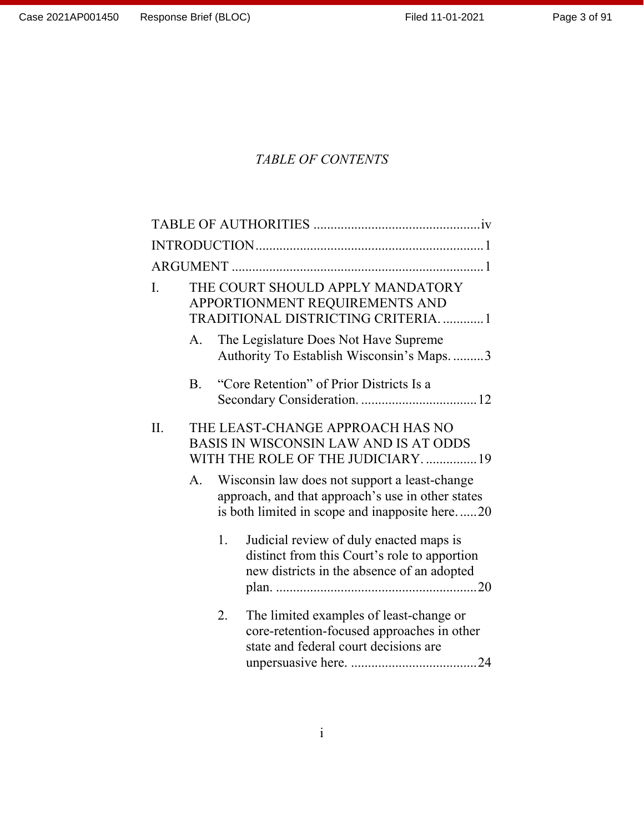# *TABLE OF CONTENTS*

| I.  | THE COURT SHOULD APPLY MANDATORY<br>APPORTIONMENT REQUIREMENTS AND<br>TRADITIONAL DISTRICTING CRITERIA1        |    |                                                                                                                                                      |  |  |
|-----|----------------------------------------------------------------------------------------------------------------|----|------------------------------------------------------------------------------------------------------------------------------------------------------|--|--|
|     | A.                                                                                                             |    | The Legislature Does Not Have Supreme<br>Authority To Establish Wisconsin's Maps3                                                                    |  |  |
|     | B.                                                                                                             |    | "Core Retention" of Prior Districts Is a                                                                                                             |  |  |
| II. | THE LEAST-CHANGE APPROACH HAS NO<br>BASIS IN WISCONSIN LAW AND IS AT ODDS<br>WITH THE ROLE OF THE JUDICIARY 19 |    |                                                                                                                                                      |  |  |
|     | A.                                                                                                             |    | Wisconsin law does not support a least-change<br>approach, and that approach's use in other states<br>is both limited in scope and inapposite here20 |  |  |
|     |                                                                                                                | 1. | Judicial review of duly enacted maps is<br>distinct from this Court's role to apportion<br>new districts in the absence of an adopted                |  |  |
|     |                                                                                                                | 2. | The limited examples of least-change or<br>core-retention-focused approaches in other<br>state and federal court decisions are                       |  |  |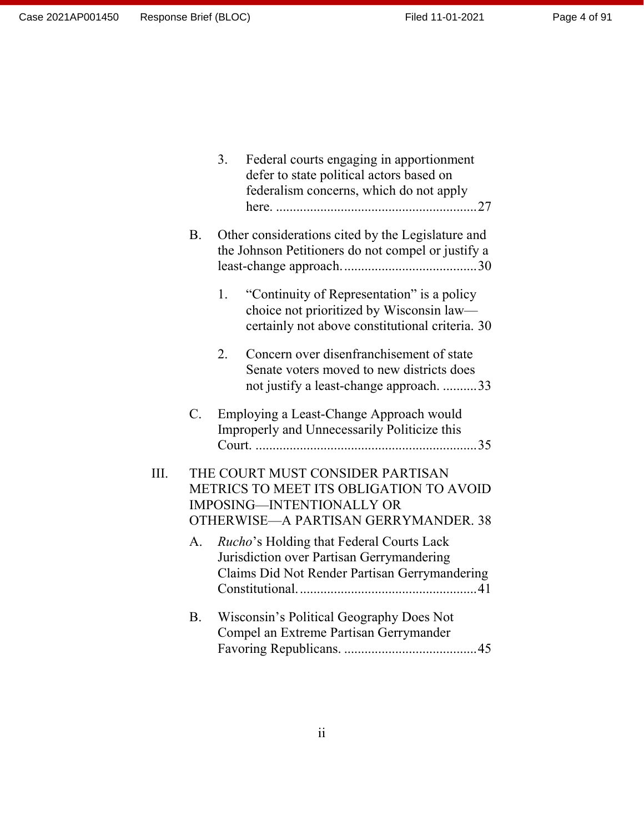[defer to state political actors based on](#page-35-0)  [federalism concerns, which do not apply](#page-35-0)  here. [...........................................................27](#page-35-0) B. [Other considerations cited by the Legislature and](#page-38-0)  [the Johnson Petitioners do not compel or justify a](#page-38-0)  [least-change approach........................................30](#page-38-0) 1. ["Continuity of Representation" is a policy](#page-38-1)  [choice not prioritized by Wisconsin law](#page-38-1) [certainly not above constitutional criteria.](#page-38-1) 30 2. [Concern over disenfranchisement of state](#page-41-0)  [Senate voters moved to new districts does](#page-41-0)  [not justify a least-change approach.](#page-41-0) ..........33 C. [Employing a Least-Change Approach would](#page-43-0)  [Improperly and Unnecessarily Politicize this](#page-43-0)  Court. [.................................................................35](#page-43-0) III. [THE COURT MUST CONSIDER PARTISAN](#page-46-0)  [METRICS TO MEET ITS OBLIGATION TO AVOID](#page-46-0)  [IMPOSING—INTENTIONALLY OR](#page-46-0)  [OTHERWISE—A PARTISAN GERRYMANDER.](#page-46-0) 38 A. *Rucho*['s Holding that Federal Courts Lack](#page-49-0)  [Jurisdiction over Partisan Gerrymandering](#page-49-0)  [Claims Did Not Render Partisan Gerrymandering](#page-49-0)  [Constitutional.....................................................41](#page-49-0) B. [Wisconsin's Political Geography Does Not](#page-53-0)  [Compel an Extreme Partisan Gerrymander](#page-53-0)  Favoring Republicans. [.......................................45](#page-53-0)

3. [Federal courts engaging in apportionment](#page-35-0)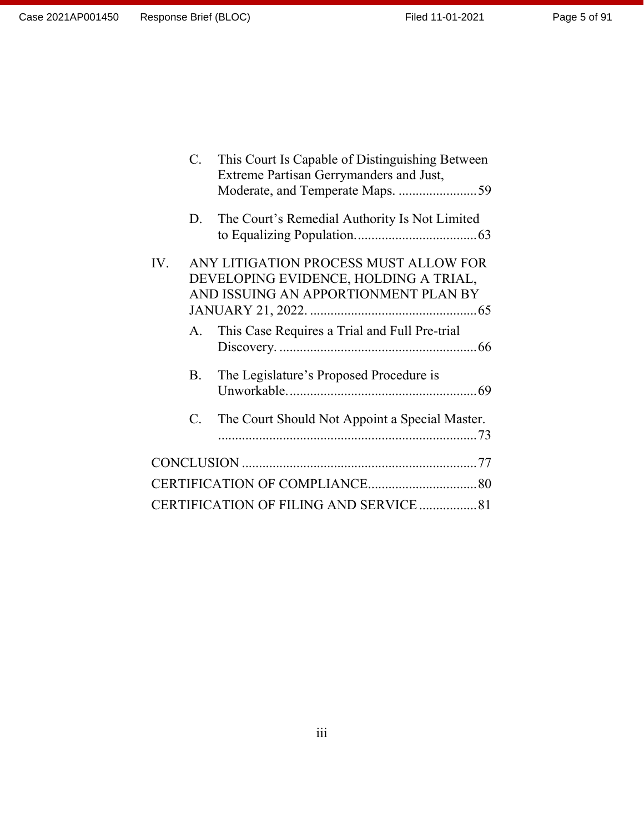|     | $\mathbf{C}$ . | This Court Is Capable of Distinguishing Between<br>Extreme Partisan Gerrymanders and Just,                             |
|-----|----------------|------------------------------------------------------------------------------------------------------------------------|
|     | D.             | The Court's Remedial Authority Is Not Limited                                                                          |
| IV. |                | ANY LITIGATION PROCESS MUST ALLOW FOR<br>DEVELOPING EVIDENCE, HOLDING A TRIAL,<br>AND ISSUING AN APPORTIONMENT PLAN BY |
|     | A.             | This Case Requires a Trial and Full Pre-trial                                                                          |
|     | <b>B.</b>      | The Legislature's Proposed Procedure is                                                                                |
|     | C.             | The Court Should Not Appoint a Special Master.                                                                         |
|     |                |                                                                                                                        |
|     |                |                                                                                                                        |
|     |                | CERTIFICATION OF FILING AND SERVICE  81                                                                                |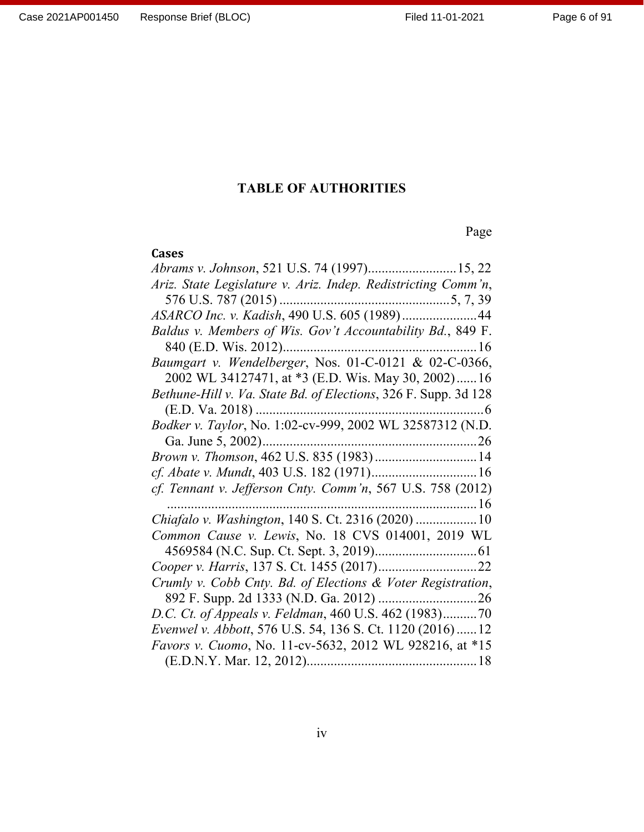# **TABLE OF AUTHORITIES**

# Page

<span id="page-5-0"></span>

| <b>Cases</b>                                                    |
|-----------------------------------------------------------------|
| Abrams v. Johnson, 521 U.S. 74 (1997) 15, 22                    |
| Ariz. State Legislature v. Ariz. Indep. Redistricting Comm'n,   |
|                                                                 |
| ASARCO Inc. v. Kadish, 490 U.S. 605 (1989) 44                   |
| Baldus v. Members of Wis. Gov't Accountability Bd., 849 F.      |
|                                                                 |
| Baumgart v. Wendelberger, Nos. 01-C-0121 & 02-C-0366,           |
| 2002 WL 34127471, at *3 (E.D. Wis. May 30, 2002)16              |
| Bethune-Hill v. Va. State Bd. of Elections, 326 F. Supp. 3d 128 |
|                                                                 |
| Bodker v. Taylor, No. 1:02-cv-999, 2002 WL 32587312 (N.D.       |
|                                                                 |
|                                                                 |
|                                                                 |
| cf. Tennant v. Jefferson Cnty. Comm'n, 567 U.S. 758 (2012)      |
|                                                                 |
| Chiafalo v. Washington, 140 S. Ct. 2316 (2020)  10              |
| Common Cause v. Lewis, No. 18 CVS 014001, 2019 WL               |
|                                                                 |
|                                                                 |
| Crumly v. Cobb Cnty. Bd. of Elections & Voter Registration,     |
|                                                                 |
| D.C. Ct. of Appeals v. Feldman, 460 U.S. 462 (1983)70           |
| Evenwel v. Abbott, 576 U.S. 54, 136 S. Ct. 1120 (2016)  12      |
| Favors v. Cuomo, No. 11-cv-5632, 2012 WL 928216, at *15         |
|                                                                 |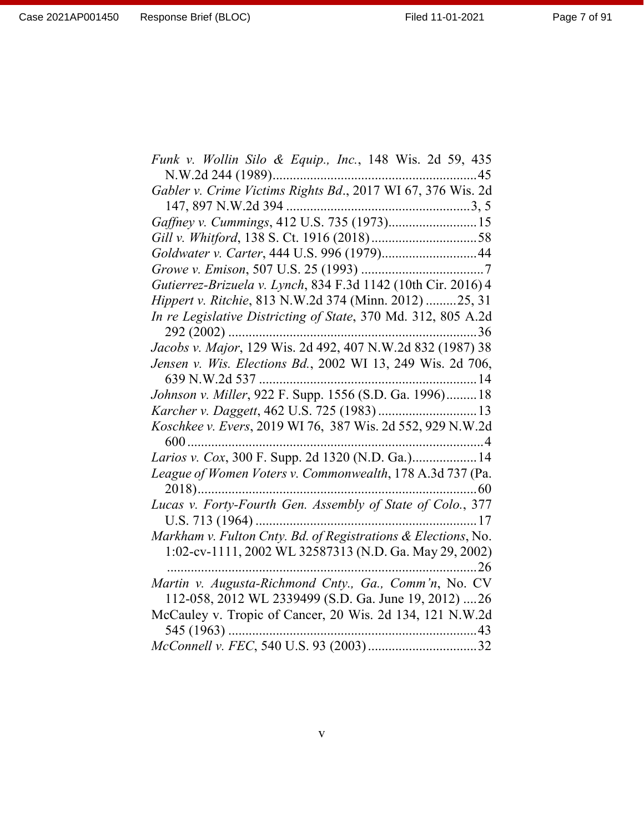| Funk v. Wollin Silo & Equip., Inc., 148 Wis. 2d 59, 435       |
|---------------------------------------------------------------|
| N.W.2d 244 (1989)<br>$\dots 45$                               |
| Gabler v. Crime Victims Rights Bd., 2017 WI 67, 376 Wis. 2d   |
|                                                               |
|                                                               |
|                                                               |
| Goldwater v. Carter, 444 U.S. 996 (1979)44                    |
|                                                               |
| Gutierrez-Brizuela v. Lynch, 834 F.3d 1142 (10th Cir. 2016) 4 |
| Hippert v. Ritchie, 813 N.W.2d 374 (Minn. 2012) 25, 31        |
| In re Legislative Districting of State, 370 Md. 312, 805 A.2d |
| 36                                                            |
| Jacobs v. Major, 129 Wis. 2d 492, 407 N.W.2d 832 (1987) 38    |
| Jensen v. Wis. Elections Bd., 2002 WI 13, 249 Wis. 2d 706,    |
|                                                               |
| Johnson v. Miller, 922 F. Supp. 1556 (S.D. Ga. 1996) 18       |
|                                                               |
| Koschkee v. Evers, 2019 WI 76, 387 Wis. 2d 552, 929 N.W.2d    |
| 600                                                           |
| Larios v. Cox, 300 F. Supp. 2d 1320 (N.D. Ga.) 14             |
| League of Women Voters v. Commonwealth, 178 A.3d 737 (Pa.     |
|                                                               |
|                                                               |
|                                                               |
| Markham v. Fulton Cnty. Bd. of Registrations & Elections, No. |
| 1:02-cv-1111, 2002 WL 32587313 (N.D. Ga. May 29, 2002)        |
| 26                                                            |
| Martin v. Augusta-Richmond Cnty., Ga., Comm'n, No. CV         |
| 112-058, 2012 WL 2339499 (S.D. Ga. June 19, 2012)  26         |
| McCauley v. Tropic of Cancer, 20 Wis. 2d 134, 121 N.W.2d      |
|                                                               |
|                                                               |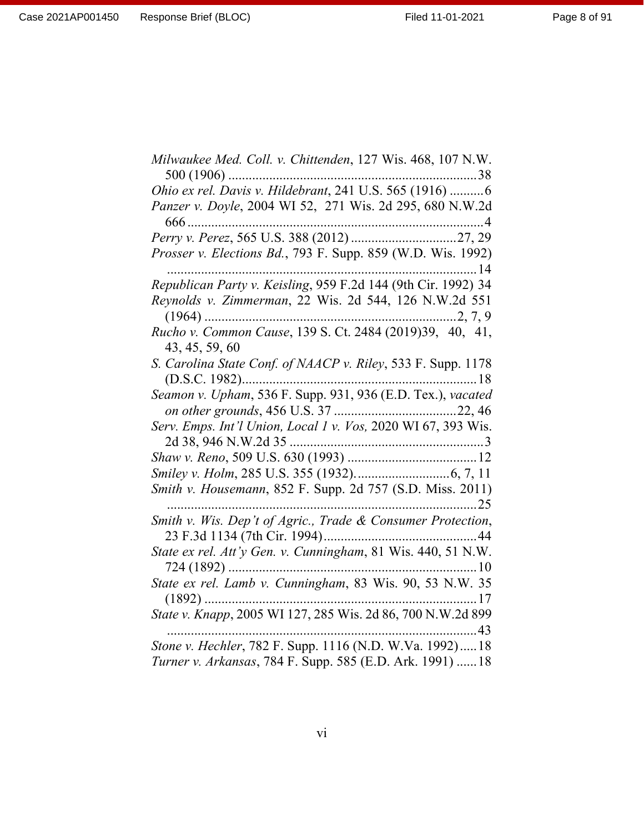Page 8 of 91

| Milwaukee Med. Coll. v. Chittenden, 127 Wis. 468, 107 N.W.                                                          |
|---------------------------------------------------------------------------------------------------------------------|
| Ohio ex rel. Davis v. Hildebrant, 241 U.S. 565 (1916) 6<br>Panzer v. Doyle, 2004 WI 52, 271 Wis. 2d 295, 680 N.W.2d |
| 666                                                                                                                 |
|                                                                                                                     |
| Prosser v. Elections Bd., 793 F. Supp. 859 (W.D. Wis. 1992)                                                         |
| Republican Party v. Keisling, 959 F.2d 144 (9th Cir. 1992) 34                                                       |
| Reynolds v. Zimmerman, 22 Wis. 2d 544, 126 N.W.2d 551                                                               |
| 43, 45, 59, 60                                                                                                      |
| S. Carolina State Conf. of NAACP v. Riley, 533 F. Supp. 1178                                                        |
| Seamon v. Upham, 536 F. Supp. 931, 936 (E.D. Tex.), vacated                                                         |
| Serv. Emps. Int'l Union, Local 1 v. Vos, 2020 WI 67, 393 Wis.                                                       |
|                                                                                                                     |
|                                                                                                                     |
| Smith v. Housemann, 852 F. Supp. 2d 757 (S.D. Miss. 2011)                                                           |
| Smith v. Wis. Dep't of Agric., Trade & Consumer Protection,                                                         |
|                                                                                                                     |
|                                                                                                                     |
| State ex rel. Lamb v. Cunningham, 83 Wis. 90, 53 N.W. 35                                                            |
| State v. Knapp, 2005 WI 127, 285 Wis. 2d 86, 700 N.W.2d 899                                                         |
| Stone v. Hechler, 782 F. Supp. 1116 (N.D. W.Va. 1992) 18                                                            |
| Turner v. Arkansas, 784 F. Supp. 585 (E.D. Ark. 1991)  18                                                           |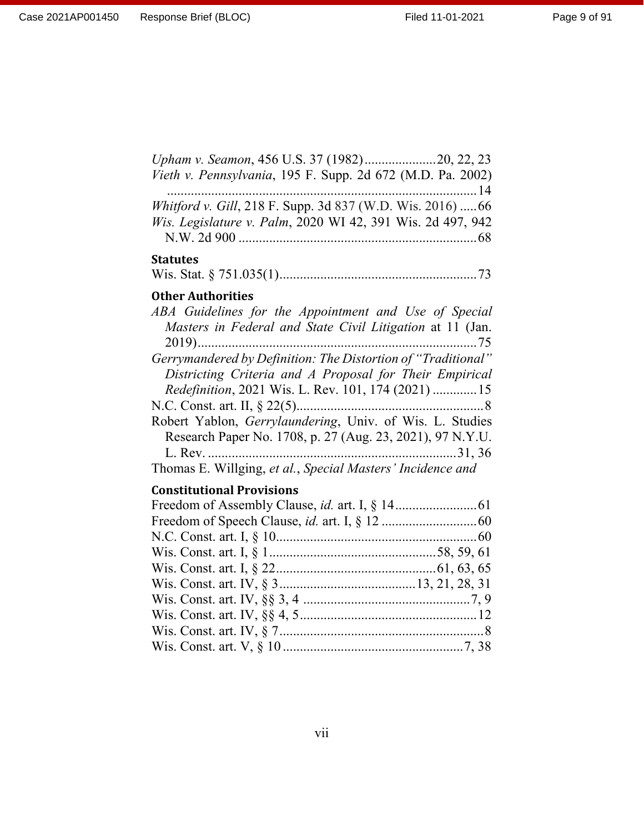Page 9 of 91

| Vieth v. Pennsylvania, 195 F. Supp. 2d 672 (M.D. Pa. 2002)   |
|--------------------------------------------------------------|
|                                                              |
| Whitford v. Gill, 218 F. Supp. 3d 837 (W.D. Wis. 2016)  66   |
| Wis. Legislature v. Palm, 2020 WI 42, 391 Wis. 2d 497, 942   |
|                                                              |
| <b>Statutes</b>                                              |
|                                                              |
| <b>Other Authorities</b>                                     |
| ABA Guidelines for the Appointment and Use of Special        |
| Masters in Federal and State Civil Litigation at 11 (Jan.    |
|                                                              |
| Gerrymandered by Definition: The Distortion of "Traditional" |
| Districting Criteria and A Proposal for Their Empirical      |
| Redefinition, 2021 Wis. L. Rev. 101, 174 (2021)  15          |
|                                                              |
|                                                              |

Robert Yablon, *Gerrylaundering*, Univ. of Wis. L. Studies Research Paper No. 1708, p. 27 (Aug. 23, 2021), 97 N.Y.U. L. Rev. .........................................................................31, 36 Thomas E. Willging, *et al.*, *Special Masters' Incidence and*

#### **Constitutional Provisions**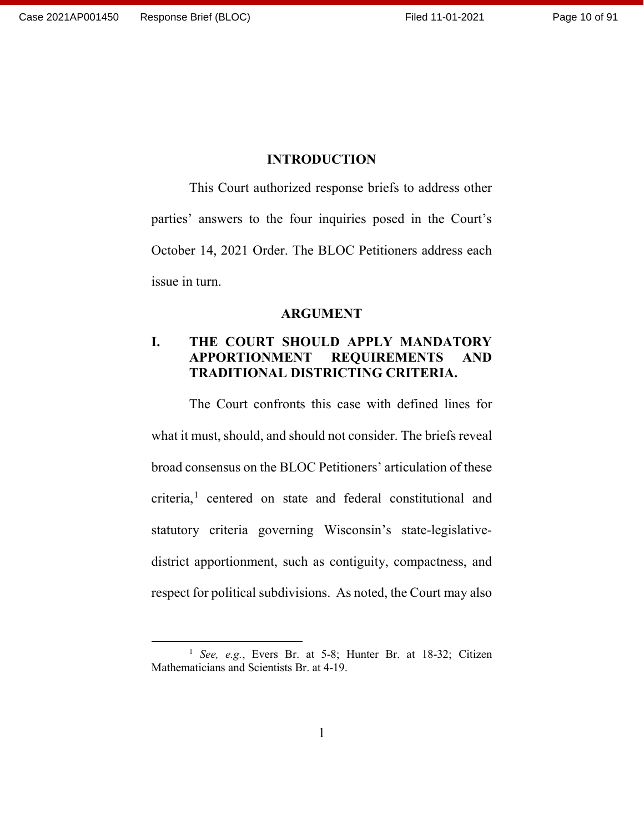#### **INTRODUCTION**

<span id="page-9-0"></span>This Court authorized response briefs to address other parties' answers to the four inquiries posed in the Court's October 14, 2021 Order. The BLOC Petitioners address each issue in turn.

#### **ARGUMENT**

#### <span id="page-9-2"></span><span id="page-9-1"></span>**I. THE COURT SHOULD APPLY MANDATORY APPORTIONMENT REQUIREMENTS AND TRADITIONAL DISTRICTING CRITERIA.**

The Court confronts this case with defined lines for what it must, should, and should not consider. The briefs reveal broad consensus on the BLOC Petitioners' articulation of these criteria,<sup>[1](#page-9-3)</sup> centered on state and federal constitutional and statutory criteria governing Wisconsin's state-legislativedistrict apportionment, such as contiguity, compactness, and respect for political subdivisions. As noted, the Court may also

<span id="page-9-3"></span><sup>&</sup>lt;sup>1</sup> *See*, *e.g.*, Evers Br. at 5-8; Hunter Br. at 18-32; Citizen Mathematicians and Scientists Br. at 4-19.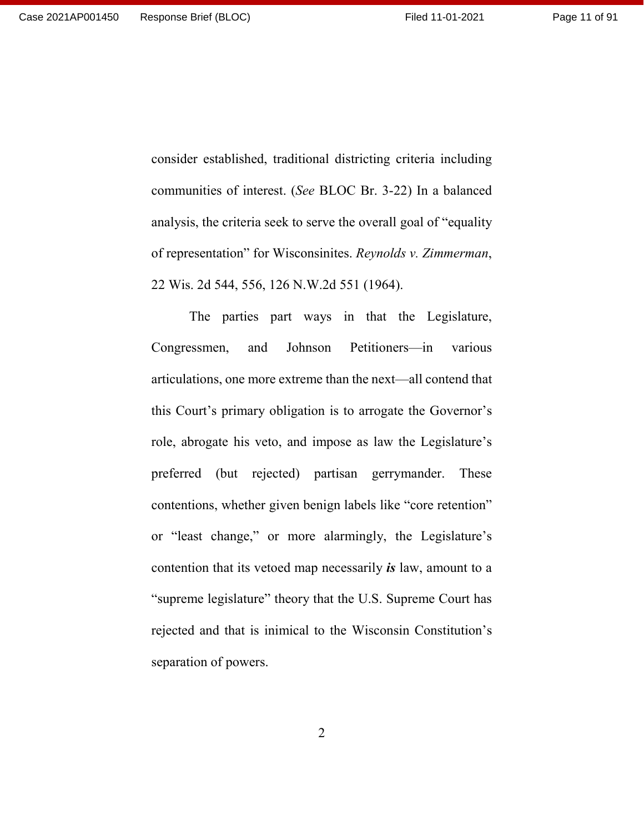consider established, traditional districting criteria including communities of interest. (*See* BLOC Br. 3-22) In a balanced analysis, the criteria seek to serve the overall goal of "equality of representation" for Wisconsinites. *Reynolds v. Zimmerman*, 22 Wis. 2d 544, 556, 126 N.W.2d 551 (1964).

The parties part ways in that the Legislature, Congressmen, and Johnson Petitioners—in various articulations, one more extreme than the next—all contend that this Court's primary obligation is to arrogate the Governor's role, abrogate his veto, and impose as law the Legislature's preferred (but rejected) partisan gerrymander. These contentions, whether given benign labels like "core retention" or "least change," or more alarmingly, the Legislature's contention that its vetoed map necessarily *is* law, amount to a "supreme legislature" theory that the U.S. Supreme Court has rejected and that is inimical to the Wisconsin Constitution's separation of powers.

2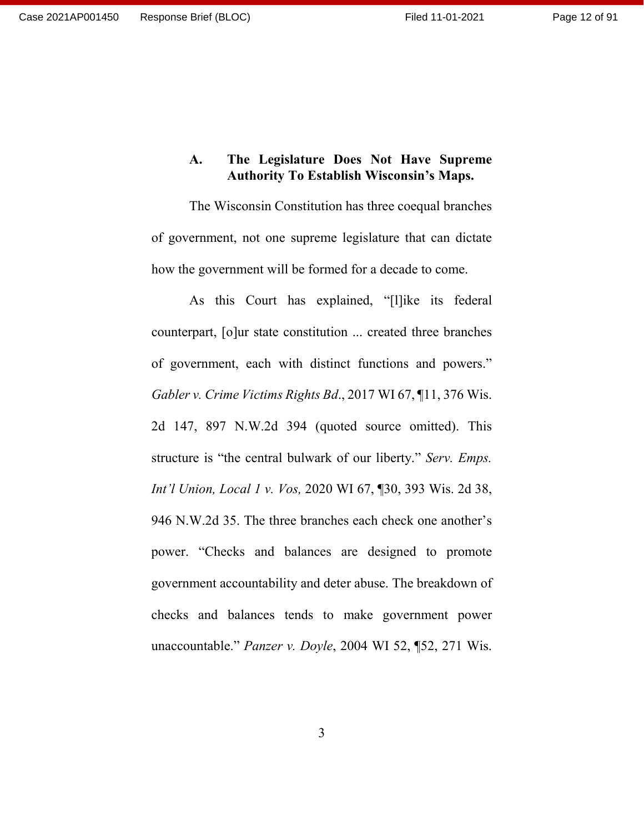## <span id="page-11-0"></span>**A. The Legislature Does Not Have Supreme Authority To Establish Wisconsin's Maps.**

The Wisconsin Constitution has three coequal branches of government, not one supreme legislature that can dictate how the government will be formed for a decade to come.

As this Court has explained, "[l]ike its federal counterpart, [o]ur state constitution ... created three branches of government, each with distinct functions and powers." *Gabler v. Crime Victims Rights Bd*., 2017 WI 67, ¶11, 376 Wis. 2d 147, 897 N.W.2d 394 (quoted source omitted). This structure is "the central bulwark of our liberty." *Serv. Emps. Int'l Union, Local 1 v. Vos,* 2020 WI 67, ¶30, 393 Wis. 2d 38, 946 N.W.2d 35. The three branches each check one another's power. "Checks and balances are designed to promote government accountability and deter abuse. The breakdown of checks and balances tends to make government power unaccountable." *Panzer v. Doyle*, 2004 WI 52, ¶52, 271 Wis.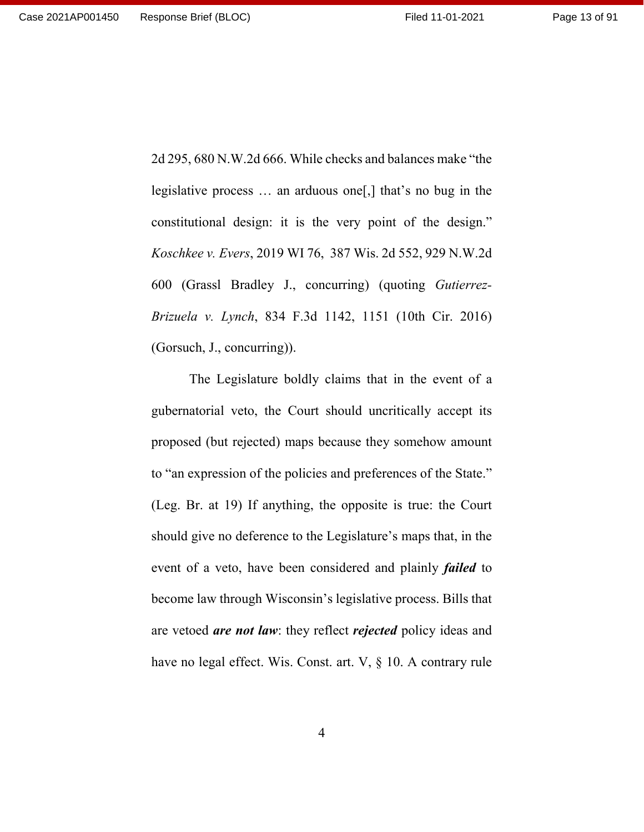2d 295, 680 N.W.2d 666. While checks and balances make "the legislative process … an arduous one[,] that's no bug in the constitutional design: it is the very point of the design." *Koschkee v. Evers*, 2019 WI 76, 387 Wis. 2d 552, 929 N.W.2d 600 (Grassl Bradley J., concurring) (quoting *Gutierrez-Brizuela v. Lynch*, 834 F.3d 1142, 1151 (10th Cir. 2016) (Gorsuch, J., concurring)).

The Legislature boldly claims that in the event of a gubernatorial veto, the Court should uncritically accept its proposed (but rejected) maps because they somehow amount to "an expression of the policies and preferences of the State." (Leg. Br. at 19) If anything, the opposite is true: the Court should give no deference to the Legislature's maps that, in the event of a veto, have been considered and plainly *failed* to become law through Wisconsin's legislative process. Bills that are vetoed *are not law*: they reflect *rejected* policy ideas and have no legal effect. Wis. Const. art. V, § 10. A contrary rule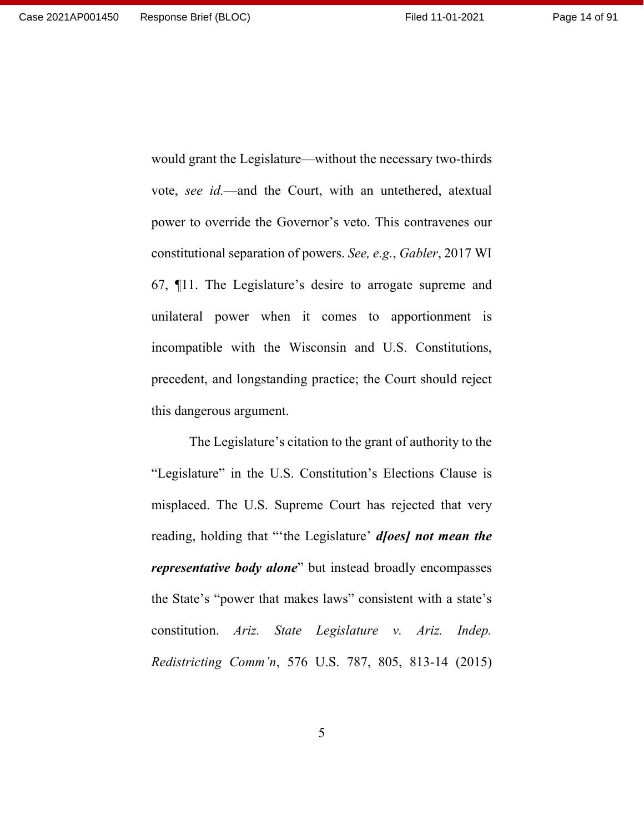would grant the Legislature—without the necessary two-thirds vote, *see id.*—and the Court, with an untethered, atextual power to override the Governor's veto. This contravenes our constitutional separation of powers. *See, e.g.*, *Gabler*, 2017 WI 67, ¶11. The Legislature's desire to arrogate supreme and unilateral power when it comes to apportionment is incompatible with the Wisconsin and U.S. Constitutions, precedent, and longstanding practice; the Court should reject this dangerous argument.

The Legislature's citation to the grant of authority to the "Legislature" in the U.S. Constitution's Elections Clause is misplaced. The U.S. Supreme Court has rejected that very reading, holding that "'the Legislature' *d[oes] not mean the representative body alone*" but instead broadly encompasses the State's "power that makes laws" consistent with a state's constitution. *Ariz. State Legislature v. Ariz. Indep. Redistricting Comm'n*, 576 U.S. 787, 805, 813-14 (2015)

5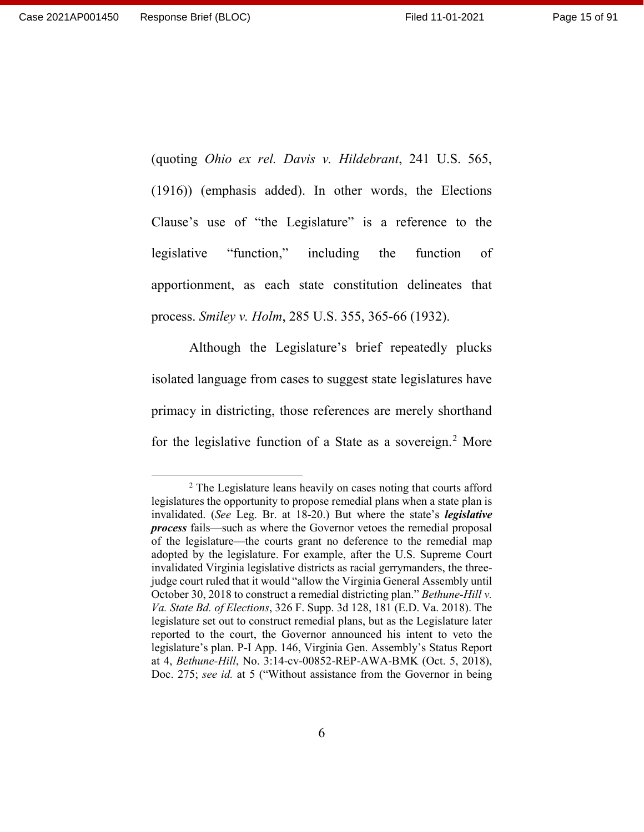(quoting *Ohio ex rel. Davis v. Hildebrant*, 241 U.S. 565,

(1916)) (emphasis added). In other words, the Elections Clause's use of "the Legislature" is a reference to the legislative "function," including the function of apportionment, as each state constitution delineates that process. *Smiley v. Holm*, 285 U.S. 355, 365-66 (1932).

Although the Legislature's brief repeatedly plucks isolated language from cases to suggest state legislatures have primacy in districting, those references are merely shorthand for the legislative function of a State as a sovereign.<sup>[2](#page-14-0)</sup> More

<span id="page-14-0"></span><sup>&</sup>lt;sup>2</sup> The Legislature leans heavily on cases noting that courts afford legislatures the opportunity to propose remedial plans when a state plan is invalidated. (*See* Leg. Br. at 18-20.) But where the state's *legislative process* fails—such as where the Governor vetoes the remedial proposal of the legislature—the courts grant no deference to the remedial map adopted by the legislature. For example, after the U.S. Supreme Court invalidated Virginia legislative districts as racial gerrymanders, the threejudge court ruled that it would "allow the Virginia General Assembly until October 30, 2018 to construct a remedial districting plan." *Bethune-Hill v. Va. State Bd. of Elections*, 326 F. Supp. 3d 128, 181 (E.D. Va. 2018). The legislature set out to construct remedial plans, but as the Legislature later reported to the court, the Governor announced his intent to veto the legislature's plan. P-I App. 146, Virginia Gen. Assembly's Status Report at 4, *Bethune-Hill*, No. 3:14-cv-00852-REP-AWA-BMK (Oct. 5, 2018), Doc. 275; *see id.* at 5 ("Without assistance from the Governor in being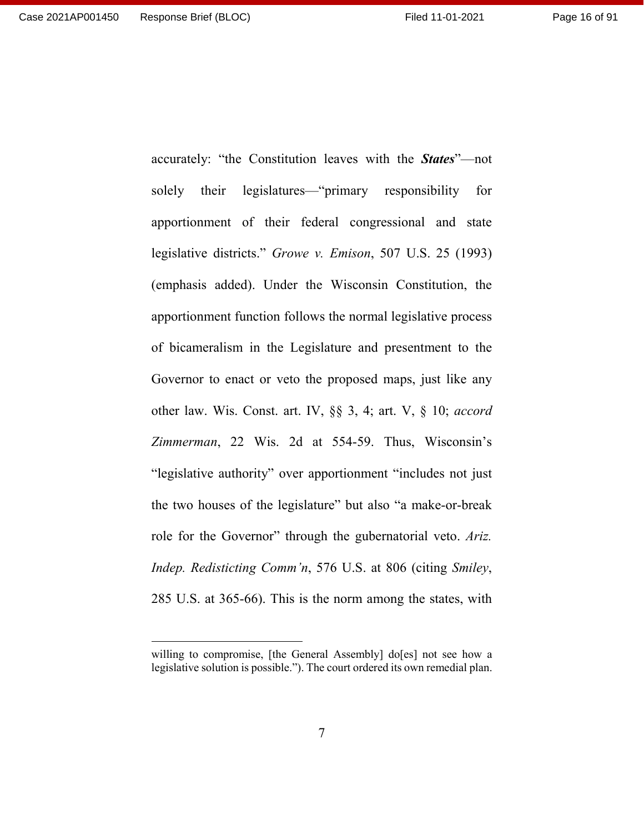$\overline{a}$ 

solely their legislatures—"primary responsibility for apportionment of their federal congressional and state legislative districts." *Growe v. Emison*, 507 U.S. 25 (1993) (emphasis added). Under the Wisconsin Constitution, the apportionment function follows the normal legislative process of bicameralism in the Legislature and presentment to the Governor to enact or veto the proposed maps, just like any other law. Wis. Const. art. IV, §§ 3, 4; art. V, § 10; *accord Zimmerman*, 22 Wis. 2d at 554-59. Thus, Wisconsin's "legislative authority" over apportionment "includes not just the two houses of the legislature" but also "a make-or-break role for the Governor" through the gubernatorial veto. *Ariz. Indep. Redisticting Comm'n*, 576 U.S. at 806 (citing *Smiley*, 285 U.S. at 365-66). This is the norm among the states, with

accurately: "the Constitution leaves with the *States*"—not

7

willing to compromise, [the General Assembly] do[es] not see how a legislative solution is possible."). The court ordered its own remedial plan.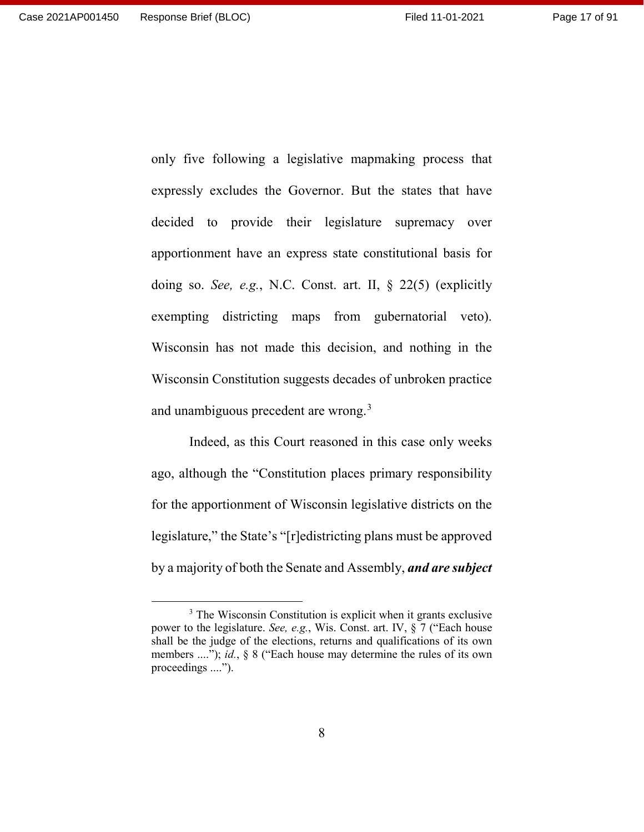only five following a legislative mapmaking process that expressly excludes the Governor. But the states that have decided to provide their legislature supremacy over apportionment have an express state constitutional basis for doing so. *See, e.g.*, N.C. Const. art. II, § 22(5) (explicitly exempting districting maps from gubernatorial veto). Wisconsin has not made this decision, and nothing in the Wisconsin Constitution suggests decades of unbroken practice and unambiguous precedent are wrong.<sup>[3](#page-16-0)</sup>

Indeed, as this Court reasoned in this case only weeks ago, although the "Constitution places primary responsibility for the apportionment of Wisconsin legislative districts on the legislature," the State's "[r]edistricting plans must be approved by a majority of both the Senate and Assembly, *and are subject* 

<span id="page-16-0"></span><sup>&</sup>lt;sup>3</sup> The Wisconsin Constitution is explicit when it grants exclusive power to the legislature. *See, e.g.*, Wis. Const. art. IV, § 7 ("Each house shall be the judge of the elections, returns and qualifications of its own members ...."); *id.*, § 8 ("Each house may determine the rules of its own proceedings ....").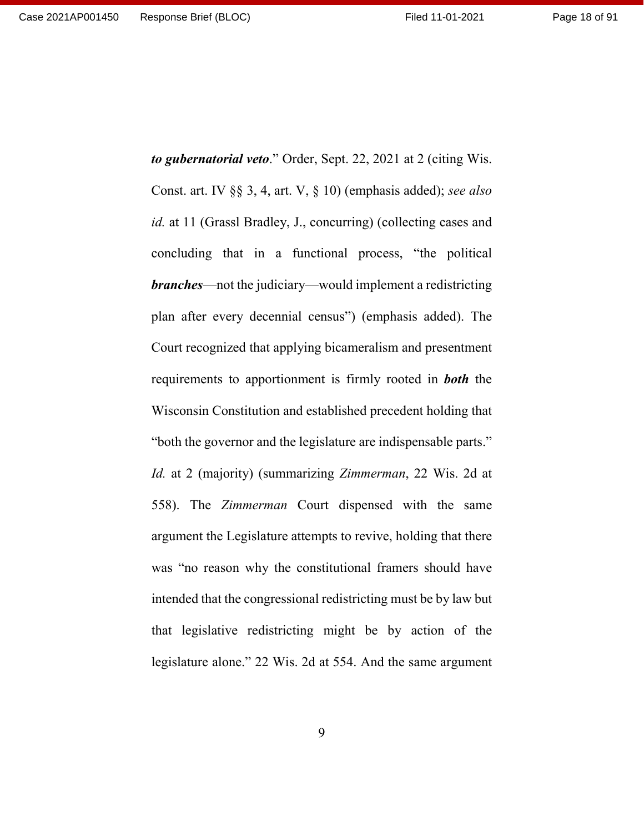Page 18 of 91

*to gubernatorial veto*." Order, Sept. 22, 2021 at 2 (citing Wis. Const. art. IV §§ 3, 4, art. V, § 10) (emphasis added); *see also id.* at 11 (Grassl Bradley, J., concurring) (collecting cases and concluding that in a functional process, "the political *branches*—not the judiciary—would implement a redistricting plan after every decennial census") (emphasis added). The Court recognized that applying bicameralism and presentment requirements to apportionment is firmly rooted in *both* the Wisconsin Constitution and established precedent holding that "both the governor and the legislature are indispensable parts." *Id.* at 2 (majority) (summarizing *Zimmerman*, 22 Wis. 2d at 558). The *Zimmerman* Court dispensed with the same argument the Legislature attempts to revive, holding that there was "no reason why the constitutional framers should have intended that the congressional redistricting must be by law but that legislative redistricting might be by action of the legislature alone." 22 Wis. 2d at 554. And the same argument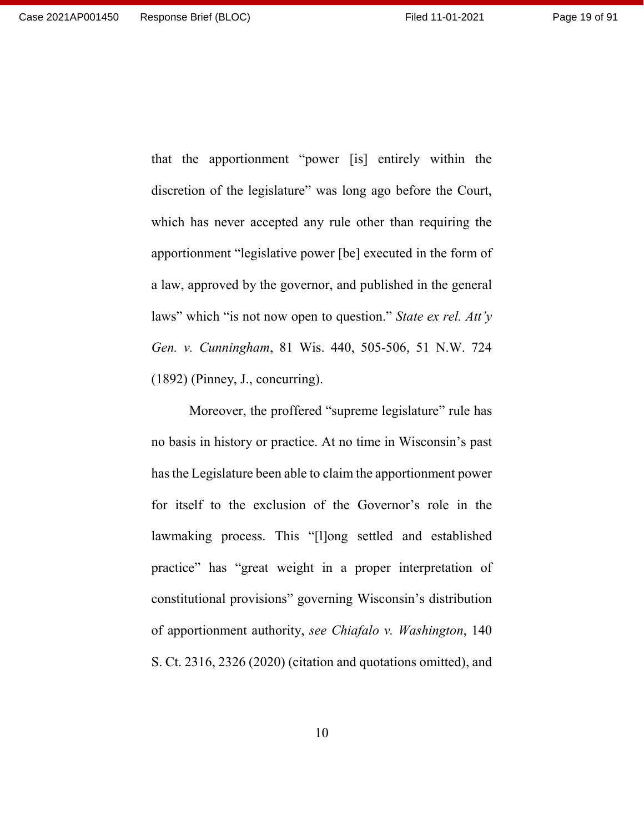Page 19 of 91

that the apportionment "power [is] entirely within the discretion of the legislature" was long ago before the Court, which has never accepted any rule other than requiring the apportionment "legislative power [be] executed in the form of a law, approved by the governor, and published in the general laws" which "is not now open to question." *State ex rel. Att'y Gen. v. Cunningham*, 81 Wis. 440, 505-506, 51 N.W. 724 (1892) (Pinney, J., concurring).

Moreover, the proffered "supreme legislature" rule has no basis in history or practice. At no time in Wisconsin's past has the Legislature been able to claim the apportionment power for itself to the exclusion of the Governor's role in the lawmaking process. This "[l]ong settled and established practice" has "great weight in a proper interpretation of constitutional provisions" governing Wisconsin's distribution of apportionment authority, *see Chiafalo v. Washington*, 140 S. Ct. 2316, 2326 (2020) (citation and quotations omitted), and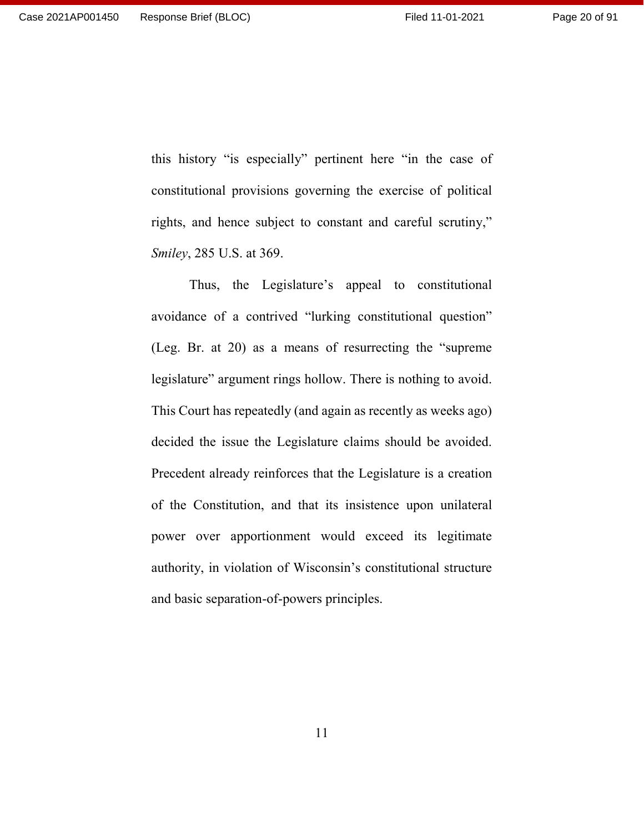this history "is especially" pertinent here "in the case of constitutional provisions governing the exercise of political rights, and hence subject to constant and careful scrutiny," *Smiley*, 285 U.S. at 369.

Thus, the Legislature's appeal to constitutional avoidance of a contrived "lurking constitutional question" (Leg. Br. at 20) as a means of resurrecting the "supreme legislature" argument rings hollow. There is nothing to avoid. This Court has repeatedly (and again as recently as weeks ago) decided the issue the Legislature claims should be avoided. Precedent already reinforces that the Legislature is a creation of the Constitution, and that its insistence upon unilateral power over apportionment would exceed its legitimate authority, in violation of Wisconsin's constitutional structure and basic separation-of-powers principles.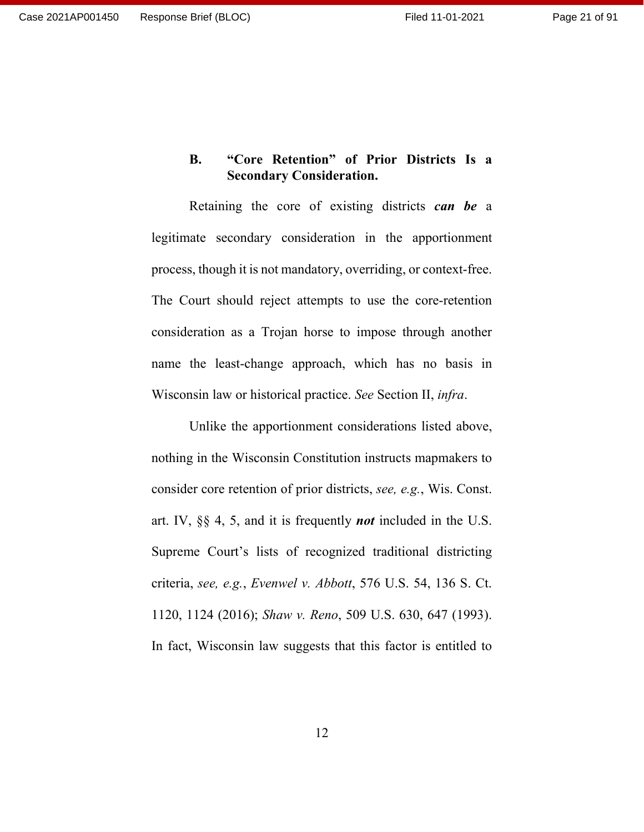# <span id="page-20-0"></span>**B. "Core Retention" of Prior Districts Is a Secondary Consideration.**

Retaining the core of existing districts *can be* a legitimate secondary consideration in the apportionment process, though it is not mandatory, overriding, or context-free. The Court should reject attempts to use the core-retention consideration as a Trojan horse to impose through another name the least-change approach, which has no basis in Wisconsin law or historical practice. *See* Section II, *infra*.

Unlike the apportionment considerations listed above, nothing in the Wisconsin Constitution instructs mapmakers to consider core retention of prior districts, *see, e.g.*, Wis. Const. art. IV, §§ 4, 5, and it is frequently *not* included in the U.S. Supreme Court's lists of recognized traditional districting criteria, *see, e.g.*, *Evenwel v. Abbott*, 576 U.S. 54, 136 S. Ct. 1120, 1124 (2016); *Shaw v. Reno*, 509 U.S. 630, 647 (1993). In fact, Wisconsin law suggests that this factor is entitled to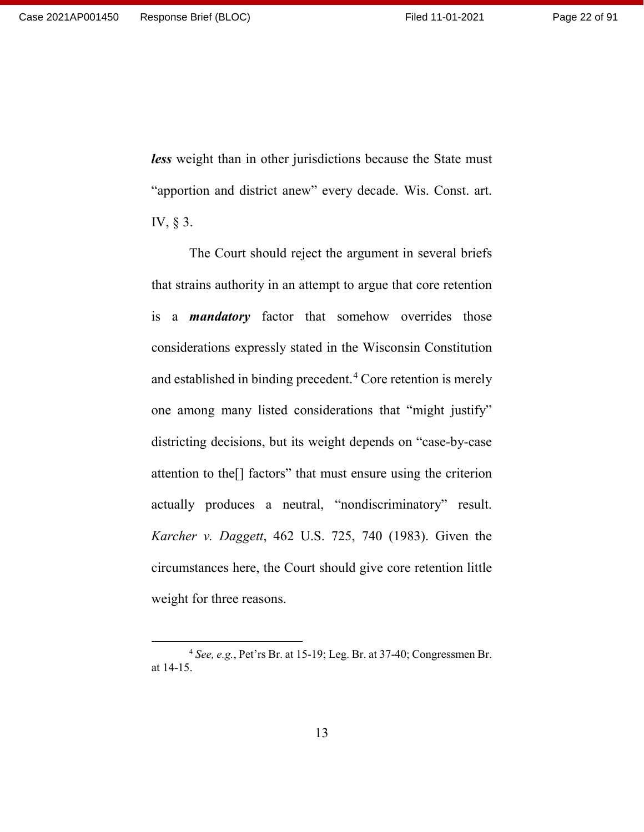*less* weight than in other jurisdictions because the State must "apportion and district anew" every decade. Wis. Const. art. IV, § 3.

The Court should reject the argument in several briefs that strains authority in an attempt to argue that core retention is a *mandatory* factor that somehow overrides those considerations expressly stated in the Wisconsin Constitution and established in binding precedent.<sup>[4](#page-21-0)</sup> Core retention is merely one among many listed considerations that "might justify" districting decisions, but its weight depends on "case-by-case attention to the[] factors" that must ensure using the criterion actually produces a neutral, "nondiscriminatory" result. *Karcher v. Daggett*, 462 U.S. 725, 740 (1983). Given the circumstances here, the Court should give core retention little weight for three reasons.

<span id="page-21-0"></span> <sup>4</sup> *See, e.g.*, Pet'rs Br. at 15-19; Leg. Br. at 37-40; Congressmen Br. at 14-15.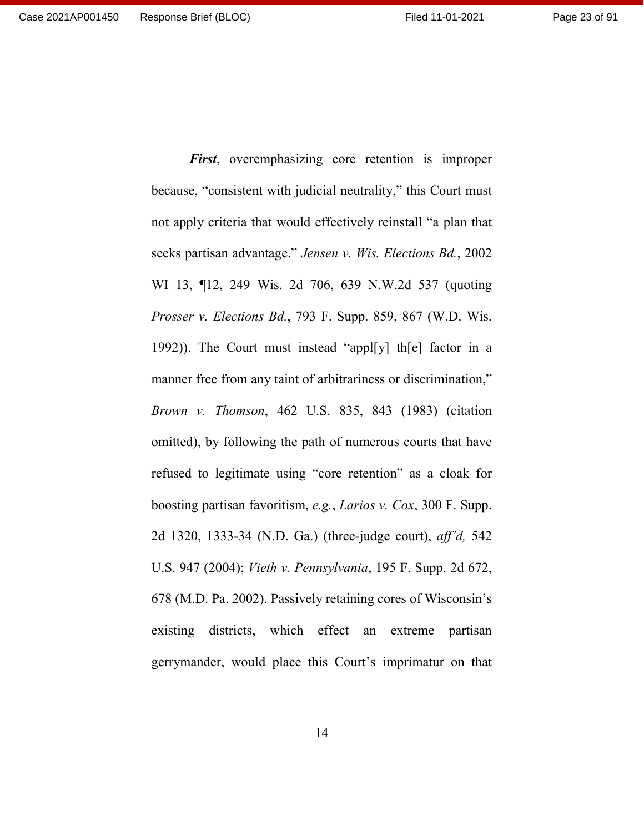because, "consistent with judicial neutrality," this Court must not apply criteria that would effectively reinstall "a plan that seeks partisan advantage." *Jensen v. Wis. Elections Bd.*, 2002 WI 13, ¶12, 249 Wis. 2d 706, 639 N.W.2d 537 (quoting *Prosser v. Elections Bd.*, 793 F. Supp. 859, 867 (W.D. Wis. 1992)). The Court must instead "appl[y] th[e] factor in a manner free from any taint of arbitrariness or discrimination," *Brown v. Thomson*, 462 U.S. 835, 843 (1983) (citation omitted), by following the path of numerous courts that have refused to legitimate using "core retention" as a cloak for boosting partisan favoritism, *e.g.*, *Larios v. Cox*, 300 F. Supp. 2d 1320, 1333-34 (N.D. Ga.) (three-judge court), *aff'd,* 542 U.S. 947 (2004); *Vieth v. Pennsylvania*, 195 F. Supp. 2d 672, 678 (M.D. Pa. 2002). Passively retaining cores of Wisconsin's existing districts, which effect an extreme partisan gerrymander, would place this Court's imprimatur on that

*First*, overemphasizing core retention is improper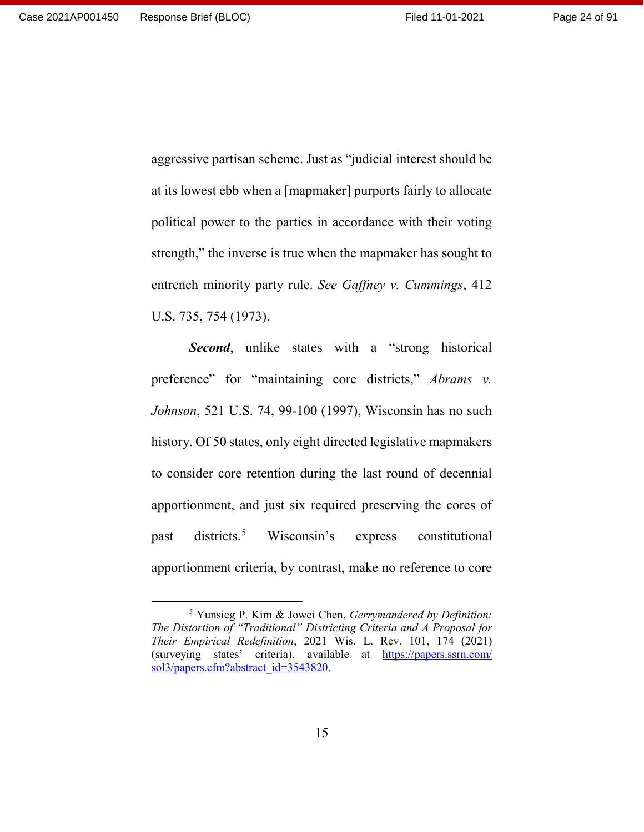aggressive partisan scheme. Just as "judicial interest should be at its lowest ebb when a [mapmaker] purports fairly to allocate political power to the parties in accordance with their voting strength," the inverse is true when the mapmaker has sought to entrench minority party rule. *See Gaffney v. Cummings*, 412 U.S. 735, 754 (1973).

**Second**, unlike states with a "strong historical preference" for "maintaining core districts," *Abrams v. Johnson*, 521 U.S. 74, 99-100 (1997), Wisconsin has no such history. Of 50 states, only eight directed legislative mapmakers to consider core retention during the last round of decennial apportionment, and just six required preserving the cores of past districts.[5](#page-23-0) Wisconsin's express constitutional apportionment criteria, by contrast, make no reference to core

<span id="page-23-0"></span> <sup>5</sup> Yunsieg P. Kim & Jowei Chen, *Gerrymandered by Definition: The Distortion of "Traditional" Districting Criteria and A Proposal for Their Empirical Redefinition*, 2021 Wis. L. Rev. 101, 174 (2021) (surveying states' criteria), available at [https://papers.ssrn.com/](https://papers.ssrn.com/sol3/papers.cfm?abstract_id=3543820) [sol3/papers.cfm?abstract\\_id=3543820.](https://papers.ssrn.com/sol3/papers.cfm?abstract_id=3543820)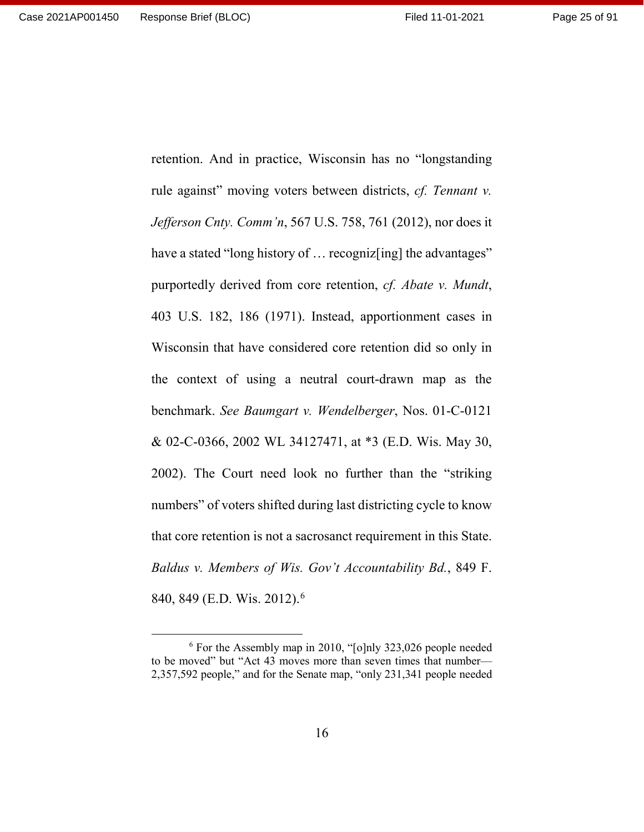retention. And in practice, Wisconsin has no "longstanding rule against" moving voters between districts, *cf. Tennant v. Jefferson Cnty. Comm'n*, 567 U.S. 758, 761 (2012), nor does it have a stated "long history of ... recogniz [ing] the advantages" purportedly derived from core retention, *cf. Abate v. Mundt*, 403 U.S. 182, 186 (1971). Instead, apportionment cases in Wisconsin that have considered core retention did so only in the context of using a neutral court-drawn map as the benchmark. *See Baumgart v. Wendelberger*, Nos. 01-C-0121 & 02-C-0366, 2002 WL 34127471, at \*3 (E.D. Wis. May 30, 2002). The Court need look no further than the "striking numbers" of voters shifted during last districting cycle to know that core retention is not a sacrosanct requirement in this State. *Baldus v. Members of Wis. Gov't Accountability Bd.*, 849 F. 840, 849 (E.D. Wis. 2012).<sup>[6](#page-24-0)</sup>

<span id="page-24-0"></span> <sup>6</sup> For the Assembly map in 2010, "[o]nly 323,026 people needed to be moved" but "Act 43 moves more than seven times that number— 2,357,592 people," and for the Senate map, "only 231,341 people needed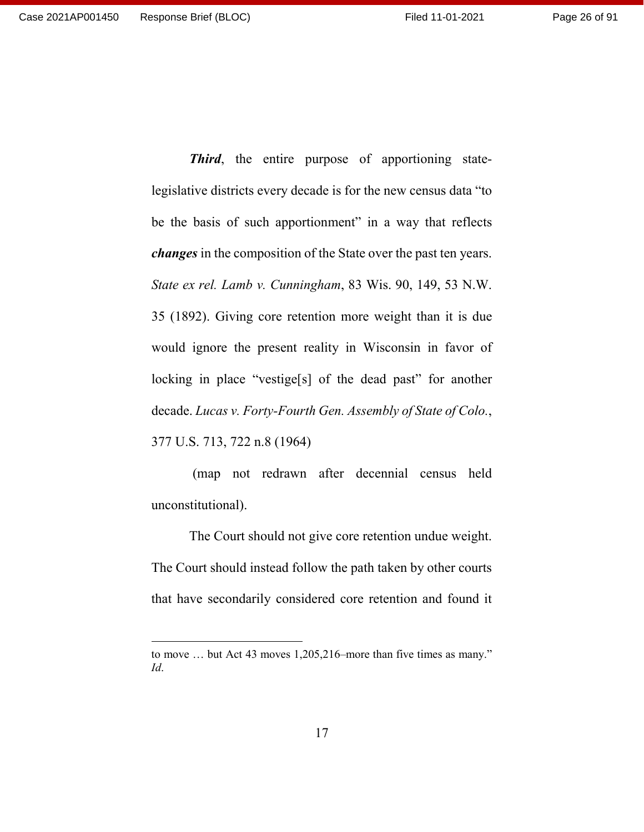*Third*, the entire purpose of apportioning statelegislative districts every decade is for the new census data "to be the basis of such apportionment" in a way that reflects *changes* in the composition of the State over the past ten years. *State ex rel. Lamb v. Cunningham*, 83 Wis. 90, 149, 53 N.W. 35 (1892). Giving core retention more weight than it is due would ignore the present reality in Wisconsin in favor of locking in place "vestige[s] of the dead past" for another decade. *Lucas v. Forty-Fourth Gen. Assembly of State of Colo.*,

377 U.S. 713, 722 n.8 (1964)

 $\overline{a}$ 

(map not redrawn after decennial census held unconstitutional).

The Court should not give core retention undue weight. The Court should instead follow the path taken by other courts that have secondarily considered core retention and found it

to move … but Act 43 moves 1,205,216–more than five times as many." *Id*.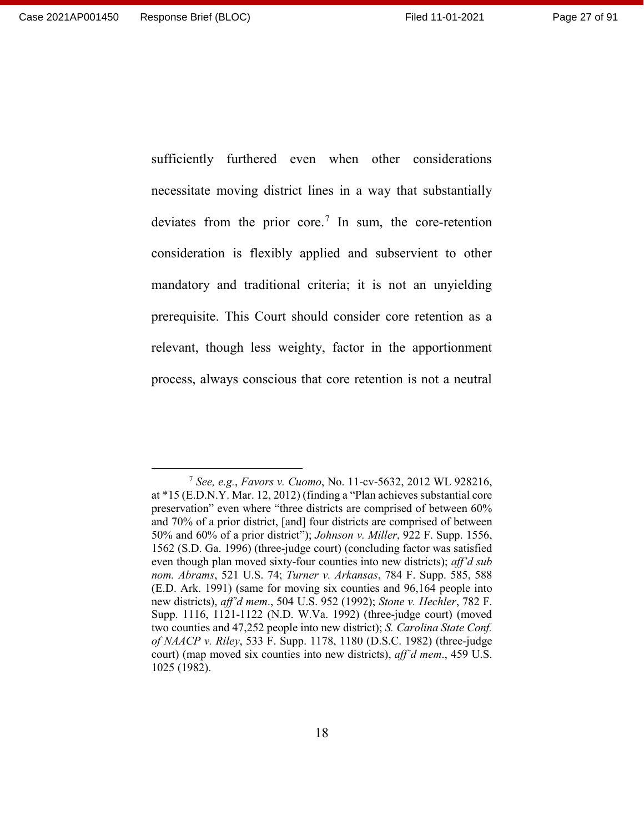sufficiently furthered even when other considerations necessitate moving district lines in a way that substantially deviates from the prior core.[7](#page-26-0) In sum, the core-retention consideration is flexibly applied and subservient to other mandatory and traditional criteria; it is not an unyielding prerequisite. This Court should consider core retention as a relevant, though less weighty, factor in the apportionment process, always conscious that core retention is not a neutral

<span id="page-26-0"></span> <sup>7</sup> *See, e.g.*, *Favors v. Cuomo*, No. 11-cv-5632, 2012 WL 928216, at \*15 (E.D.N.Y. Mar. 12, 2012) (finding a "Plan achieves substantial core preservation" even where "three districts are comprised of between 60% and 70% of a prior district, [and] four districts are comprised of between 50% and 60% of a prior district"); *Johnson v. Miller*, 922 F. Supp. 1556, 1562 (S.D. Ga. 1996) (three-judge court) (concluding factor was satisfied even though plan moved sixty-four counties into new districts); *aff'd sub nom. Abrams*, 521 U.S. 74; *Turner v. Arkansas*, 784 F. Supp. 585, 588 (E.D. Ark. 1991) (same for moving six counties and 96,164 people into new districts), *aff'd mem*., 504 U.S. 952 (1992); *Stone v. Hechler*, 782 F. Supp. 1116, 1121-1122 (N.D. W.Va. 1992) (three-judge court) (moved two counties and 47,252 people into new district); *S. Carolina State Conf. of NAACP v. Riley*, 533 F. Supp. 1178, 1180 (D.S.C. 1982) (three-judge court) (map moved six counties into new districts), *aff'd mem*., 459 U.S. 1025 (1982).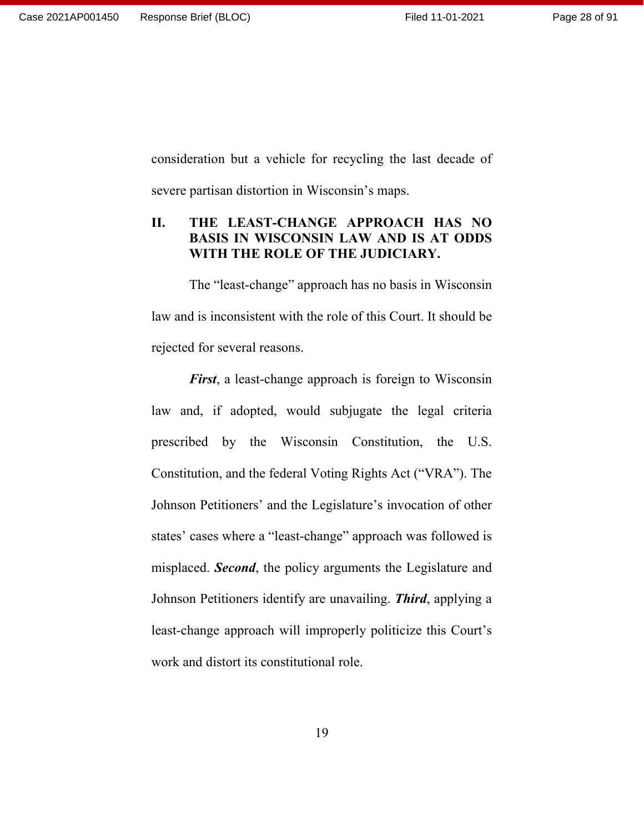Page 28 of 91

consideration but a vehicle for recycling the last decade of severe partisan distortion in Wisconsin's maps.

## <span id="page-27-0"></span>**II. THE LEAST-CHANGE APPROACH HAS NO BASIS IN WISCONSIN LAW AND IS AT ODDS WITH THE ROLE OF THE JUDICIARY.**

The "least-change" approach has no basis in Wisconsin law and is inconsistent with the role of this Court. It should be rejected for several reasons.

*First*, a least-change approach is foreign to Wisconsin law and, if adopted, would subjugate the legal criteria prescribed by the Wisconsin Constitution, the U.S. Constitution, and the federal Voting Rights Act ("VRA"). The Johnson Petitioners' and the Legislature's invocation of other states' cases where a "least-change" approach was followed is misplaced. *Second*, the policy arguments the Legislature and Johnson Petitioners identify are unavailing. *Third*, applying a least-change approach will improperly politicize this Court's work and distort its constitutional role.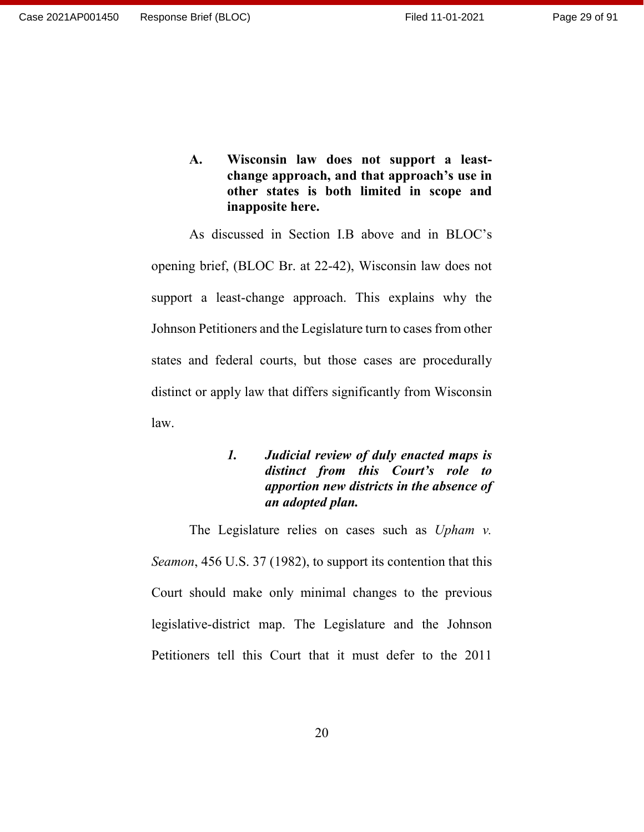Page 29 of 91

<span id="page-28-0"></span>**A. Wisconsin law does not support a leastchange approach, and that approach's use in other states is both limited in scope and inapposite here.**

As discussed in Section I.B above and in BLOC's opening brief, (BLOC Br. at 22-42), Wisconsin law does not support a least-change approach. This explains why the Johnson Petitioners and the Legislature turn to cases from other states and federal courts, but those cases are procedurally distinct or apply law that differs significantly from Wisconsin law.

## <span id="page-28-1"></span>*1. Judicial review of duly enacted maps is distinct from this Court's role to apportion new districts in the absence of an adopted plan.*

The Legislature relies on cases such as *Upham v. Seamon*, 456 U.S. 37 (1982), to support its contention that this Court should make only minimal changes to the previous legislative-district map. The Legislature and the Johnson Petitioners tell this Court that it must defer to the 2011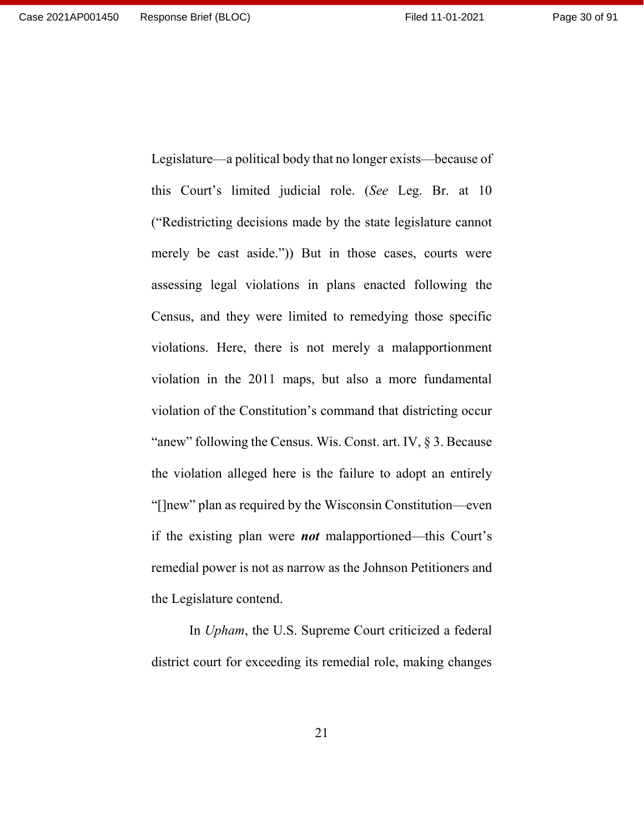Legislature—a political body that no longer exists—because of this Court's limited judicial role. (*See* Leg. Br. at 10 ("Redistricting decisions made by the state legislature cannot merely be cast aside.")) But in those cases, courts were assessing legal violations in plans enacted following the Census, and they were limited to remedying those specific violations. Here, there is not merely a malapportionment violation in the 2011 maps, but also a more fundamental violation of the Constitution's command that districting occur "anew" following the Census. Wis. Const. art. IV, § 3. Because the violation alleged here is the failure to adopt an entirely "[]new" plan as required by the Wisconsin Constitution—even if the existing plan were *not* malapportioned—this Court's remedial power is not as narrow as the Johnson Petitioners and

the Legislature contend.

In *Upham*, the U.S. Supreme Court criticized a federal district court for exceeding its remedial role, making changes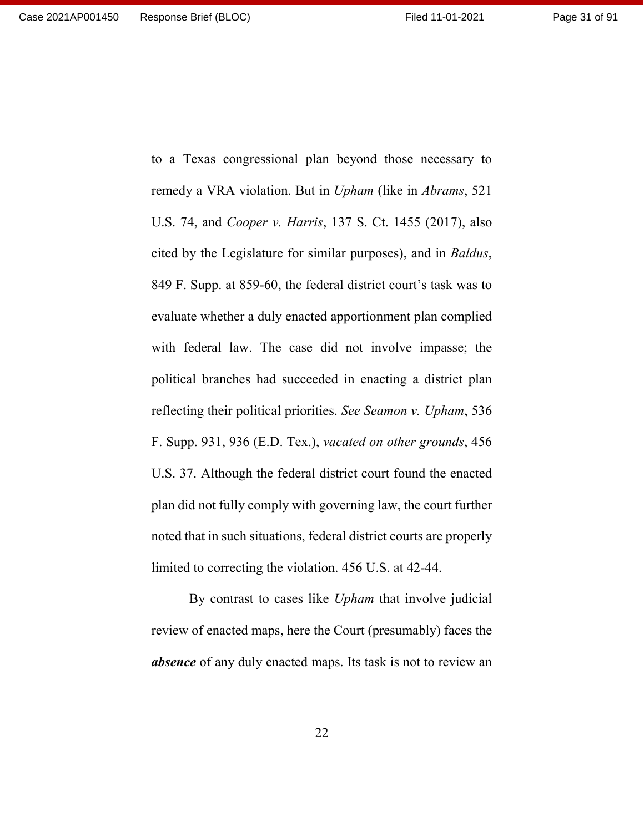remedy a VRA violation. But in *Upham* (like in *Abrams*, 521 U.S. 74, and *Cooper v. Harris*, 137 S. Ct. 1455 (2017), also cited by the Legislature for similar purposes), and in *Baldus*, 849 F. Supp. at 859-60, the federal district court's task was to evaluate whether a duly enacted apportionment plan complied with federal law. The case did not involve impasse; the political branches had succeeded in enacting a district plan reflecting their political priorities. *See Seamon v. Upham*, 536 F. Supp. 931, 936 (E.D. Tex.), *vacated on other grounds*, 456 U.S. 37. Although the federal district court found the enacted plan did not fully comply with governing law, the court further noted that in such situations, federal district courts are properly limited to correcting the violation. 456 U.S. at 42-44.

to a Texas congressional plan beyond those necessary to

By contrast to cases like *Upham* that involve judicial review of enacted maps, here the Court (presumably) faces the *absence* of any duly enacted maps. Its task is not to review an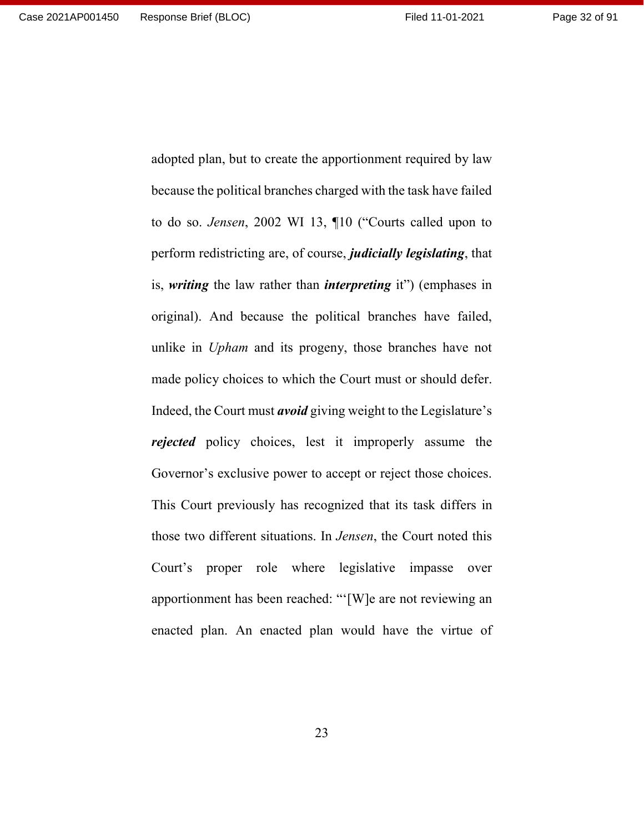because the political branches charged with the task have failed to do so. *Jensen*, 2002 WI 13, ¶10 ("Courts called upon to perform redistricting are, of course, *judicially legislating*, that is, *writing* the law rather than *interpreting* it") (emphases in original). And because the political branches have failed, unlike in *Upham* and its progeny, those branches have not made policy choices to which the Court must or should defer. Indeed, the Court must *avoid* giving weight to the Legislature's *rejected* policy choices, lest it improperly assume the Governor's exclusive power to accept or reject those choices. This Court previously has recognized that its task differs in those two different situations. In *Jensen*, the Court noted this Court's proper role where legislative impasse over apportionment has been reached: "'[W]e are not reviewing an enacted plan. An enacted plan would have the virtue of

adopted plan, but to create the apportionment required by law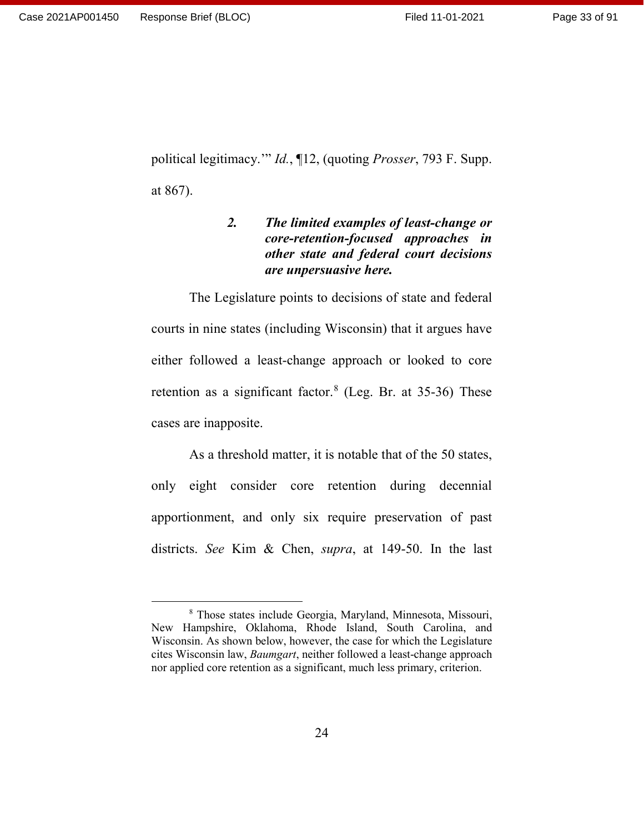<span id="page-32-0"></span>political legitimacy.'" *Id.*, ¶12, (quoting *Prosser*, 793 F. Supp. at 867).

## *2. The limited examples of least-change or core-retention-focused approaches in other state and federal court decisions are unpersuasive here.*

The Legislature points to decisions of state and federal courts in nine states (including Wisconsin) that it argues have either followed a least-change approach or looked to core retention as a significant factor.<sup>[8](#page-32-1)</sup> (Leg. Br. at 35-36) These cases are inapposite.

As a threshold matter, it is notable that of the 50 states, only eight consider core retention during decennial apportionment, and only six require preservation of past districts. *See* Kim & Chen, *supra*, at 149-50. In the last

<span id="page-32-1"></span> <sup>8</sup> Those states include Georgia, Maryland, Minnesota, Missouri, New Hampshire, Oklahoma, Rhode Island, South Carolina, and Wisconsin. As shown below, however, the case for which the Legislature cites Wisconsin law, *Baumgart*, neither followed a least-change approach nor applied core retention as a significant, much less primary, criterion.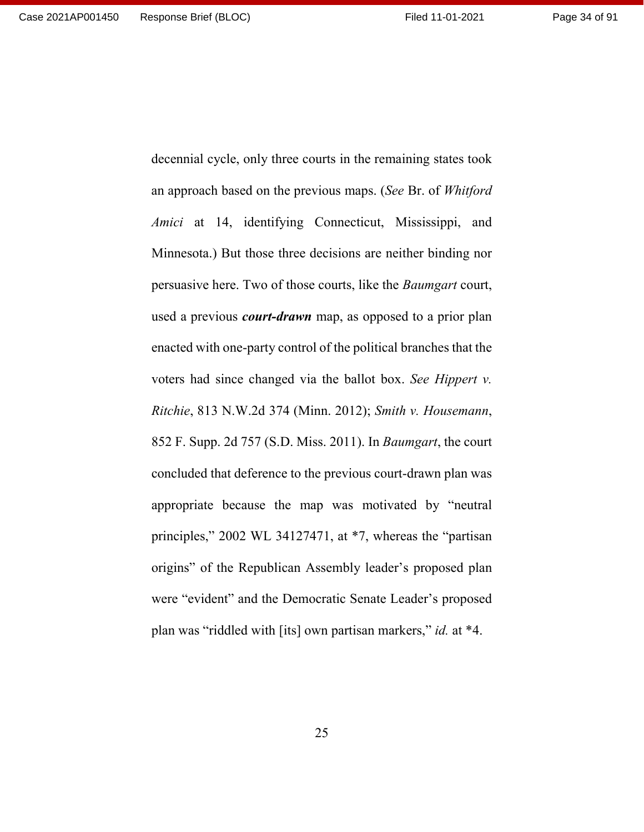Page 34 of 91

decennial cycle, only three courts in the remaining states took an approach based on the previous maps. (*See* Br. of *Whitford Amici* at 14, identifying Connecticut, Mississippi, and Minnesota.) But those three decisions are neither binding nor persuasive here. Two of those courts, like the *Baumgart* court, used a previous *court-drawn* map, as opposed to a prior plan enacted with one-party control of the political branches that the voters had since changed via the ballot box. *See Hippert v. Ritchie*, 813 N.W.2d 374 (Minn. 2012); *Smith v. Housemann*, 852 F. Supp. 2d 757 (S.D. Miss. 2011). In *Baumgart*, the court concluded that deference to the previous court-drawn plan was appropriate because the map was motivated by "neutral principles," 2002 WL 34127471, at \*7, whereas the "partisan origins" of the Republican Assembly leader's proposed plan were "evident" and the Democratic Senate Leader's proposed plan was "riddled with [its] own partisan markers," *id.* at \*4.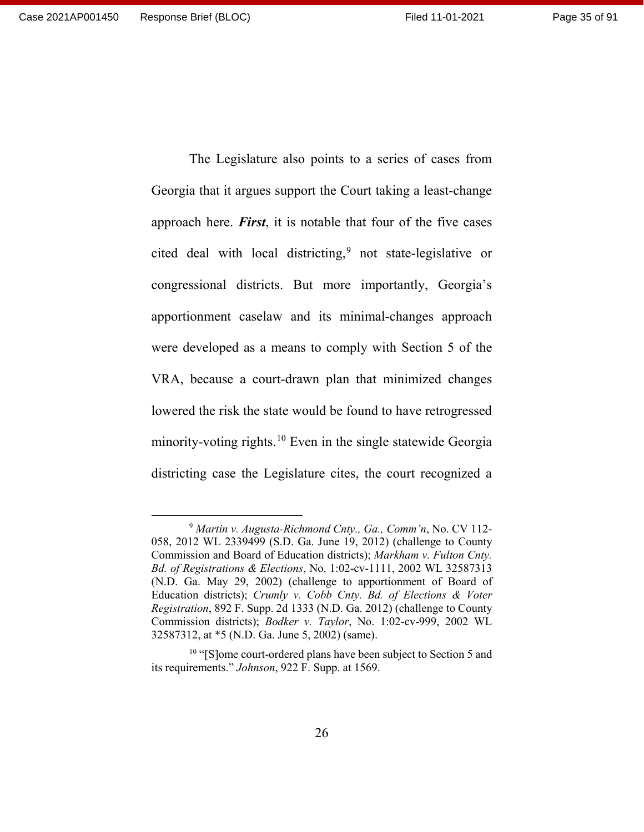Georgia that it argues support the Court taking a least-change approach here. *First*, it is notable that four of the five cases cited deal with local districting,<sup>[9](#page-34-0)</sup> not state-legislative or congressional districts. But more importantly, Georgia's apportionment caselaw and its minimal-changes approach were developed as a means to comply with Section 5 of the VRA, because a court-drawn plan that minimized changes lowered the risk the state would be found to have retrogressed minority-voting rights.[10](#page-34-1) Even in the single statewide Georgia districting case the Legislature cites, the court recognized a

The Legislature also points to a series of cases from

<span id="page-34-0"></span> <sup>9</sup> *Martin v. Augusta-Richmond Cnty., Ga., Comm'n*, No. CV 112- 058, 2012 WL 2339499 (S.D. Ga. June 19, 2012) (challenge to County Commission and Board of Education districts); *Markham v. Fulton Cnty. Bd. of Registrations & Elections*, No. 1:02-cv-1111, 2002 WL 32587313 (N.D. Ga. May 29, 2002) (challenge to apportionment of Board of Education districts); *Crumly v. Cobb Cnty. Bd. of Elections & Voter Registration*, 892 F. Supp. 2d 1333 (N.D. Ga. 2012) (challenge to County Commission districts); *Bodker v. Taylor*, No. 1:02-cv-999, 2002 WL 32587312, at \*5 (N.D. Ga. June 5, 2002) (same).

<span id="page-34-1"></span><sup>&</sup>lt;sup>10</sup> "[S]ome court-ordered plans have been subject to Section 5 and its requirements." *Johnson*, 922 F. Supp. at 1569.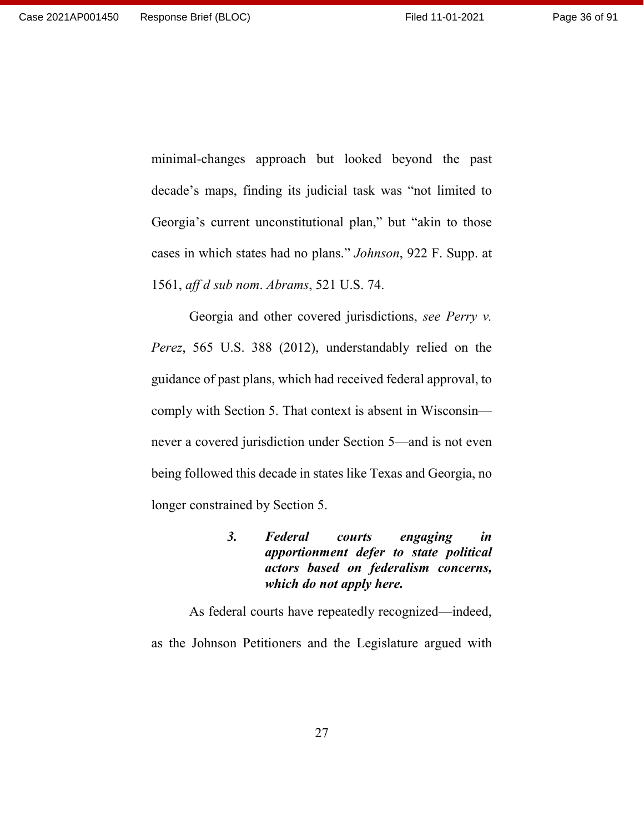minimal-changes approach but looked beyond the past decade's maps, finding its judicial task was "not limited to Georgia's current unconstitutional plan," but "akin to those cases in which states had no plans." *Johnson*, 922 F. Supp. at 1561, *aff d sub nom*. *Abrams*, 521 U.S. 74.

Georgia and other covered jurisdictions, *see Perry v. Perez*, 565 U.S. 388 (2012), understandably relied on the guidance of past plans, which had received federal approval, to comply with Section 5. That context is absent in Wisconsin never a covered jurisdiction under Section 5—and is not even being followed this decade in states like Texas and Georgia, no longer constrained by Section 5.

> <span id="page-35-0"></span>*3. Federal courts engaging in apportionment defer to state political actors based on federalism concerns, which do not apply here.*

As federal courts have repeatedly recognized—indeed, as the Johnson Petitioners and the Legislature argued with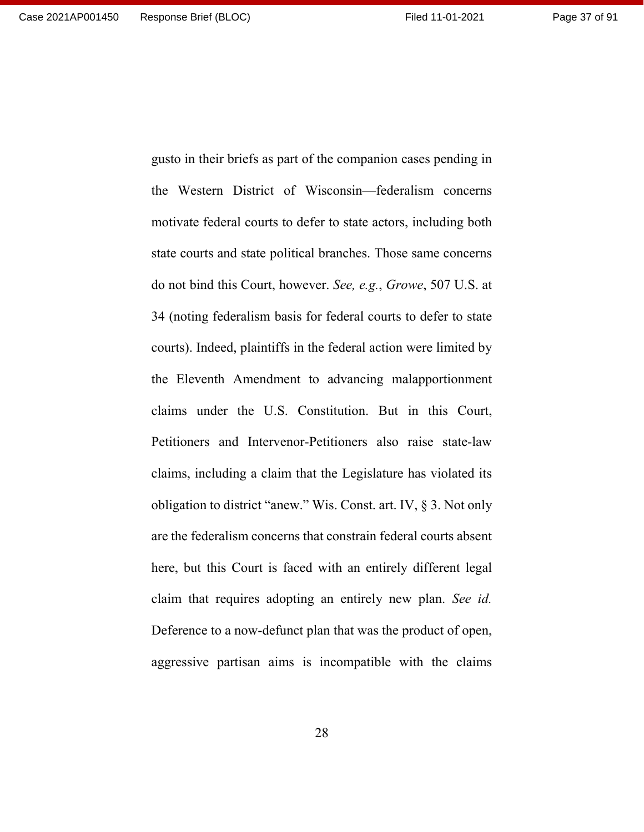the Western District of Wisconsin—federalism concerns motivate federal courts to defer to state actors, including both state courts and state political branches. Those same concerns do not bind this Court, however. *See, e.g.*, *Growe*, 507 U.S. at 34 (noting federalism basis for federal courts to defer to state courts). Indeed, plaintiffs in the federal action were limited by the Eleventh Amendment to advancing malapportionment claims under the U.S. Constitution. But in this Court, Petitioners and Intervenor-Petitioners also raise state-law claims, including a claim that the Legislature has violated its obligation to district "anew." Wis. Const. art. IV, § 3. Not only are the federalism concerns that constrain federal courts absent here, but this Court is faced with an entirely different legal claim that requires adopting an entirely new plan. *See id.* Deference to a now-defunct plan that was the product of open, aggressive partisan aims is incompatible with the claims

gusto in their briefs as part of the companion cases pending in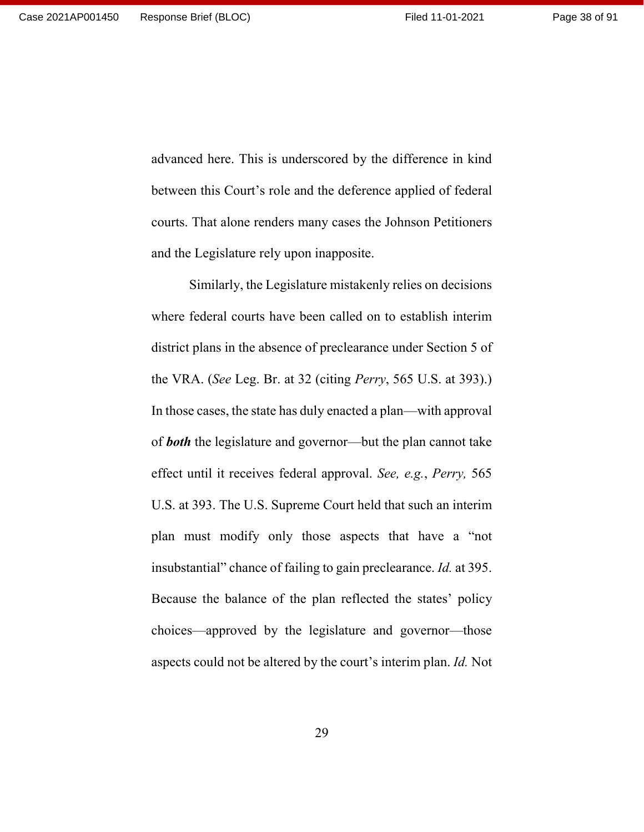advanced here. This is underscored by the difference in kind between this Court's role and the deference applied of federal courts. That alone renders many cases the Johnson Petitioners and the Legislature rely upon inapposite.

Similarly, the Legislature mistakenly relies on decisions where federal courts have been called on to establish interim district plans in the absence of preclearance under Section 5 of the VRA. (*See* Leg. Br. at 32 (citing *Perry*, 565 U.S. at 393).) In those cases, the state has duly enacted a plan—with approval of *both* the legislature and governor—but the plan cannot take effect until it receives federal approval. *See, e.g.*, *Perry,* 565 U.S. at 393. The U.S. Supreme Court held that such an interim plan must modify only those aspects that have a "not insubstantial" chance of failing to gain preclearance. *Id.* at 395. Because the balance of the plan reflected the states' policy choices—approved by the legislature and governor—those aspects could not be altered by the court's interim plan. *Id.* Not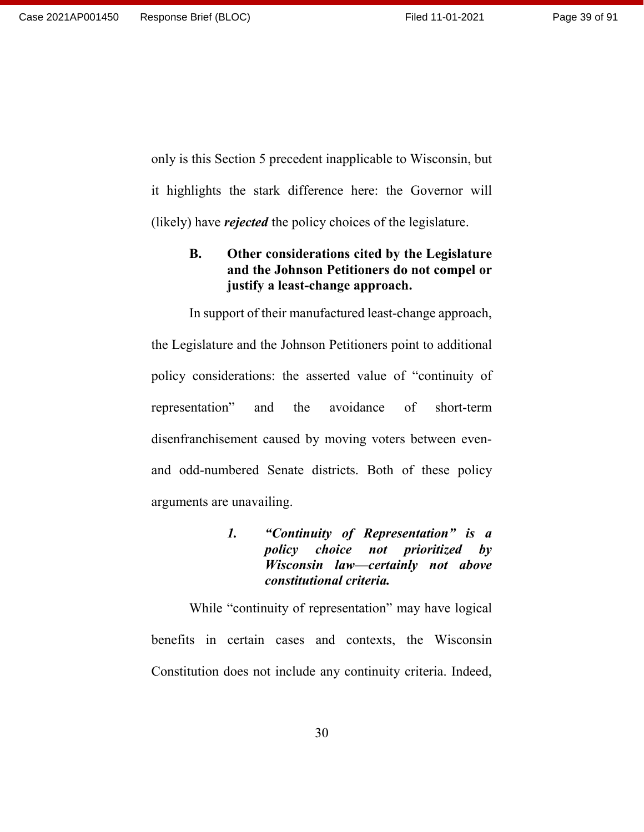only is this Section 5 precedent inapplicable to Wisconsin, but it highlights the stark difference here: the Governor will (likely) have *rejected* the policy choices of the legislature.

## **B. Other considerations cited by the Legislature and the Johnson Petitioners do not compel or justify a least-change approach.**

In support of their manufactured least-change approach, the Legislature and the Johnson Petitioners point to additional policy considerations: the asserted value of "continuity of representation" and the avoidance of short-term disenfranchisement caused by moving voters between evenand odd-numbered Senate districts. Both of these policy arguments are unavailing.

> *1. "Continuity of Representation" is a policy choice not prioritized by Wisconsin law—certainly not above constitutional criteria.*

While "continuity of representation" may have logical benefits in certain cases and contexts, the Wisconsin Constitution does not include any continuity criteria. Indeed,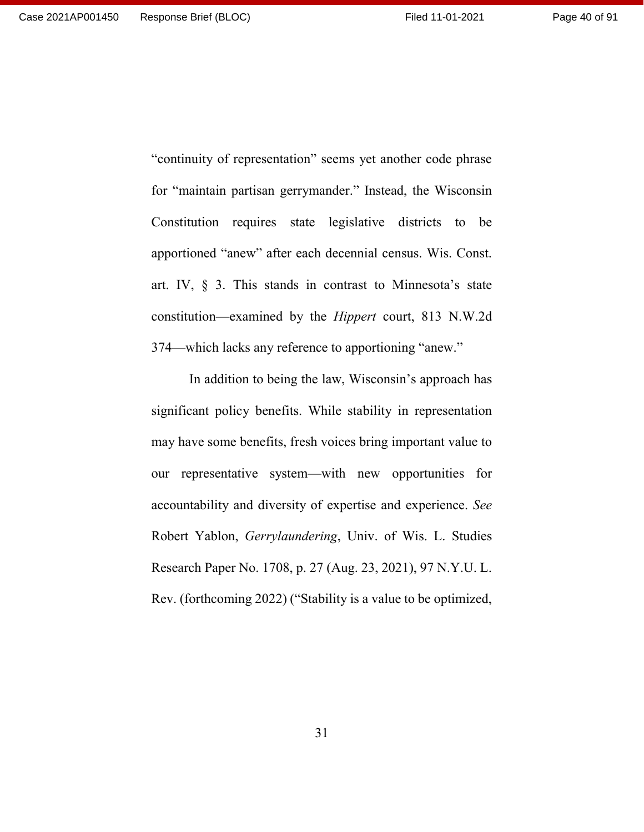"continuity of representation" seems yet another code phrase for "maintain partisan gerrymander." Instead, the Wisconsin Constitution requires state legislative districts to be apportioned "anew" after each decennial census. Wis. Const. art. IV, § 3. This stands in contrast to Minnesota's state constitution—examined by the *Hippert* court, 813 N.W.2d 374—which lacks any reference to apportioning "anew."

In addition to being the law, Wisconsin's approach has significant policy benefits. While stability in representation may have some benefits, fresh voices bring important value to our representative system—with new opportunities for accountability and diversity of expertise and experience. *See* Robert Yablon, *Gerrylaundering*, Univ. of Wis. L. Studies Research Paper No. 1708, p. 27 (Aug. 23, 2021), 97 N.Y.U. L. Rev. (forthcoming 2022) ("Stability is a value to be optimized,

31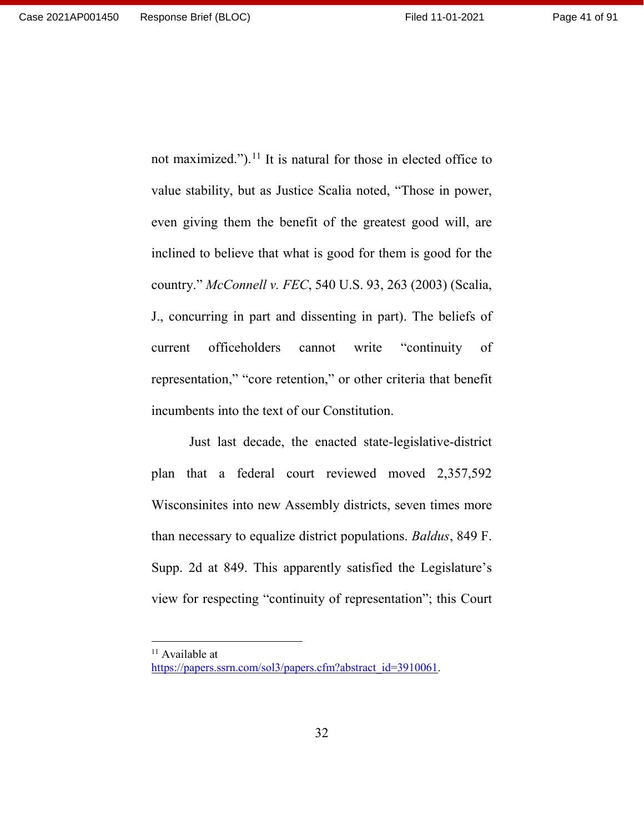not maximized.").<sup>[11](#page-40-0)</sup> It is natural for those in elected office to value stability, but as Justice Scalia noted, "Those in power, even giving them the benefit of the greatest good will, are inclined to believe that what is good for them is good for the country." *McConnell v. FEC*, 540 U.S. 93, 263 (2003) (Scalia, J., concurring in part and dissenting in part). The beliefs of current officeholders cannot write "continuity of representation," "core retention," or other criteria that benefit incumbents into the text of our Constitution.

Just last decade, the enacted state-legislative-district plan that a federal court reviewed moved 2,357,592 Wisconsinites into new Assembly districts, seven times more than necessary to equalize district populations. *Baldus*, 849 F. Supp. 2d at 849. This apparently satisfied the Legislature's view for respecting "continuity of representation"; this Court

<sup>&</sup>lt;sup>11</sup> Available at

<span id="page-40-0"></span>[https://papers.ssrn.com/sol3/papers.cfm?abstract\\_id=3910061.](https://papers.ssrn.com/sol3/papers.cfm?abstract_id=3910061)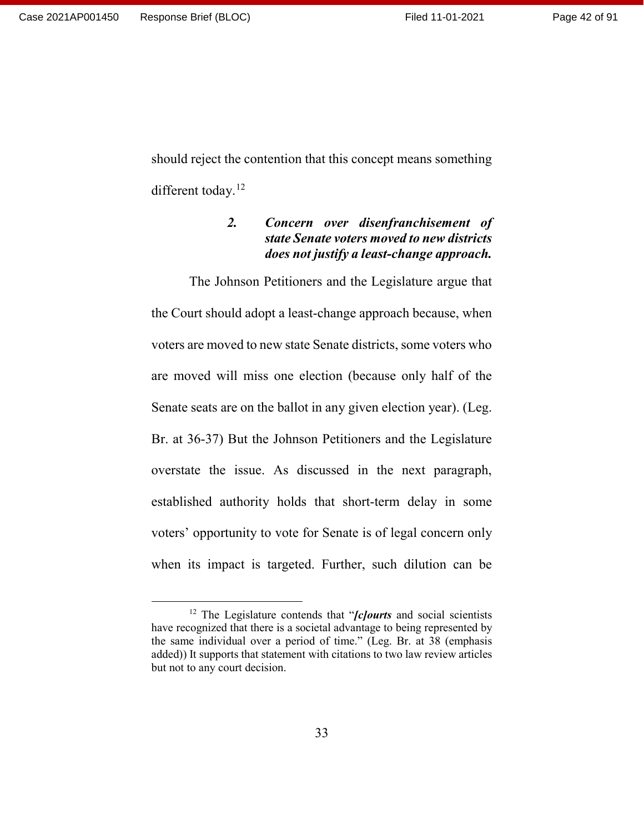should reject the contention that this concept means something different today.<sup>[12](#page-41-0)</sup>

# *2. Concern over disenfranchisement of state Senate voters moved to new districts does not justify a least-change approach.*

The Johnson Petitioners and the Legislature argue that the Court should adopt a least-change approach because, when voters are moved to new state Senate districts, some voters who are moved will miss one election (because only half of the Senate seats are on the ballot in any given election year). (Leg. Br. at 36-37) But the Johnson Petitioners and the Legislature overstate the issue. As discussed in the next paragraph, established authority holds that short-term delay in some voters' opportunity to vote for Senate is of legal concern only when its impact is targeted. Further, such dilution can be

<span id="page-41-0"></span> <sup>12</sup> The Legislature contends that "*[c]ourts* and social scientists have recognized that there is a societal advantage to being represented by the same individual over a period of time." (Leg. Br. at 38 (emphasis added)) It supports that statement with citations to two law review articles but not to any court decision.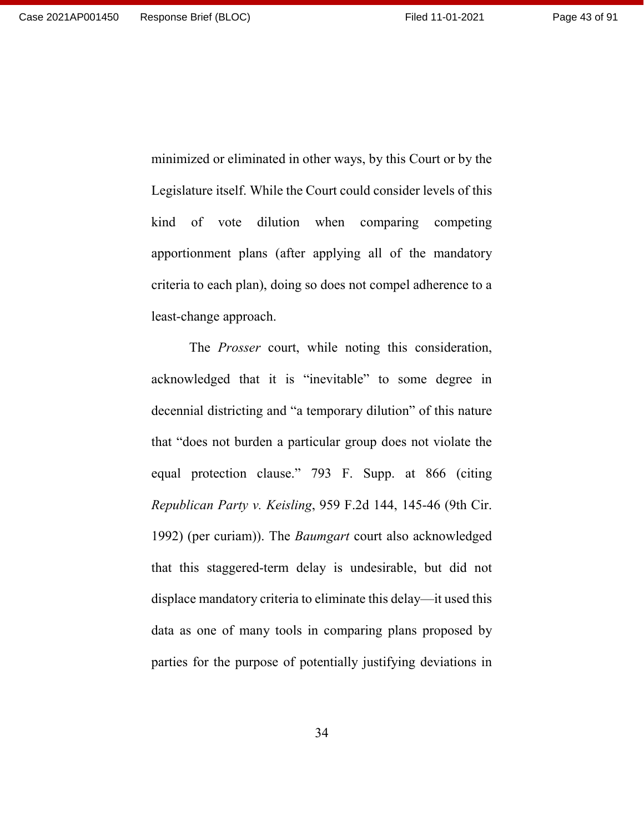minimized or eliminated in other ways, by this Court or by the Legislature itself. While the Court could consider levels of this kind of vote dilution when comparing competing apportionment plans (after applying all of the mandatory criteria to each plan), doing so does not compel adherence to a least-change approach.

The *Prosser* court, while noting this consideration, acknowledged that it is "inevitable" to some degree in decennial districting and "a temporary dilution" of this nature that "does not burden a particular group does not violate the equal protection clause." 793 F. Supp. at 866 (citing *Republican Party v. Keisling*, 959 F.2d 144, 145-46 (9th Cir. 1992) (per curiam)). The *Baumgart* court also acknowledged that this staggered-term delay is undesirable, but did not displace mandatory criteria to eliminate this delay—it used this data as one of many tools in comparing plans proposed by parties for the purpose of potentially justifying deviations in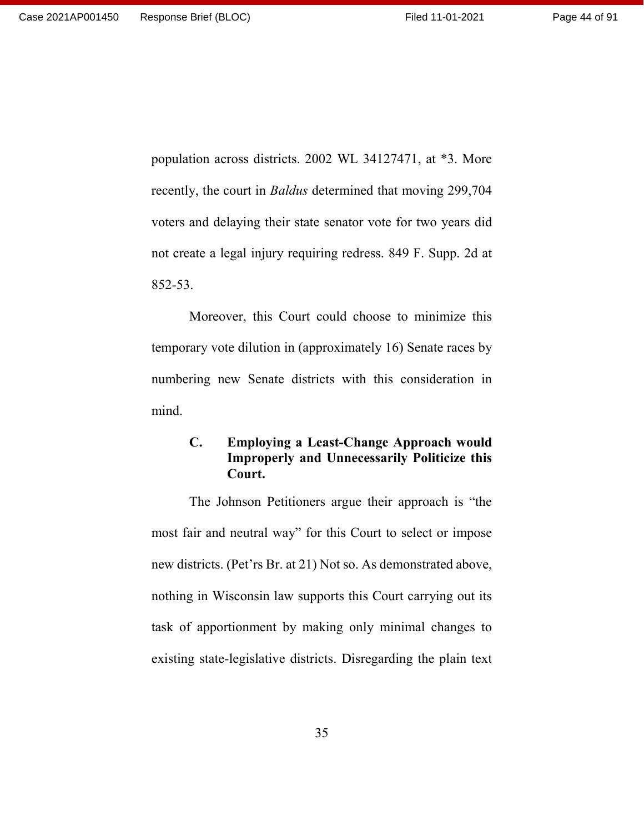population across districts. 2002 WL 34127471, at \*3. More recently, the court in *Baldus* determined that moving 299,704 voters and delaying their state senator vote for two years did not create a legal injury requiring redress. 849 F. Supp. 2d at 852-53.

Moreover, this Court could choose to minimize this temporary vote dilution in (approximately 16) Senate races by numbering new Senate districts with this consideration in mind.

## **C. Employing a Least-Change Approach would Improperly and Unnecessarily Politicize this Court.**

The Johnson Petitioners argue their approach is "the most fair and neutral way" for this Court to select or impose new districts. (Pet'rs Br. at 21) Not so. As demonstrated above, nothing in Wisconsin law supports this Court carrying out its task of apportionment by making only minimal changes to existing state-legislative districts. Disregarding the plain text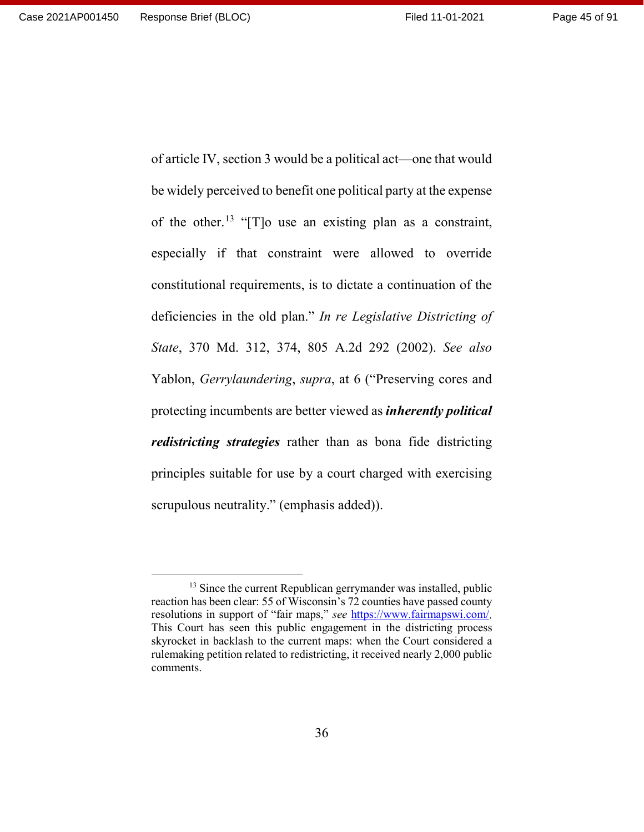be widely perceived to benefit one political party at the expense of the other.<sup>[13](#page-44-0)</sup> "[T]o use an existing plan as a constraint, especially if that constraint were allowed to override constitutional requirements, is to dictate a continuation of the deficiencies in the old plan." *In re Legislative Districting of State*, 370 Md. 312, 374, 805 A.2d 292 (2002). *See also* Yablon, *Gerrylaundering*, *supra*, at 6 ("Preserving cores and protecting incumbents are better viewed as *inherently political redistricting strategies* rather than as bona fide districting principles suitable for use by a court charged with exercising scrupulous neutrality." (emphasis added)).

of article IV, section 3 would be a political act—one that would

<span id="page-44-0"></span><sup>&</sup>lt;sup>13</sup> Since the current Republican gerrymander was installed, public reaction has been clear: 55 of Wisconsin's 72 counties have passed county resolutions in support of "fair maps," *see* [https://www.fairmapswi.com/.](https://www.fairmapswi.com/) This Court has seen this public engagement in the districting process skyrocket in backlash to the current maps: when the Court considered a rulemaking petition related to redistricting, it received nearly 2,000 public comments.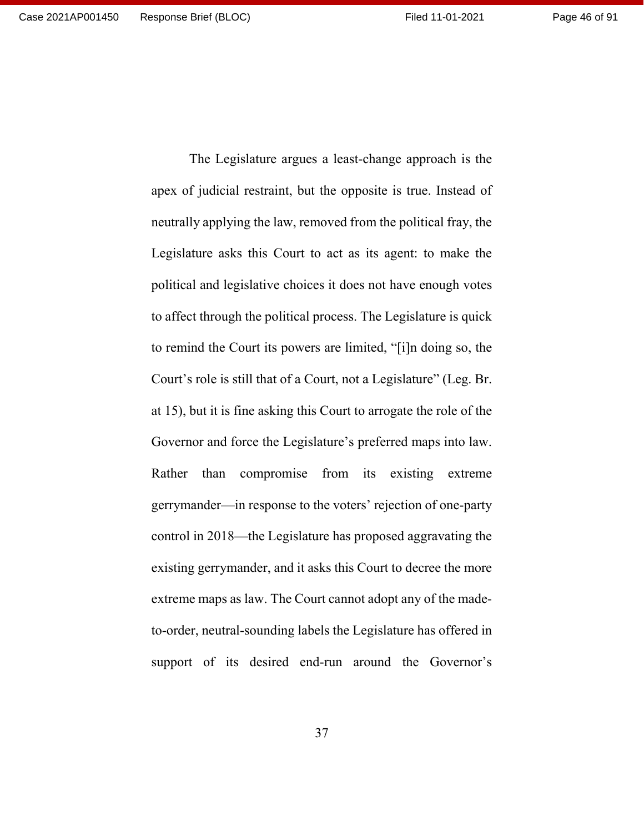apex of judicial restraint, but the opposite is true. Instead of neutrally applying the law, removed from the political fray, the Legislature asks this Court to act as its agent: to make the political and legislative choices it does not have enough votes to affect through the political process. The Legislature is quick to remind the Court its powers are limited, "[i]n doing so, the Court's role is still that of a Court, not a Legislature" (Leg. Br. at 15), but it is fine asking this Court to arrogate the role of the Governor and force the Legislature's preferred maps into law. Rather than compromise from its existing extreme gerrymander—in response to the voters' rejection of one-party control in 2018—the Legislature has proposed aggravating the existing gerrymander, and it asks this Court to decree the more extreme maps as law. The Court cannot adopt any of the madeto-order, neutral-sounding labels the Legislature has offered in support of its desired end-run around the Governor's

The Legislature argues a least-change approach is the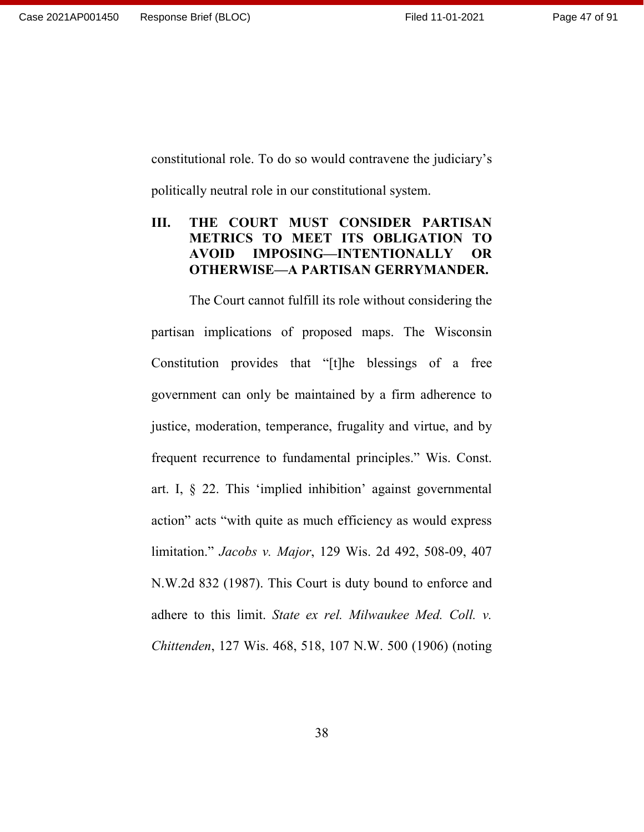constitutional role. To do so would contravene the judiciary's

politically neutral role in our constitutional system.

# **III. THE COURT MUST CONSIDER PARTISAN METRICS TO MEET ITS OBLIGATION TO AVOID IMPOSING—INTENTIONALLY OR OTHERWISE—A PARTISAN GERRYMANDER.**

The Court cannot fulfill its role without considering the partisan implications of proposed maps. The Wisconsin Constitution provides that "[t]he blessings of a free government can only be maintained by a firm adherence to justice, moderation, temperance, frugality and virtue, and by frequent recurrence to fundamental principles." Wis. Const. art. I, § 22. This 'implied inhibition' against governmental action" acts "with quite as much efficiency as would express limitation." *Jacobs v. Major*, 129 Wis. 2d 492, 508-09, 407 N.W.2d 832 (1987). This Court is duty bound to enforce and adhere to this limit. *State ex rel. Milwaukee Med. Coll. v. Chittenden*, 127 Wis. 468, 518, 107 N.W. 500 (1906) (noting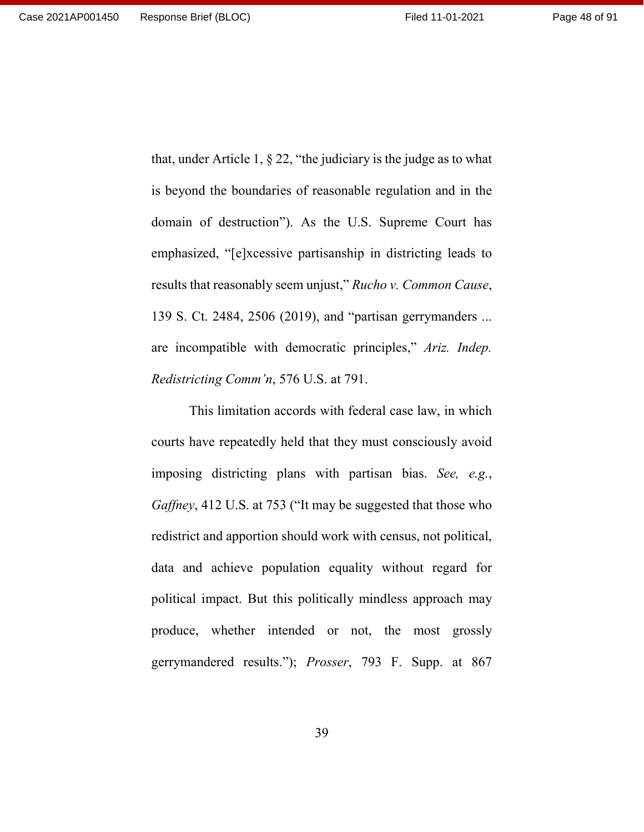that, under Article 1,  $\S 22$ , "the judiciary is the judge as to what is beyond the boundaries of reasonable regulation and in the domain of destruction"). As the U.S. Supreme Court has emphasized, "[e]xcessive partisanship in districting leads to results that reasonably seem unjust," *Rucho v. Common Cause*, 139 S. Ct. 2484, 2506 (2019), and "partisan gerrymanders ... are incompatible with democratic principles," *Ariz. Indep. Redistricting Comm'n*, 576 U.S. at 791.

This limitation accords with federal case law, in which courts have repeatedly held that they must consciously avoid imposing districting plans with partisan bias. *See, e.g.*, *Gaffney*, 412 U.S. at 753 ("It may be suggested that those who redistrict and apportion should work with census, not political, data and achieve population equality without regard for political impact. But this politically mindless approach may produce, whether intended or not, the most grossly gerrymandered results."); *Prosser*, 793 F. Supp. at 867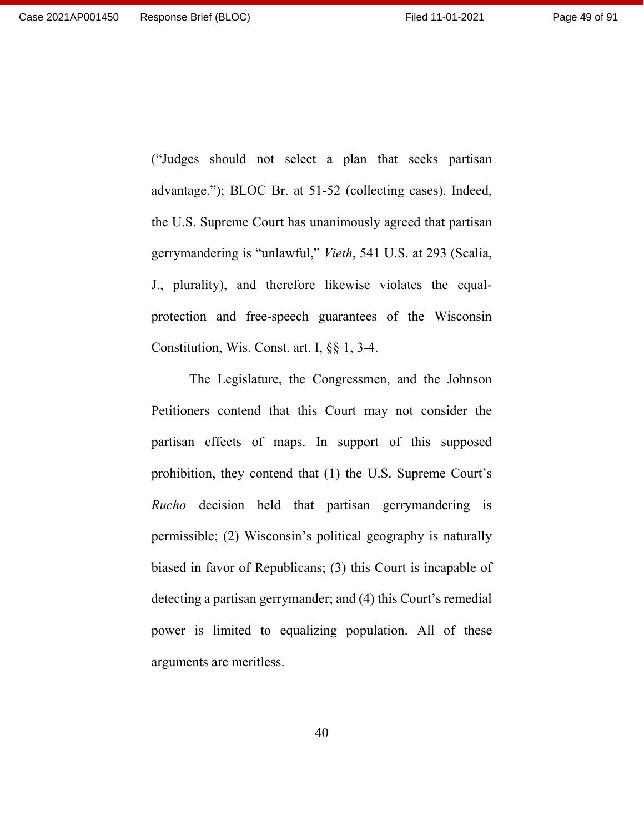("Judges should not select a plan that seeks partisan advantage."); BLOC Br. at 51-52 (collecting cases). Indeed, the U.S. Supreme Court has unanimously agreed that partisan gerrymandering is "unlawful," *Vieth*, 541 U.S. at 293 (Scalia, J., plurality), and therefore likewise violates the equalprotection and free-speech guarantees of the Wisconsin Constitution, Wis. Const. art. I, §§ 1, 3-4.

The Legislature, the Congressmen, and the Johnson Petitioners contend that this Court may not consider the partisan effects of maps. In support of this supposed prohibition, they contend that (1) the U.S. Supreme Court's *Rucho* decision held that partisan gerrymandering is permissible; (2) Wisconsin's political geography is naturally biased in favor of Republicans; (3) this Court is incapable of detecting a partisan gerrymander; and (4) this Court's remedial power is limited to equalizing population. All of these arguments are meritless.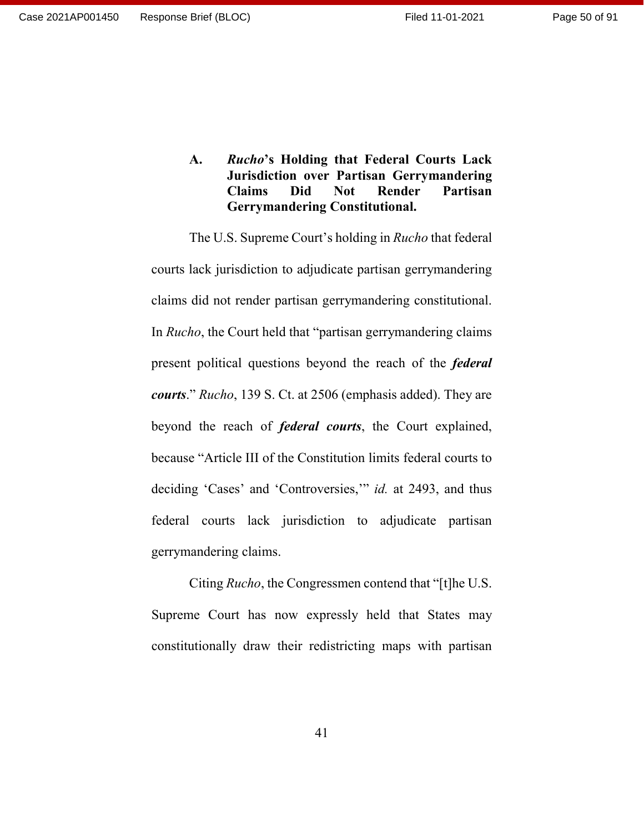Page 50 of 91

**A.** *Rucho***'s Holding that Federal Courts Lack Jurisdiction over Partisan Gerrymandering Claims Did Not Render Partisan Gerrymandering Constitutional.**

The U.S. Supreme Court's holding in *Rucho* that federal courts lack jurisdiction to adjudicate partisan gerrymandering claims did not render partisan gerrymandering constitutional. In *Rucho*, the Court held that "partisan gerrymandering claims present political questions beyond the reach of the *federal courts*." *Rucho*, 139 S. Ct. at 2506 (emphasis added). They are beyond the reach of *federal courts*, the Court explained, because "Article III of the Constitution limits federal courts to deciding 'Cases' and 'Controversies,'" *id.* at 2493, and thus federal courts lack jurisdiction to adjudicate partisan gerrymandering claims.

Citing *Rucho*, the Congressmen contend that "[t]he U.S. Supreme Court has now expressly held that States may constitutionally draw their redistricting maps with partisan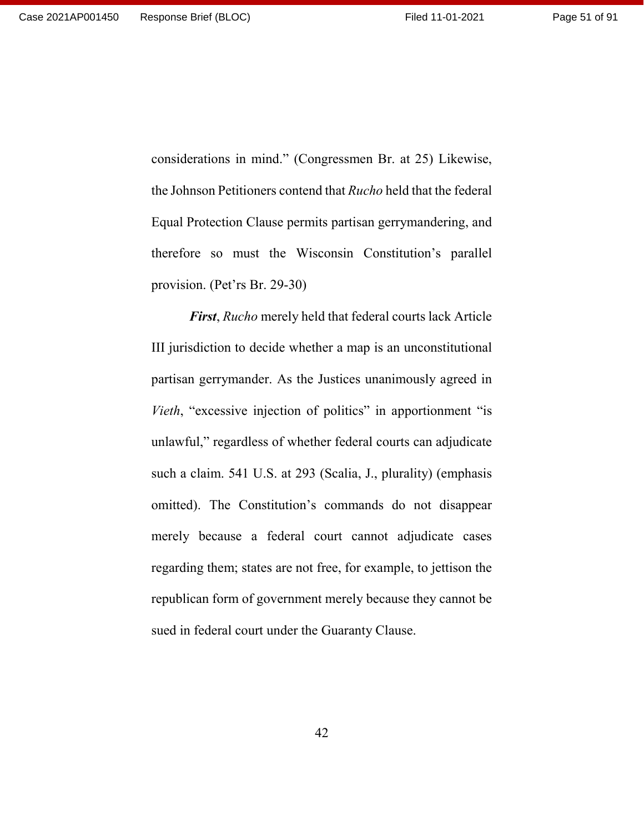considerations in mind." (Congressmen Br. at 25) Likewise, the Johnson Petitioners contend that *Rucho* held that the federal Equal Protection Clause permits partisan gerrymandering, and therefore so must the Wisconsin Constitution's parallel provision. (Pet'rs Br. 29-30)

*First*, *Rucho* merely held that federal courts lack Article III jurisdiction to decide whether a map is an unconstitutional partisan gerrymander. As the Justices unanimously agreed in *Vieth*, "excessive injection of politics" in apportionment "is unlawful," regardless of whether federal courts can adjudicate such a claim. 541 U.S. at 293 (Scalia, J., plurality) (emphasis omitted). The Constitution's commands do not disappear merely because a federal court cannot adjudicate cases regarding them; states are not free, for example, to jettison the republican form of government merely because they cannot be sued in federal court under the Guaranty Clause.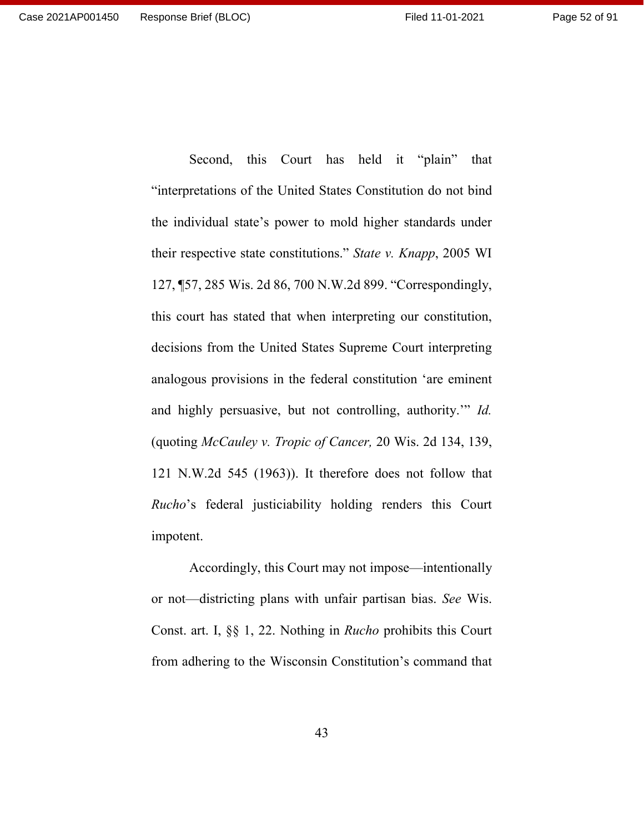Second, this Court has held it "plain" that "interpretations of the United States Constitution do not bind the individual state's power to mold higher standards under their respective state constitutions." *State v. Knapp*, 2005 WI 127, ¶57, 285 Wis. 2d 86, 700 N.W.2d 899. "Correspondingly, this court has stated that when interpreting our constitution, decisions from the United States Supreme Court interpreting analogous provisions in the federal constitution 'are eminent and highly persuasive, but not controlling, authority.'" *Id.* (quoting *McCauley v. Tropic of Cancer,* 20 Wis. 2d 134, 139, 121 N.W.2d 545 (1963)). It therefore does not follow that *Rucho*'s federal justiciability holding renders this Court impotent.

Accordingly, this Court may not impose—intentionally or not—districting plans with unfair partisan bias. *See* Wis. Const. art. I, §§ 1, 22. Nothing in *Rucho* prohibits this Court from adhering to the Wisconsin Constitution's command that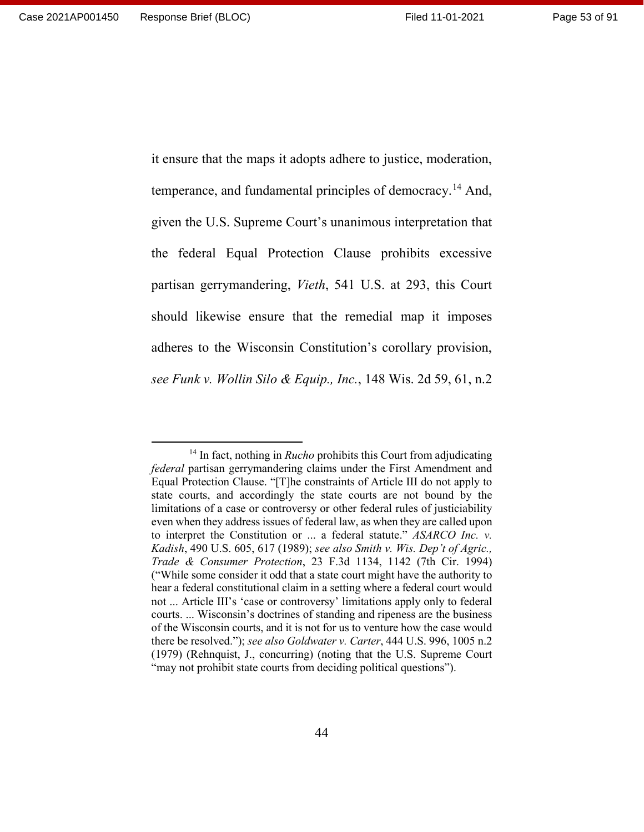it ensure that the maps it adopts adhere to justice, moderation, temperance, and fundamental principles of democracy.[14](#page-52-0) And, given the U.S. Supreme Court's unanimous interpretation that the federal Equal Protection Clause prohibits excessive partisan gerrymandering, *Vieth*, 541 U.S. at 293, this Court should likewise ensure that the remedial map it imposes adheres to the Wisconsin Constitution's corollary provision, *see Funk v. Wollin Silo & Equip., Inc.*, 148 Wis. 2d 59, 61, n.2

<span id="page-52-0"></span><sup>&</sup>lt;sup>14</sup> In fact, nothing in *Rucho* prohibits this Court from adjudicating *federal* partisan gerrymandering claims under the First Amendment and Equal Protection Clause. "[T]he constraints of Article III do not apply to state courts, and accordingly the state courts are not bound by the limitations of a case or controversy or other federal rules of justiciability even when they address issues of federal law, as when they are called upon to interpret the Constitution or ... a federal statute." *ASARCO Inc. v. Kadish*, 490 U.S. 605, 617 (1989); *see also Smith v. Wis. Dep't of Agric., Trade & Consumer Protection*, 23 F.3d 1134, 1142 (7th Cir. 1994) ("While some consider it odd that a state court might have the authority to hear a federal constitutional claim in a setting where a federal court would not ... Article III's 'case or controversy' limitations apply only to federal courts. ... Wisconsin's doctrines of standing and ripeness are the business of the Wisconsin courts, and it is not for us to venture how the case would there be resolved."); *see also Goldwater v. Carter*, 444 U.S. 996, 1005 n.2 (1979) (Rehnquist, J., concurring) (noting that the U.S. Supreme Court "may not prohibit state courts from deciding political questions").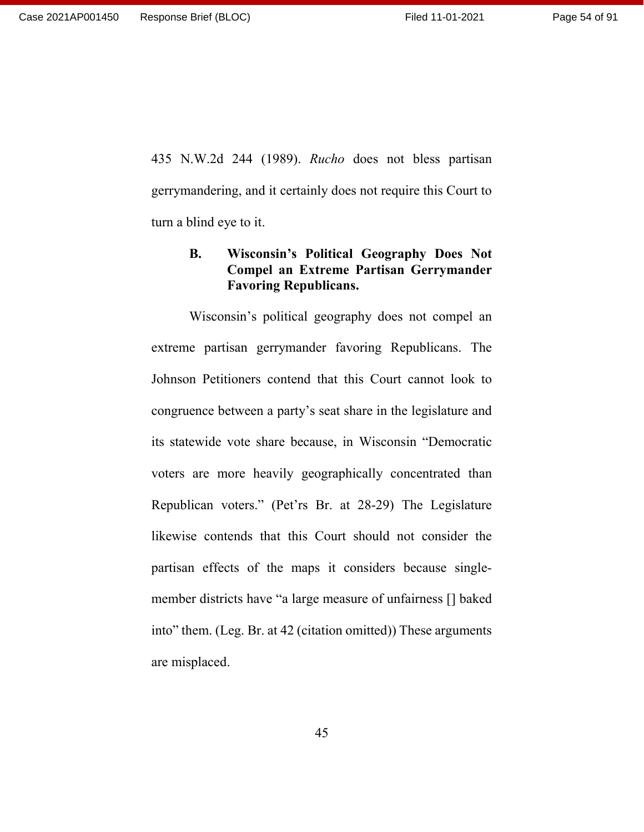435 N.W.2d 244 (1989). *Rucho* does not bless partisan gerrymandering, and it certainly does not require this Court to turn a blind eye to it.

#### **B. Wisconsin's Political Geography Does Not Compel an Extreme Partisan Gerrymander Favoring Republicans.**

Wisconsin's political geography does not compel an extreme partisan gerrymander favoring Republicans. The Johnson Petitioners contend that this Court cannot look to congruence between a party's seat share in the legislature and its statewide vote share because, in Wisconsin "Democratic voters are more heavily geographically concentrated than Republican voters." (Pet'rs Br. at 28-29) The Legislature likewise contends that this Court should not consider the partisan effects of the maps it considers because singlemember districts have "a large measure of unfairness [] baked into" them. (Leg. Br. at 42 (citation omitted)) These arguments are misplaced.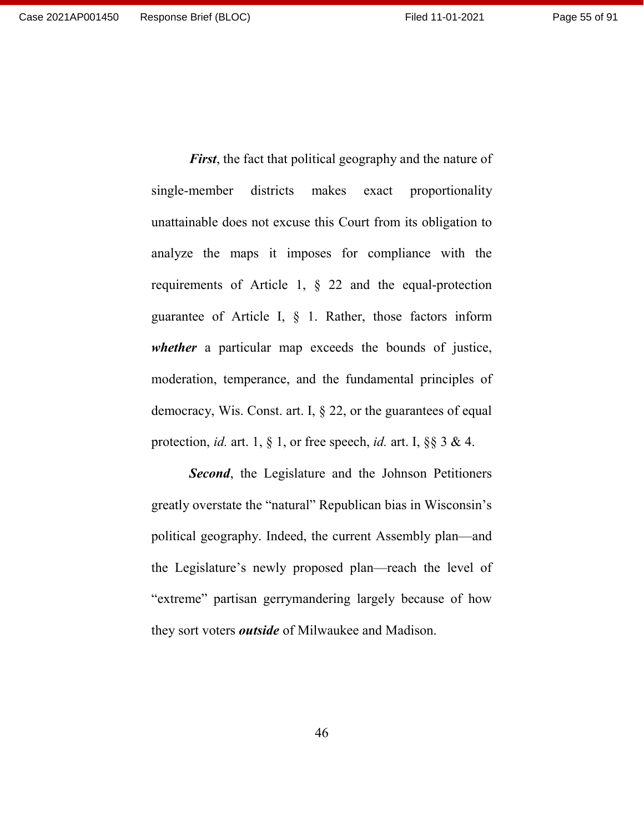*First*, the fact that political geography and the nature of single-member districts makes exact proportionality unattainable does not excuse this Court from its obligation to analyze the maps it imposes for compliance with the requirements of Article 1, § 22 and the equal-protection guarantee of Article I, § 1. Rather, those factors inform *whether* a particular map exceeds the bounds of justice, moderation, temperance, and the fundamental principles of democracy, Wis. Const. art. I,  $\S 22$ , or the guarantees of equal protection, *id.* art. 1, § 1, or free speech, *id.* art. I, §§ 3 & 4.

*Second*, the Legislature and the Johnson Petitioners greatly overstate the "natural" Republican bias in Wisconsin's political geography. Indeed, the current Assembly plan—and the Legislature's newly proposed plan—reach the level of "extreme" partisan gerrymandering largely because of how they sort voters *outside* of Milwaukee and Madison.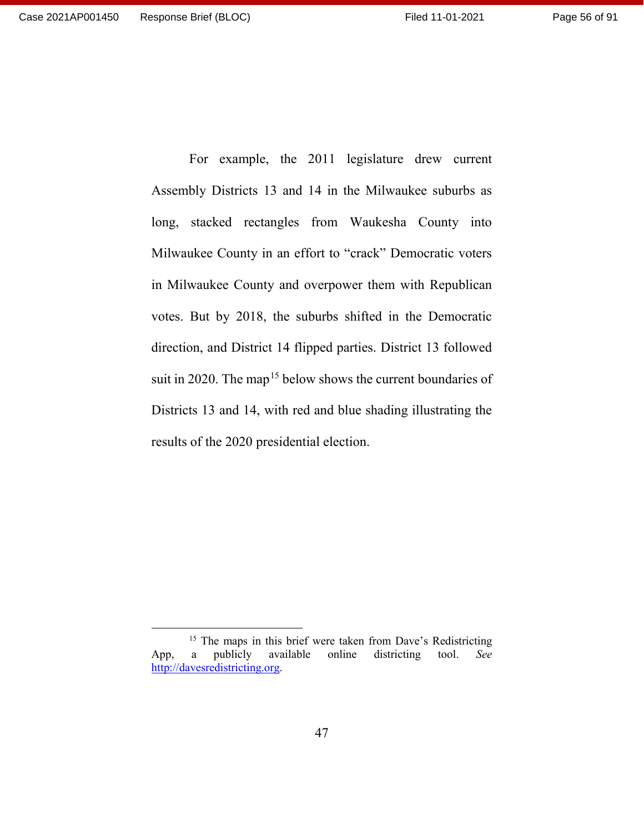For example, the 2011 legislature drew current Assembly Districts 13 and 14 in the Milwaukee suburbs as long, stacked rectangles from Waukesha County into Milwaukee County in an effort to "crack" Democratic voters in Milwaukee County and overpower them with Republican votes. But by 2018, the suburbs shifted in the Democratic direction, and District 14 flipped parties. District 13 followed suit in 2020. The map<sup>[15](#page-55-0)</sup> below shows the current boundaries of Districts 13 and 14, with red and blue shading illustrating the results of the 2020 presidential election.

<span id="page-55-0"></span><sup>&</sup>lt;sup>15</sup> The maps in this brief were taken from Dave's Redistricting App, a publicly available online districting tool. *See*  [http://davesredistricting.org.](http://davesredistricting.org/)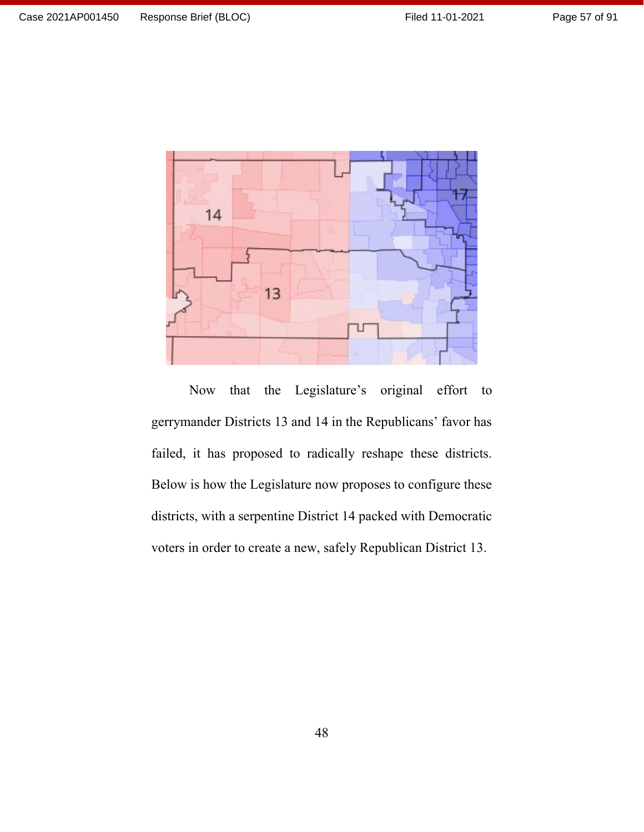

Now that the Legislature's original effort to gerrymander Districts 13 and 14 in the Republicans' favor has failed, it has proposed to radically reshape these districts. Below is how the Legislature now proposes to configure these districts, with a serpentine District 14 packed with Democratic voters in order to create a new, safely Republican District 13.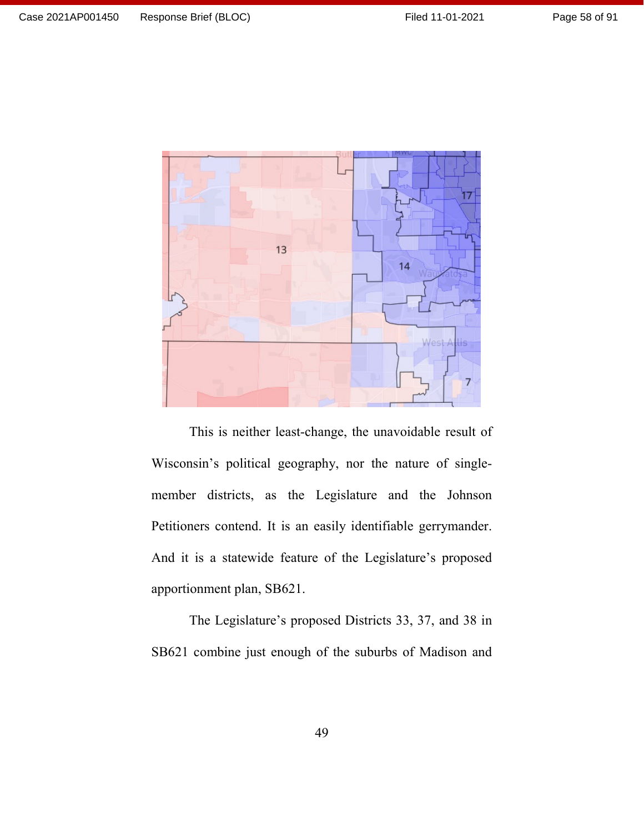

This is neither least-change, the unavoidable result of Wisconsin's political geography, nor the nature of singlemember districts, as the Legislature and the Johnson Petitioners contend. It is an easily identifiable gerrymander. And it is a statewide feature of the Legislature's proposed apportionment plan, SB621.

The Legislature's proposed Districts 33, 37, and 38 in SB621 combine just enough of the suburbs of Madison and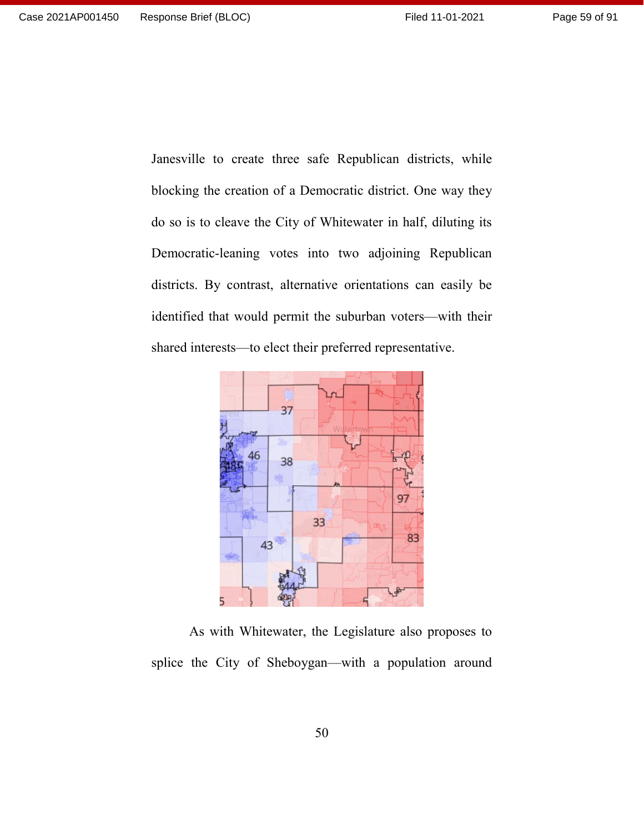Janesville to create three safe Republican districts, while blocking the creation of a Democratic district. One way they do so is to cleave the City of Whitewater in half, diluting its Democratic-leaning votes into two adjoining Republican districts. By contrast, alternative orientations can easily be identified that would permit the suburban voters—with their shared interests—to elect their preferred representative.



As with Whitewater, the Legislature also proposes to splice the City of Sheboygan—with a population around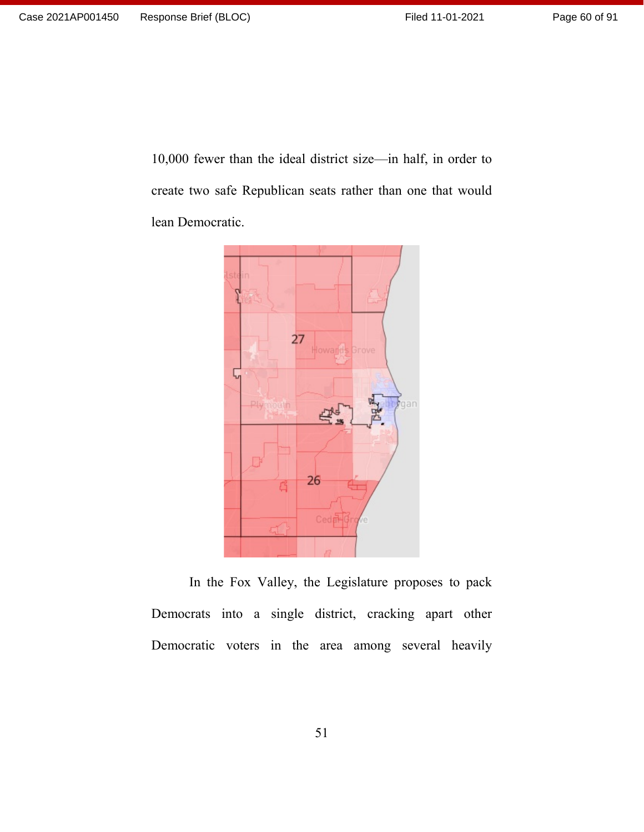10,000 fewer than the ideal district size—in half, in order to create two safe Republican seats rather than one that would lean Democratic.



In the Fox Valley, the Legislature proposes to pack Democrats into a single district, cracking apart other Democratic voters in the area among several heavily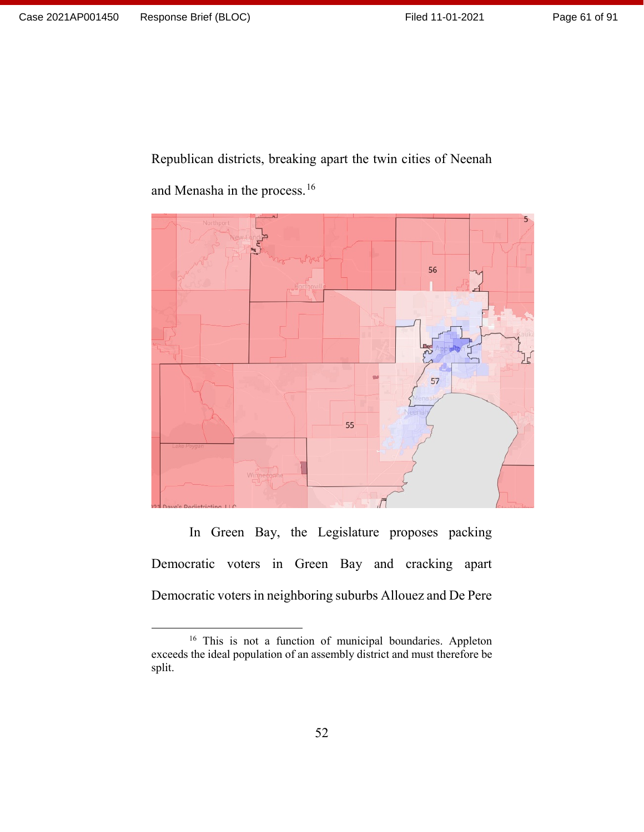Page 61 of 91

Republican districts, breaking apart the twin cities of Neenah

56 57 55

and Menasha in the process.[16](#page-60-0)

In Green Bay, the Legislature proposes packing Democratic voters in Green Bay and cracking apart Democratic voters in neighboring suburbs Allouez and De Pere

<span id="page-60-0"></span><sup>&</sup>lt;sup>16</sup> This is not a function of municipal boundaries. Appleton exceeds the ideal population of an assembly district and must therefore be split.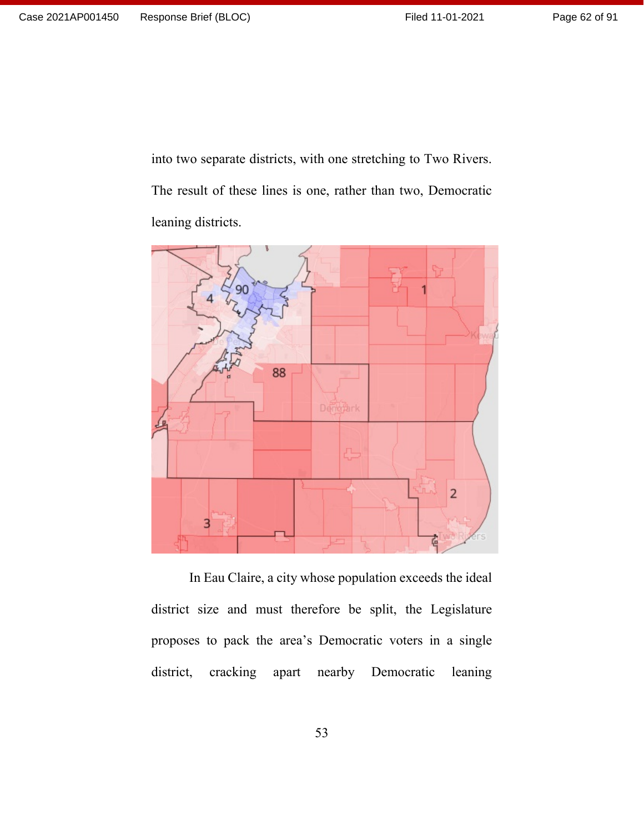Page 62 of 91

into two separate districts, with one stretching to Two Rivers. The result of these lines is one, rather than two, Democratic leaning districts.



In Eau Claire, a city whose population exceeds the ideal district size and must therefore be split, the Legislature proposes to pack the area's Democratic voters in a single district, cracking apart nearby Democratic leaning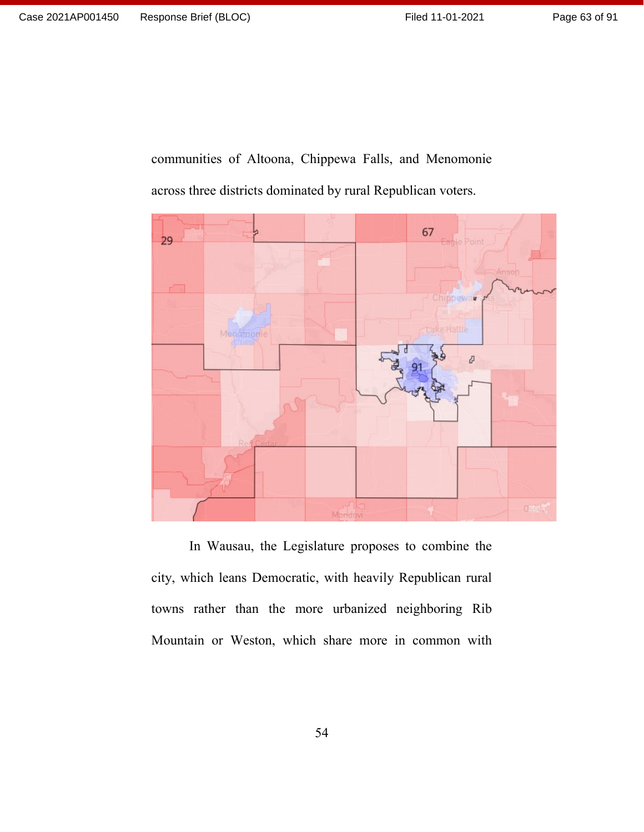communities of Altoona, Chippewa Falls, and Menomonie across three districts dominated by rural Republican voters.



In Wausau, the Legislature proposes to combine the city, which leans Democratic, with heavily Republican rural towns rather than the more urbanized neighboring Rib Mountain or Weston, which share more in common with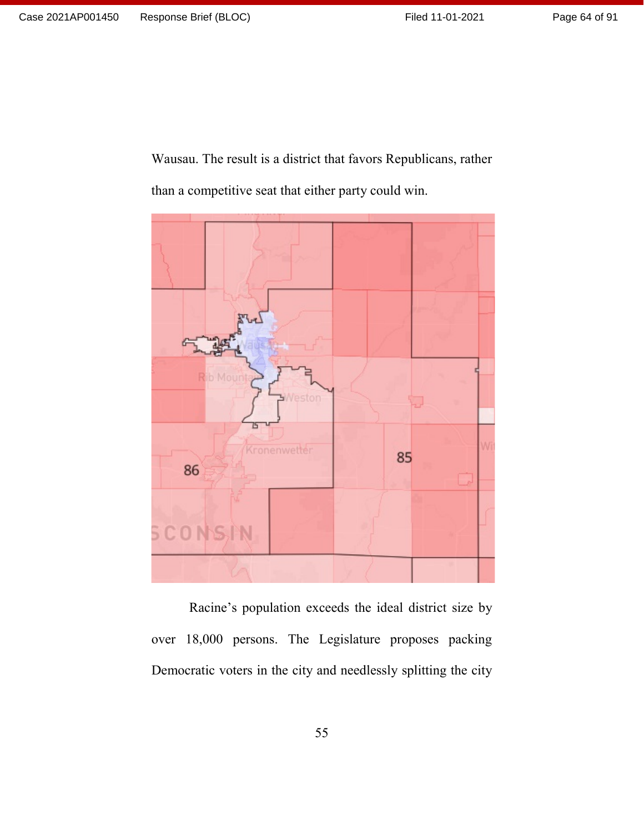Page 64 of 91

Wausau. The result is a district that favors Republicans, rather than a competitive seat that either party could win.



Racine's population exceeds the ideal district size by over 18,000 persons. The Legislature proposes packing Democratic voters in the city and needlessly splitting the city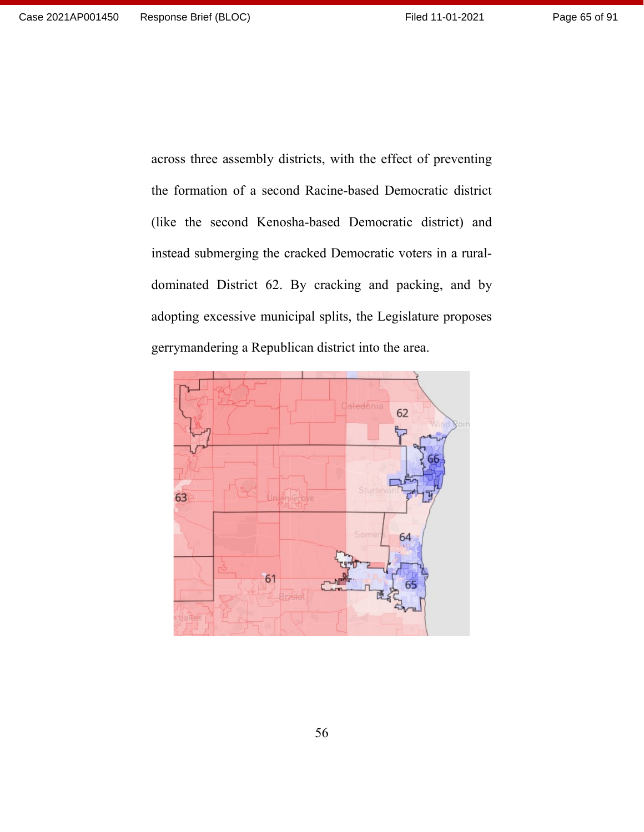across three assembly districts, with the effect of preventing the formation of a second Racine-based Democratic district (like the second Kenosha-based Democratic district) and instead submerging the cracked Democratic voters in a ruraldominated District 62. By cracking and packing, and by adopting excessive municipal splits, the Legislature proposes gerrymandering a Republican district into the area.

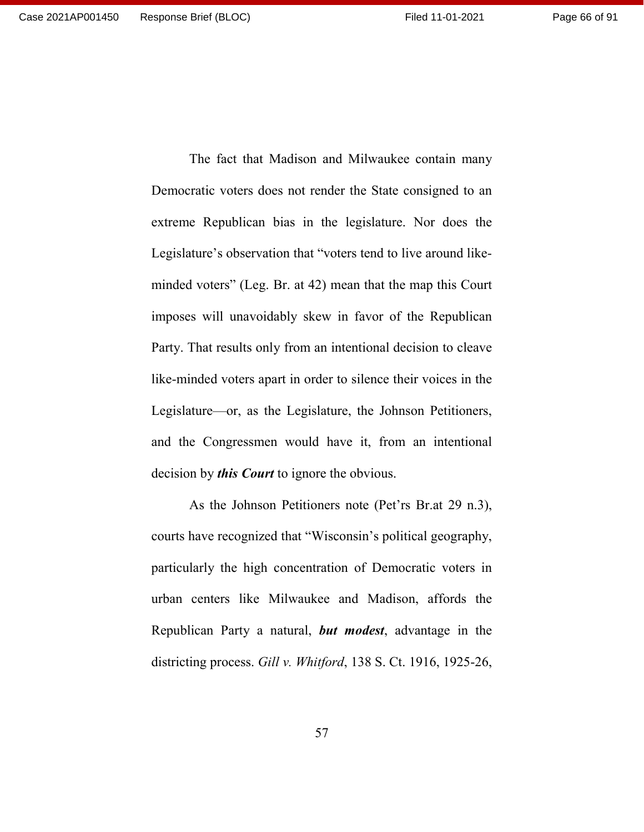The fact that Madison and Milwaukee contain many Democratic voters does not render the State consigned to an extreme Republican bias in the legislature. Nor does the Legislature's observation that "voters tend to live around likeminded voters" (Leg. Br. at 42) mean that the map this Court imposes will unavoidably skew in favor of the Republican Party. That results only from an intentional decision to cleave like-minded voters apart in order to silence their voices in the Legislature—or, as the Legislature, the Johnson Petitioners, and the Congressmen would have it, from an intentional decision by *this Court* to ignore the obvious.

As the Johnson Petitioners note (Pet'rs Br.at 29 n.3), courts have recognized that "Wisconsin's political geography, particularly the high concentration of Democratic voters in urban centers like Milwaukee and Madison, affords the Republican Party a natural, *but modest*, advantage in the districting process. *Gill v. Whitford*, 138 S. Ct. 1916, 1925-26,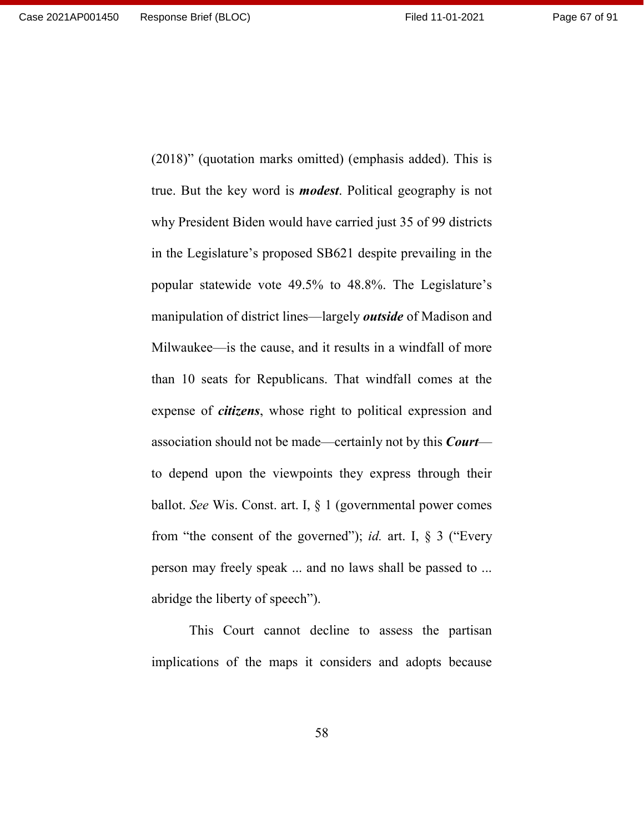Page 67 of 91

(2018)" (quotation marks omitted) (emphasis added). This is true. But the key word is *modest*. Political geography is not why President Biden would have carried just 35 of 99 districts in the Legislature's proposed SB621 despite prevailing in the popular statewide vote 49.5% to 48.8%. The Legislature's manipulation of district lines—largely *outside* of Madison and Milwaukee—is the cause, and it results in a windfall of more than 10 seats for Republicans. That windfall comes at the expense of *citizens*, whose right to political expression and association should not be made—certainly not by this *Court* to depend upon the viewpoints they express through their ballot. *See* Wis. Const. art. I, § 1 (governmental power comes from "the consent of the governed"); *id.* art. I, § 3 ("Every person may freely speak ... and no laws shall be passed to ... abridge the liberty of speech").

This Court cannot decline to assess the partisan implications of the maps it considers and adopts because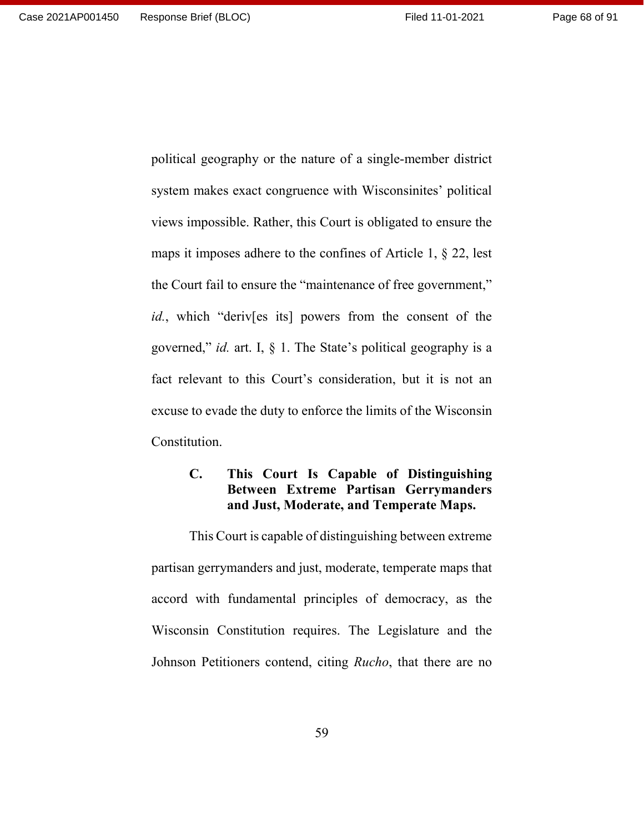political geography or the nature of a single-member district system makes exact congruence with Wisconsinites' political views impossible. Rather, this Court is obligated to ensure the maps it imposes adhere to the confines of Article 1, § 22, lest the Court fail to ensure the "maintenance of free government," *id.*, which "deriv[es its] powers from the consent of the governed," *id.* art. I, § 1. The State's political geography is a fact relevant to this Court's consideration, but it is not an excuse to evade the duty to enforce the limits of the Wisconsin Constitution.

## **C. This Court Is Capable of Distinguishing Between Extreme Partisan Gerrymanders and Just, Moderate, and Temperate Maps.**

This Court is capable of distinguishing between extreme partisan gerrymanders and just, moderate, temperate maps that accord with fundamental principles of democracy, as the Wisconsin Constitution requires. The Legislature and the Johnson Petitioners contend, citing *Rucho*, that there are no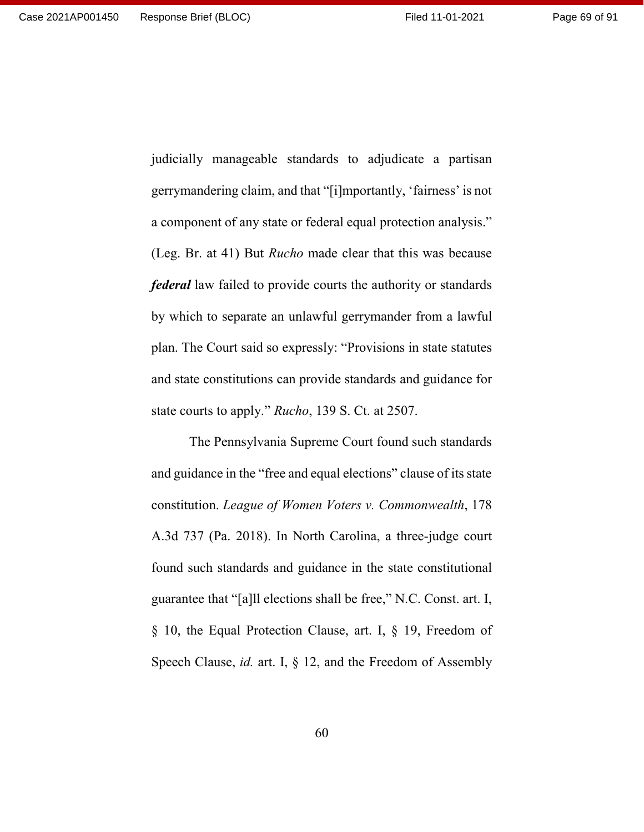judicially manageable standards to adjudicate a partisan gerrymandering claim, and that "[i]mportantly, 'fairness' is not a component of any state or federal equal protection analysis." (Leg. Br. at 41) But *Rucho* made clear that this was because *federal* law failed to provide courts the authority or standards by which to separate an unlawful gerrymander from a lawful plan. The Court said so expressly: "Provisions in state statutes and state constitutions can provide standards and guidance for state courts to apply." *Rucho*, 139 S. Ct. at 2507.

The Pennsylvania Supreme Court found such standards and guidance in the "free and equal elections" clause of its state constitution. *League of Women Voters v. Commonwealth*, 178 A.3d 737 (Pa. 2018). In North Carolina, a three-judge court found such standards and guidance in the state constitutional guarantee that "[a]ll elections shall be free," N.C. Const. art. I, § 10, the Equal Protection Clause, art. I, § 19, Freedom of Speech Clause, *id.* art. I, § 12, and the Freedom of Assembly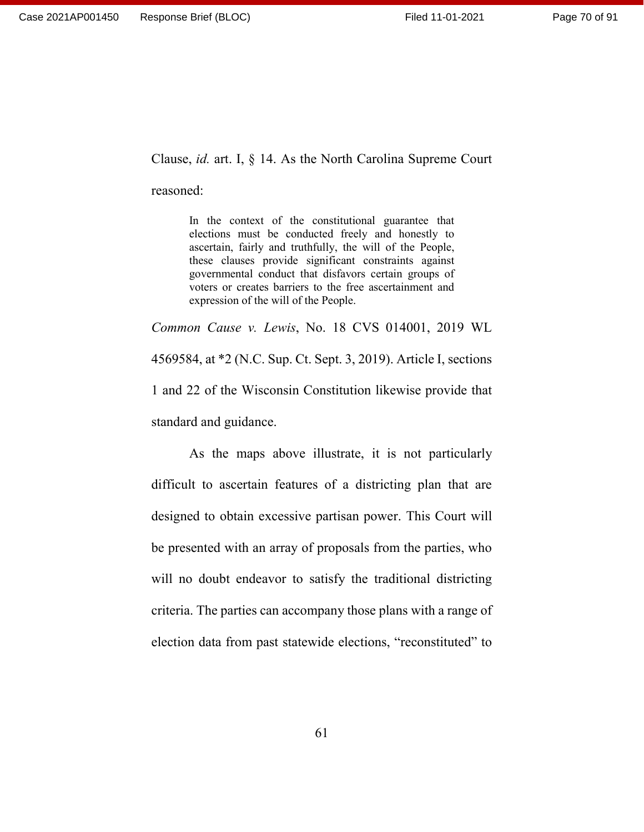Clause, *id.* art. I, § 14. As the North Carolina Supreme Court

reasoned:

In the context of the constitutional guarantee that elections must be conducted freely and honestly to ascertain, fairly and truthfully, the will of the People, these clauses provide significant constraints against governmental conduct that disfavors certain groups of voters or creates barriers to the free ascertainment and expression of the will of the People.

*Common Cause v. Lewis*, No. 18 CVS 014001, 2019 WL 4569584, at \*2 (N.C. Sup. Ct. Sept. 3, 2019). Article I, sections 1 and 22 of the Wisconsin Constitution likewise provide that standard and guidance.

As the maps above illustrate, it is not particularly difficult to ascertain features of a districting plan that are designed to obtain excessive partisan power. This Court will be presented with an array of proposals from the parties, who will no doubt endeavor to satisfy the traditional districting criteria. The parties can accompany those plans with a range of election data from past statewide elections, "reconstituted" to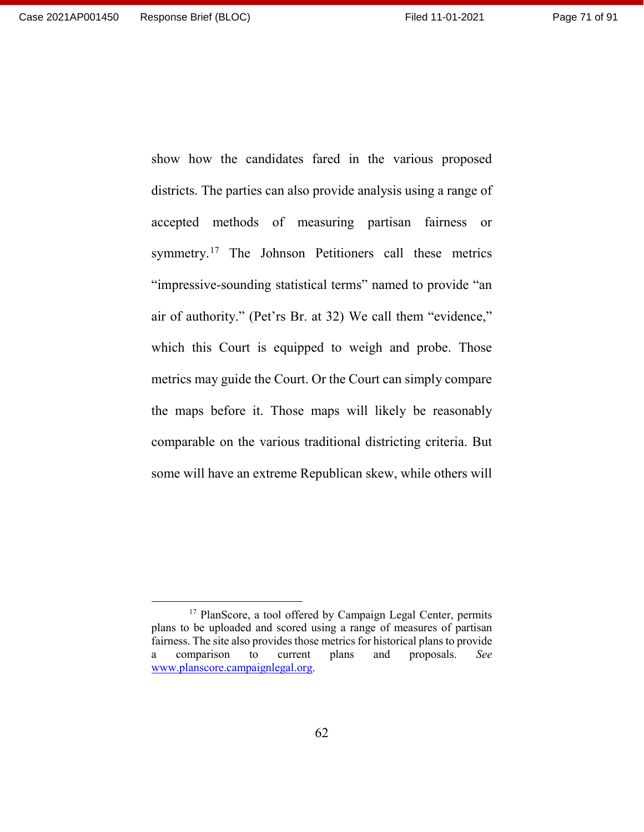Page 71 of 91

show how the candidates fared in the various proposed districts. The parties can also provide analysis using a range of accepted methods of measuring partisan fairness or symmetry.<sup>[17](#page-70-0)</sup> The Johnson Petitioners call these metrics "impressive-sounding statistical terms" named to provide "an air of authority." (Pet'rs Br. at 32) We call them "evidence," which this Court is equipped to weigh and probe. Those metrics may guide the Court. Or the Court can simply compare the maps before it. Those maps will likely be reasonably comparable on the various traditional districting criteria. But some will have an extreme Republican skew, while others will

<span id="page-70-0"></span><sup>&</sup>lt;sup>17</sup> PlanScore, a tool offered by Campaign Legal Center, permits plans to be uploaded and scored using a range of measures of partisan fairness. The site also provides those metrics for historical plans to provide a comparison to current plans and proposals. *See*  [www.planscore.campaignlegal.org.](http://www.planscore.campaignlegal.org/)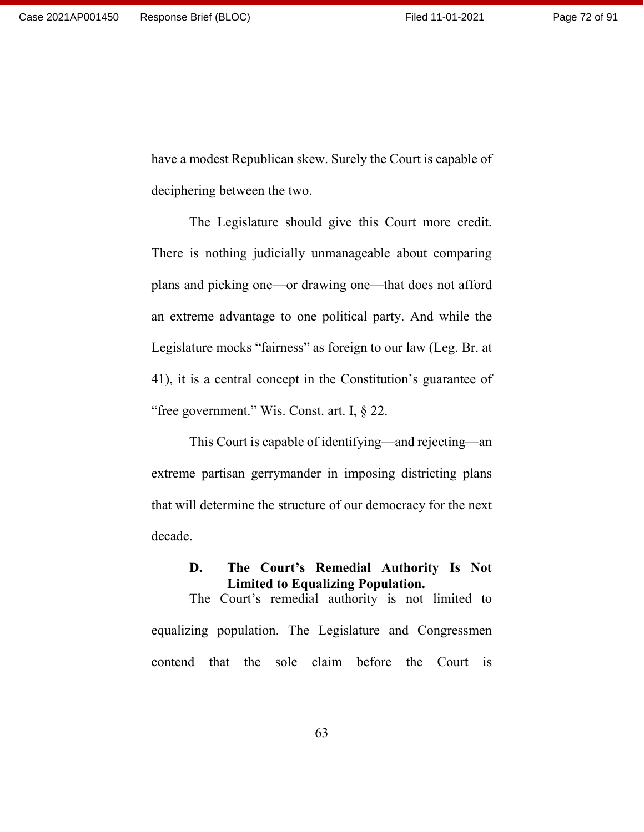have a modest Republican skew. Surely the Court is capable of deciphering between the two.

The Legislature should give this Court more credit. There is nothing judicially unmanageable about comparing plans and picking one—or drawing one—that does not afford an extreme advantage to one political party. And while the Legislature mocks "fairness" as foreign to our law (Leg. Br. at 41), it is a central concept in the Constitution's guarantee of "free government." Wis. Const. art. I, § 22.

This Court is capable of identifying—and rejecting—an extreme partisan gerrymander in imposing districting plans that will determine the structure of our democracy for the next decade.

## **D. The Court's Remedial Authority Is Not Limited to Equalizing Population.**

The Court's remedial authority is not limited to equalizing population. The Legislature and Congressmen contend that the sole claim before the Court is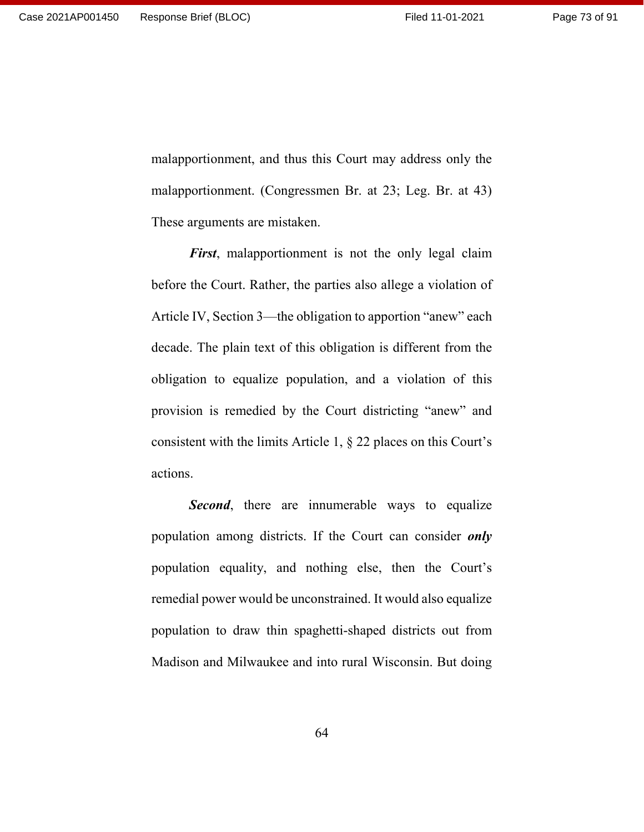malapportionment, and thus this Court may address only the malapportionment. (Congressmen Br. at 23; Leg. Br. at 43) These arguments are mistaken.

*First*, malapportionment is not the only legal claim before the Court. Rather, the parties also allege a violation of Article IV, Section 3—the obligation to apportion "anew" each decade. The plain text of this obligation is different from the obligation to equalize population, and a violation of this provision is remedied by the Court districting "anew" and consistent with the limits Article 1, § 22 places on this Court's actions.

**Second**, there are innumerable ways to equalize population among districts. If the Court can consider *only* population equality, and nothing else, then the Court's remedial power would be unconstrained. It would also equalize population to draw thin spaghetti-shaped districts out from Madison and Milwaukee and into rural Wisconsin. But doing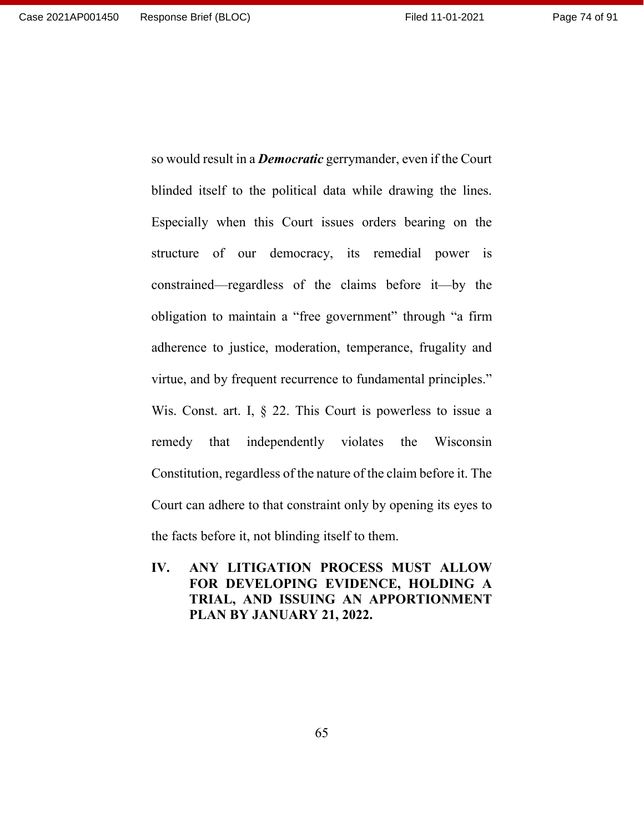blinded itself to the political data while drawing the lines. Especially when this Court issues orders bearing on the structure of our democracy, its remedial power is constrained—regardless of the claims before it—by the obligation to maintain a "free government" through "a firm adherence to justice, moderation, temperance, frugality and virtue, and by frequent recurrence to fundamental principles." Wis. Const. art. I, § 22. This Court is powerless to issue a remedy that independently violates the Wisconsin Constitution, regardless of the nature of the claim before it. The Court can adhere to that constraint only by opening its eyes to the facts before it, not blinding itself to them.

so would result in a *Democratic* gerrymander, even if the Court

**IV. ANY LITIGATION PROCESS MUST ALLOW FOR DEVELOPING EVIDENCE, HOLDING A TRIAL, AND ISSUING AN APPORTIONMENT PLAN BY JANUARY 21, 2022.**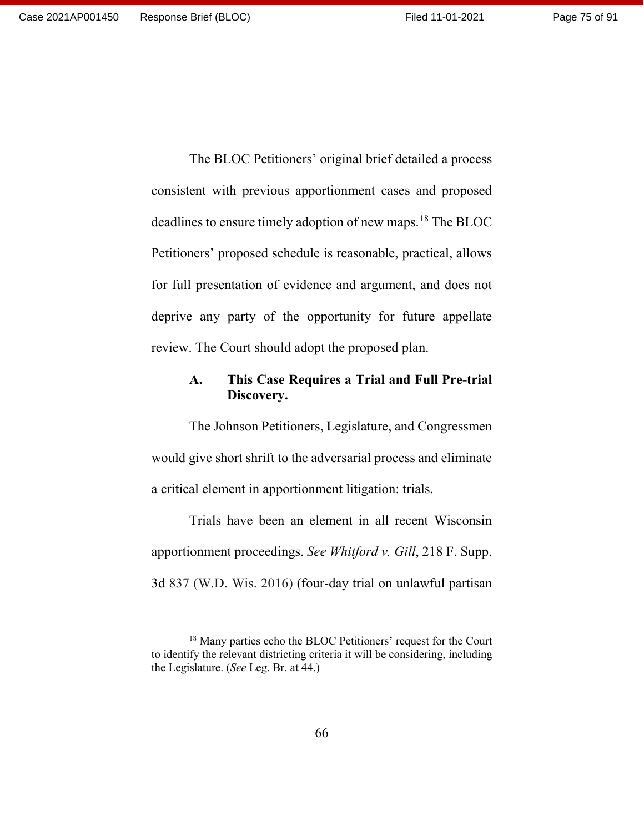The BLOC Petitioners' original brief detailed a process consistent with previous apportionment cases and proposed deadlines to ensure timely adoption of new maps. [18](#page-74-0) The BLOC Petitioners' proposed schedule is reasonable, practical, allows for full presentation of evidence and argument, and does not deprive any party of the opportunity for future appellate review. The Court should adopt the proposed plan.

## **A. This Case Requires a Trial and Full Pre-trial Discovery.**

The Johnson Petitioners, Legislature, and Congressmen would give short shrift to the adversarial process and eliminate a critical element in apportionment litigation: trials.

Trials have been an element in all recent Wisconsin apportionment proceedings. *See Whitford v. Gill*, 218 F. Supp. 3d 837 (W.D. Wis. 2016) (four-day trial on unlawful partisan

<span id="page-74-0"></span><sup>&</sup>lt;sup>18</sup> Many parties echo the BLOC Petitioners' request for the Court to identify the relevant districting criteria it will be considering, including the Legislature. (*See* Leg. Br. at 44.)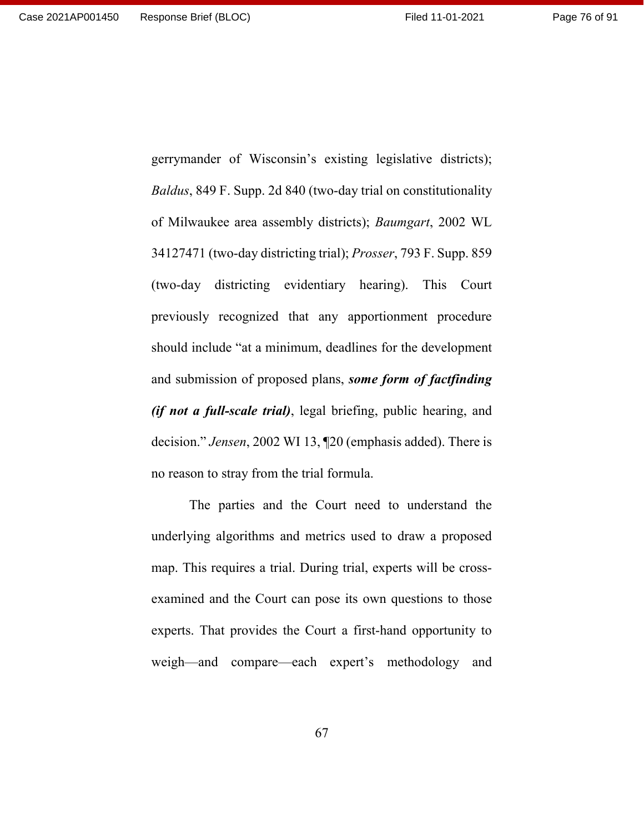Page 76 of 91

gerrymander of Wisconsin's existing legislative districts); *Baldus*, 849 F. Supp. 2d 840 (two-day trial on constitutionality of Milwaukee area assembly districts); *Baumgart*, 2002 WL 34127471 (two-day districting trial); *Prosser*, 793 F. Supp. 859 (two-day districting evidentiary hearing). This Court previously recognized that any apportionment procedure should include "at a minimum, deadlines for the development and submission of proposed plans, *some form of factfinding (if not a full-scale trial)*, legal briefing, public hearing, and decision." *Jensen*, 2002 WI 13, ¶20 (emphasis added). There is no reason to stray from the trial formula.

The parties and the Court need to understand the underlying algorithms and metrics used to draw a proposed map. This requires a trial. During trial, experts will be crossexamined and the Court can pose its own questions to those experts. That provides the Court a first-hand opportunity to weigh—and compare—each expert's methodology and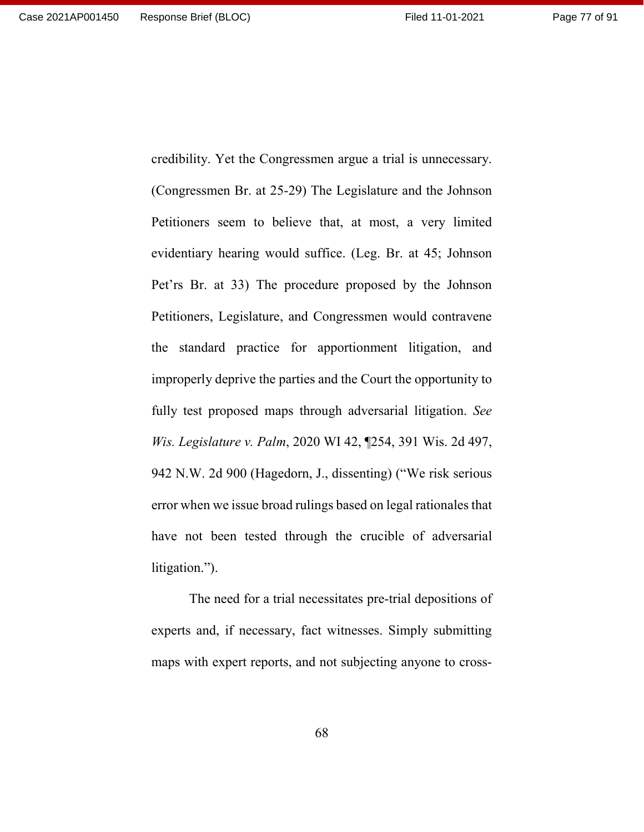credibility. Yet the Congressmen argue a trial is unnecessary. (Congressmen Br. at 25-29) The Legislature and the Johnson Petitioners seem to believe that, at most, a very limited evidentiary hearing would suffice. (Leg. Br. at 45; Johnson Pet'rs Br. at 33) The procedure proposed by the Johnson Petitioners, Legislature, and Congressmen would contravene the standard practice for apportionment litigation, and improperly deprive the parties and the Court the opportunity to fully test proposed maps through adversarial litigation. *See Wis. Legislature v. Palm*, 2020 WI 42, ¶254, 391 Wis. 2d 497, 942 N.W. 2d 900 (Hagedorn, J., dissenting) ("We risk serious error when we issue broad rulings based on legal rationales that have not been tested through the crucible of adversarial litigation.").

The need for a trial necessitates pre-trial depositions of experts and, if necessary, fact witnesses. Simply submitting maps with expert reports, and not subjecting anyone to cross-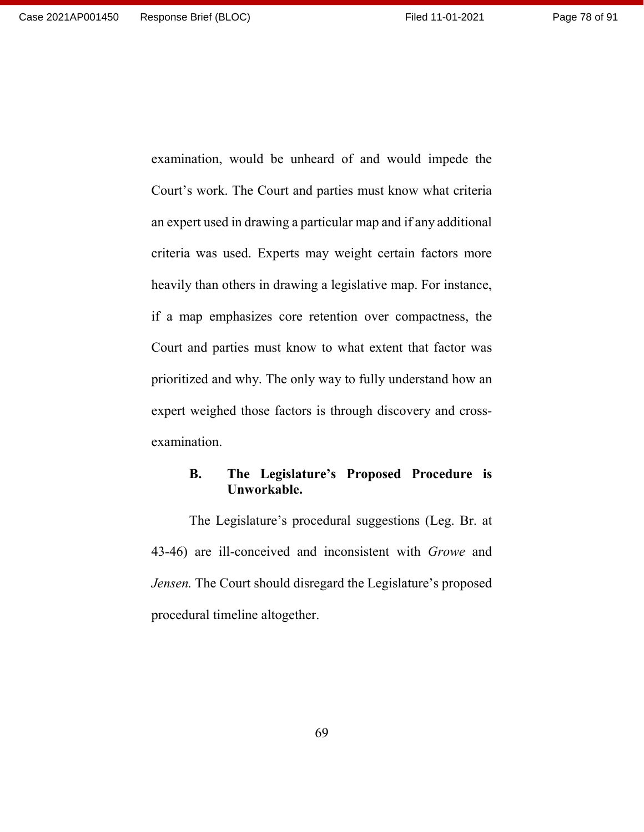examination, would be unheard of and would impede the Court's work. The Court and parties must know what criteria an expert used in drawing a particular map and if any additional criteria was used. Experts may weight certain factors more heavily than others in drawing a legislative map. For instance, if a map emphasizes core retention over compactness, the Court and parties must know to what extent that factor was prioritized and why. The only way to fully understand how an expert weighed those factors is through discovery and crossexamination.

## **B. The Legislature's Proposed Procedure is Unworkable.**

The Legislature's procedural suggestions (Leg. Br. at 43-46) are ill-conceived and inconsistent with *Growe* and *Jensen.* The Court should disregard the Legislature's proposed procedural timeline altogether.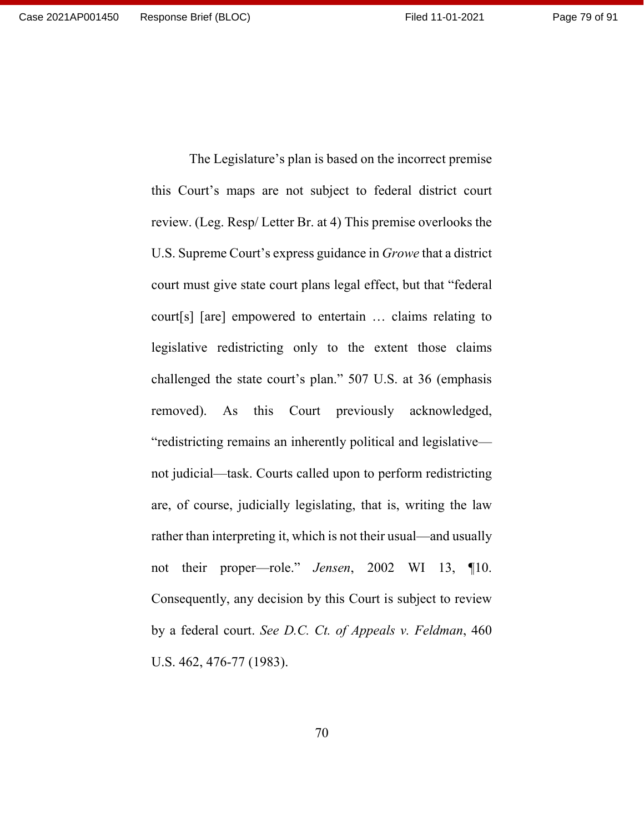this Court's maps are not subject to federal district court review. (Leg. Resp/ Letter Br. at 4) This premise overlooks the U.S. Supreme Court's express guidance in *Growe* that a district court must give state court plans legal effect, but that "federal court[s] [are] empowered to entertain … claims relating to legislative redistricting only to the extent those claims challenged the state court's plan." 507 U.S. at 36 (emphasis removed). As this Court previously acknowledged, "redistricting remains an inherently political and legislative not judicial—task. Courts called upon to perform redistricting are, of course, judicially legislating, that is, writing the law rather than interpreting it, which is not their usual—and usually not their proper—role." *Jensen*, 2002 WI 13, ¶10. Consequently, any decision by this Court is subject to review by a federal court. *See D.C. Ct. of Appeals v. Feldman*, 460 U.S. 462, 476-77 (1983).

The Legislature's plan is based on the incorrect premise

70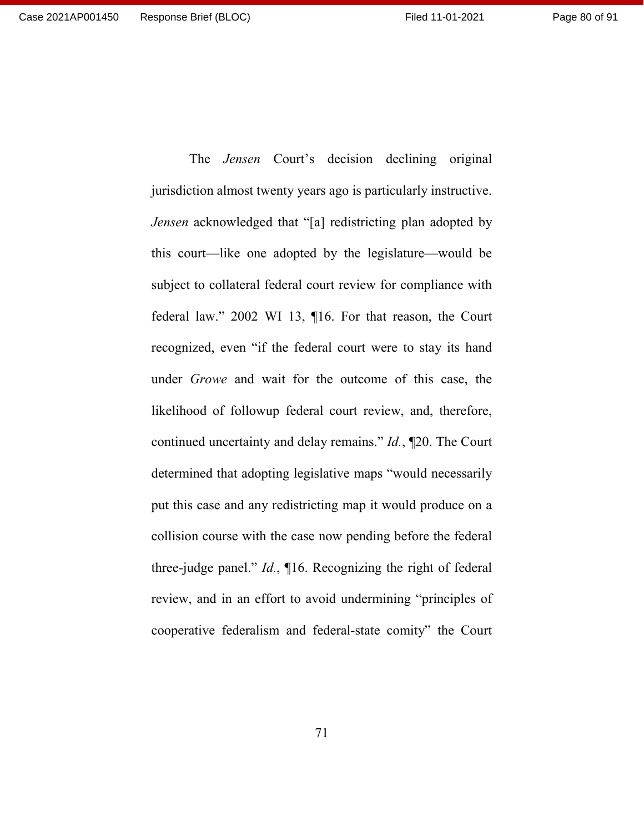jurisdiction almost twenty years ago is particularly instructive. *Jensen* acknowledged that "[a] redistricting plan adopted by this court—like one adopted by the legislature—would be subject to collateral federal court review for compliance with federal law." 2002 WI 13, ¶16. For that reason, the Court recognized, even "if the federal court were to stay its hand under *Growe* and wait for the outcome of this case, the likelihood of followup federal court review, and, therefore, continued uncertainty and delay remains." *Id.*, ¶20. The Court determined that adopting legislative maps "would necessarily put this case and any redistricting map it would produce on a collision course with the case now pending before the federal three-judge panel." *Id.*, ¶16. Recognizing the right of federal review, and in an effort to avoid undermining "principles of cooperative federalism and federal-state comity" the Court

The *Jensen* Court's decision declining original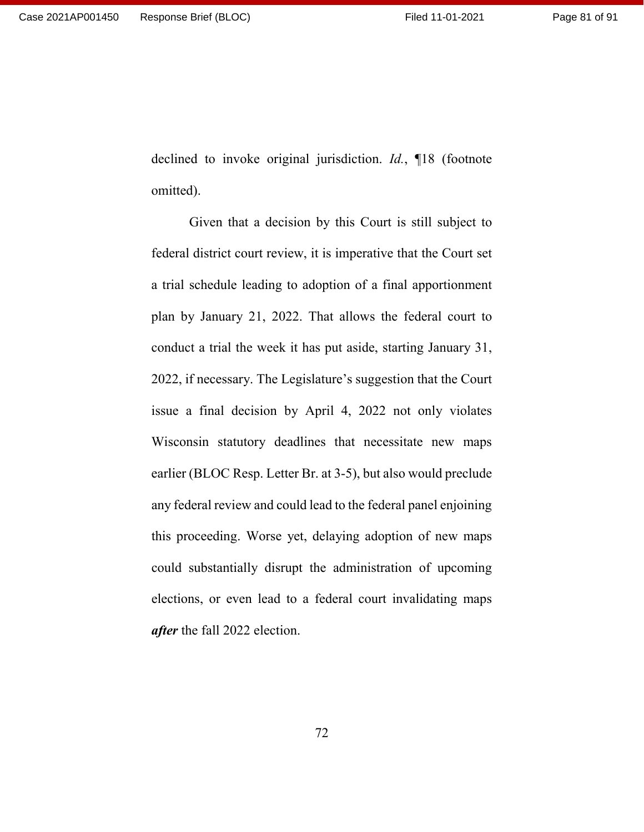declined to invoke original jurisdiction. *Id.*, ¶18 (footnote omitted).

Given that a decision by this Court is still subject to federal district court review, it is imperative that the Court set a trial schedule leading to adoption of a final apportionment plan by January 21, 2022. That allows the federal court to conduct a trial the week it has put aside, starting January 31, 2022, if necessary. The Legislature's suggestion that the Court issue a final decision by April 4, 2022 not only violates Wisconsin statutory deadlines that necessitate new maps earlier (BLOC Resp. Letter Br. at 3-5), but also would preclude any federal review and could lead to the federal panel enjoining this proceeding. Worse yet, delaying adoption of new maps could substantially disrupt the administration of upcoming elections, or even lead to a federal court invalidating maps *after* the fall 2022 election.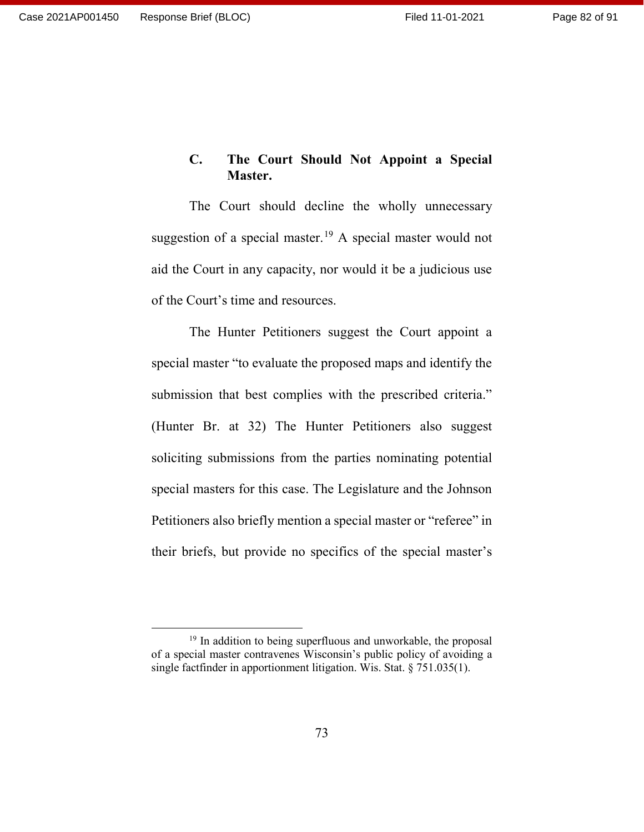# **C. The Court Should Not Appoint a Special Master.**

The Court should decline the wholly unnecessary suggestion of a special master.<sup>[19](#page-81-0)</sup> A special master would not aid the Court in any capacity, nor would it be a judicious use of the Court's time and resources.

The Hunter Petitioners suggest the Court appoint a special master "to evaluate the proposed maps and identify the submission that best complies with the prescribed criteria." (Hunter Br. at 32) The Hunter Petitioners also suggest soliciting submissions from the parties nominating potential special masters for this case. The Legislature and the Johnson Petitioners also briefly mention a special master or "referee" in their briefs, but provide no specifics of the special master's

<span id="page-81-0"></span><sup>&</sup>lt;sup>19</sup> In addition to being superfluous and unworkable, the proposal of a special master contravenes Wisconsin's public policy of avoiding a single factfinder in apportionment litigation. Wis. Stat. § 751.035(1).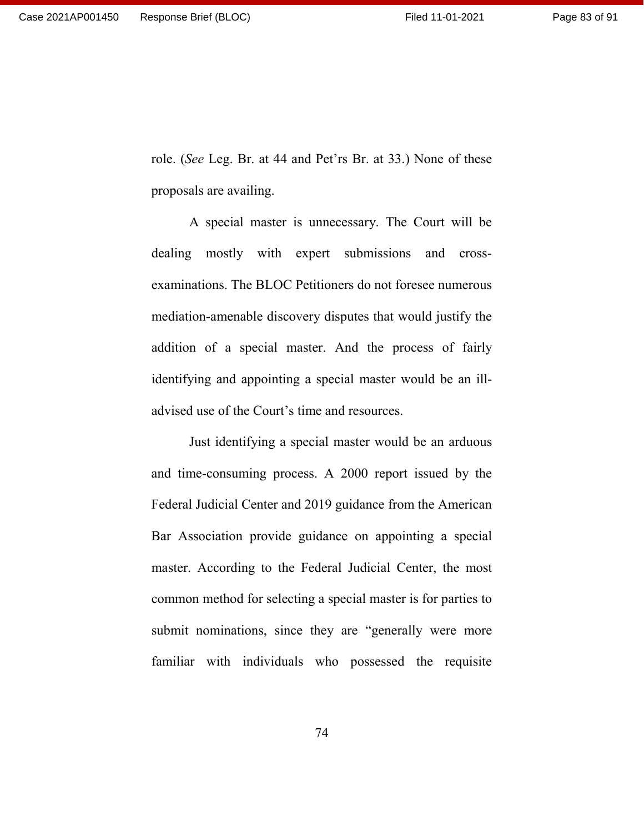role. (*See* Leg. Br. at 44 and Pet'rs Br. at 33.) None of these proposals are availing.

A special master is unnecessary. The Court will be dealing mostly with expert submissions and crossexaminations. The BLOC Petitioners do not foresee numerous mediation-amenable discovery disputes that would justify the addition of a special master. And the process of fairly identifying and appointing a special master would be an illadvised use of the Court's time and resources.

Just identifying a special master would be an arduous and time-consuming process. A 2000 report issued by the Federal Judicial Center and 2019 guidance from the American Bar Association provide guidance on appointing a special master. According to the Federal Judicial Center, the most common method for selecting a special master is for parties to submit nominations, since they are "generally were more familiar with individuals who possessed the requisite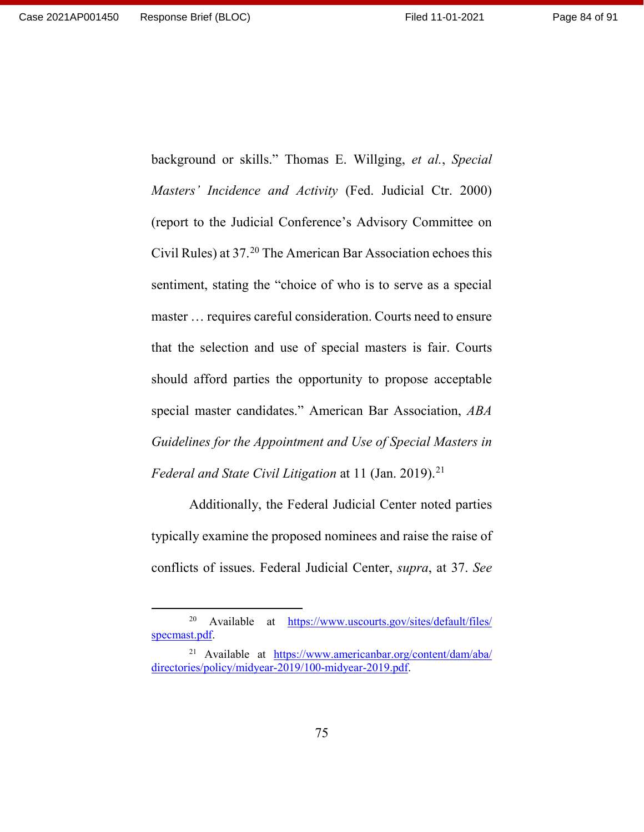Page 84 of 91

background or skills." Thomas E. Willging, *et al.*, *Special Masters' Incidence and Activity* (Fed. Judicial Ctr. 2000) (report to the Judicial Conference's Advisory Committee on Civil Rules) at 37.[20](#page-83-0) The American Bar Association echoes this sentiment, stating the "choice of who is to serve as a special master … requires careful consideration. Courts need to ensure that the selection and use of special masters is fair. Courts should afford parties the opportunity to propose acceptable special master candidates." American Bar Association, *ABA Guidelines for the Appointment and Use of Special Masters in Federal and State Civil Litigation* at 11 (Jan. 2019). [21](#page-83-1)

Additionally, the Federal Judicial Center noted parties typically examine the proposed nominees and raise the raise of conflicts of issues. Federal Judicial Center, *supra*, at 37. *See* 

<span id="page-83-0"></span> <sup>20</sup> Available at [https://www.uscourts.gov/sites/default/files/](https://www.uscourts.gov/sites/default/files/specmast.pdf) [specmast.pdf.](https://www.uscourts.gov/sites/default/files/specmast.pdf)

<span id="page-83-1"></span><sup>21</sup> Available at [https://www.americanbar.org/content/dam/aba/](https://www.americanbar.org/content/dam/aba/directories/policy/midyear-2019/100-midyear-2019.pdf) [directories/policy/midyear-2019/100-midyear-2019.pdf.](https://www.americanbar.org/content/dam/aba/directories/policy/midyear-2019/100-midyear-2019.pdf)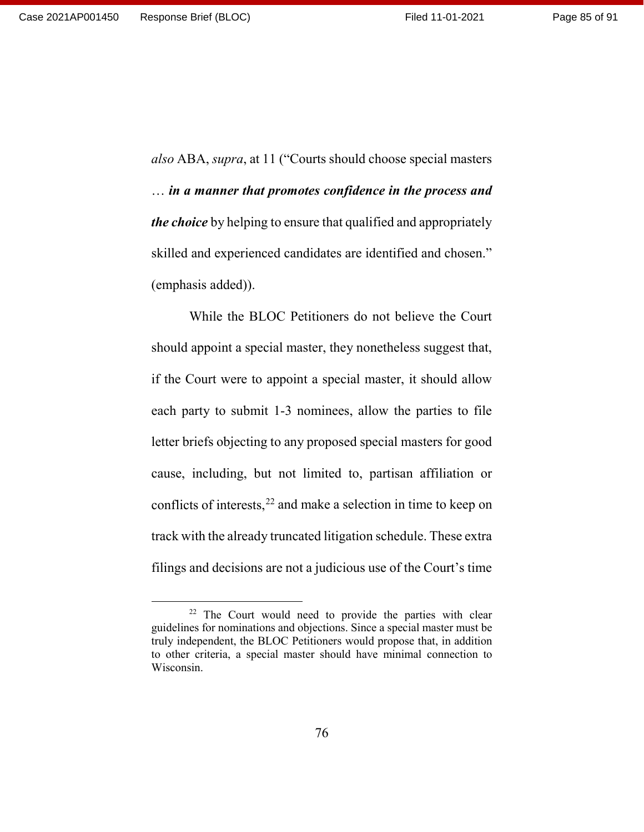*also* ABA, *supra*, at 11 ("Courts should choose special masters … *in a manner that promotes confidence in the process and the choice* by helping to ensure that qualified and appropriately skilled and experienced candidates are identified and chosen." (emphasis added)).

While the BLOC Petitioners do not believe the Court should appoint a special master, they nonetheless suggest that, if the Court were to appoint a special master, it should allow each party to submit 1-3 nominees, allow the parties to file letter briefs objecting to any proposed special masters for good cause, including, but not limited to, partisan affiliation or conflicts of interests, [22](#page-84-0) and make a selection in time to keep on track with the already truncated litigation schedule. These extra filings and decisions are not a judicious use of the Court's time

<span id="page-84-0"></span><sup>&</sup>lt;sup>22</sup> The Court would need to provide the parties with clear guidelines for nominations and objections. Since a special master must be truly independent, the BLOC Petitioners would propose that, in addition to other criteria, a special master should have minimal connection to Wisconsin.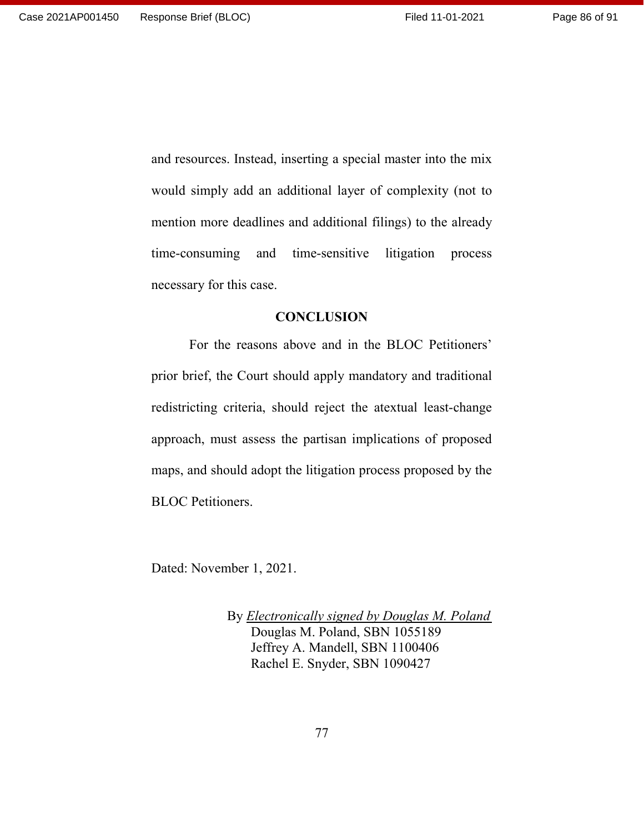and resources. Instead, inserting a special master into the mix would simply add an additional layer of complexity (not to mention more deadlines and additional filings) to the already time-consuming and time-sensitive litigation process necessary for this case.

#### **CONCLUSION**

For the reasons above and in the BLOC Petitioners' prior brief, the Court should apply mandatory and traditional redistricting criteria, should reject the atextual least-change approach, must assess the partisan implications of proposed maps, and should adopt the litigation process proposed by the BLOC Petitioners.

Dated: November 1, 2021.

By *Electronically signed by Douglas M. Poland* Douglas M. Poland, SBN 1055189 Jeffrey A. Mandell, SBN 1100406 Rachel E. Snyder, SBN 1090427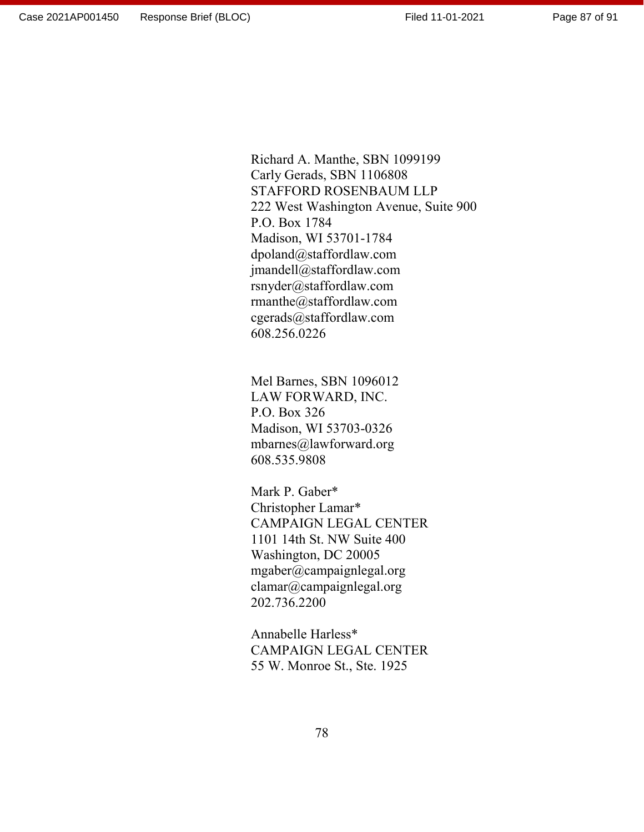Page 87 of 91

Richard A. Manthe, SBN 1099199 Carly Gerads, SBN 1106808 STAFFORD ROSENBAUM LLP 222 West Washington Avenue, Suite 900 P.O. Box 1784 Madison, WI 53701-1784 dpoland@staffordlaw.com jmandell@staffordlaw.com rsnyder@staffordlaw.com rmanthe@staffordlaw.com cgerads@staffordlaw.com 608.256.0226

Mel Barnes, SBN 1096012 LAW FORWARD, INC. P.O. Box 326 Madison, WI 53703-0326 mbarnes@lawforward.org 608.535.9808

Mark P. Gaber\* Christopher Lamar\* CAMPAIGN LEGAL CENTER 1101 14th St. NW Suite 400 Washington, DC 20005 mgaber@campaignlegal.org clamar@campaignlegal.org 202.736.2200

Annabelle Harless\* CAMPAIGN LEGAL CENTER 55 W. Monroe St., Ste. 1925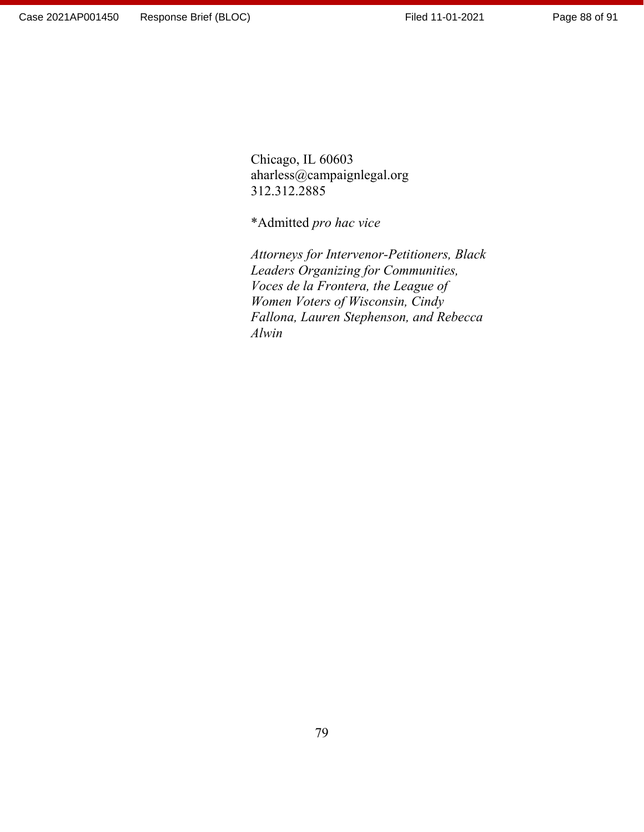Chicago, IL 60603 aharless@campaignlegal.org 312.312.2885

\*Admitted *pro hac vice*

*Attorneys for Intervenor-Petitioners, Black Leaders Organizing for Communities, Voces de la Frontera, the League of Women Voters of Wisconsin, Cindy Fallona, Lauren Stephenson, and Rebecca Alwin*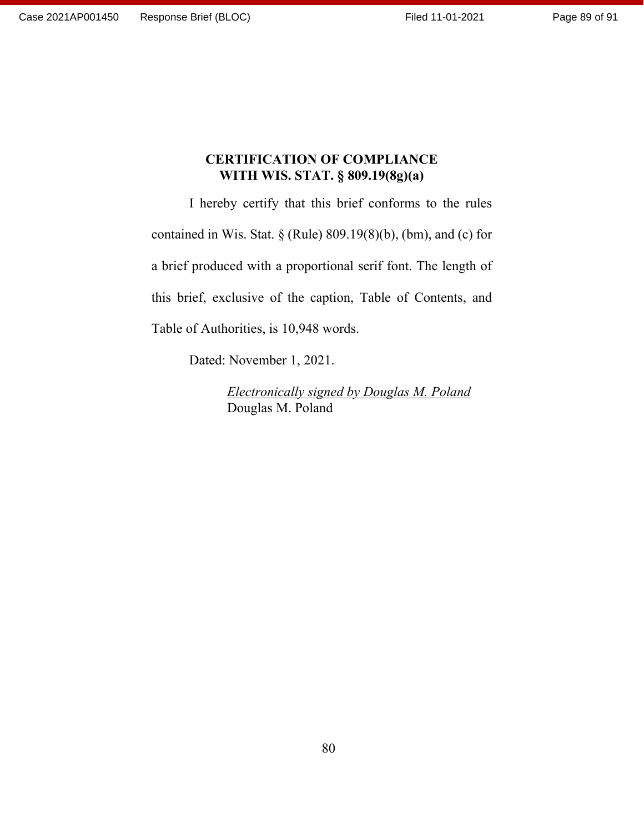## **CERTIFICATION OF COMPLIANCE WITH WIS. STAT. § 809.19(8g)(a)**

I hereby certify that this brief conforms to the rules contained in Wis. Stat.  $\S$  (Rule) 809.19(8)(b), (bm), and (c) for a brief produced with a proportional serif font. The length of this brief, exclusive of the caption, Table of Contents, and Table of Authorities, is 10,948 words.

Dated: November 1, 2021.

*Electronically signed by Douglas M. Poland* Douglas M. Poland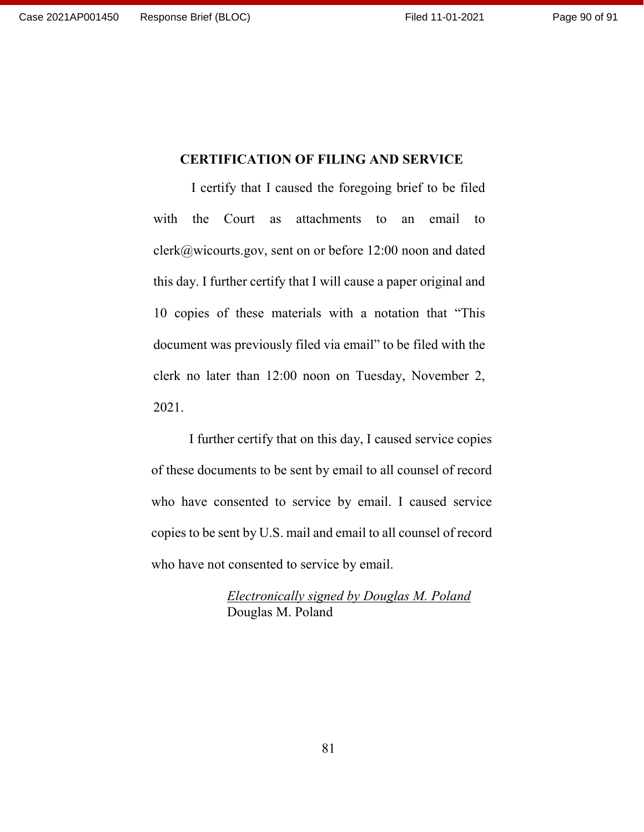### **CERTIFICATION OF FILING AND SERVICE**

I certify that I caused the foregoing brief to be filed with the Court as attachments to an email to clerk@wicourts.gov, sent on or before 12:00 noon and dated this day. I further certify that I will cause a paper original and 10 copies of these materials with a notation that "This document was previously filed via email" to be filed with the clerk no later than 12:00 noon on Tuesday, November 2, 2021.

I further certify that on this day, I caused service copies of these documents to be sent by email to all counsel of record who have consented to service by email. I caused service copies to be sent by U.S. mail and email to all counsel of record who have not consented to service by email.

> *Electronically signed by Douglas M. Poland* Douglas M. Poland